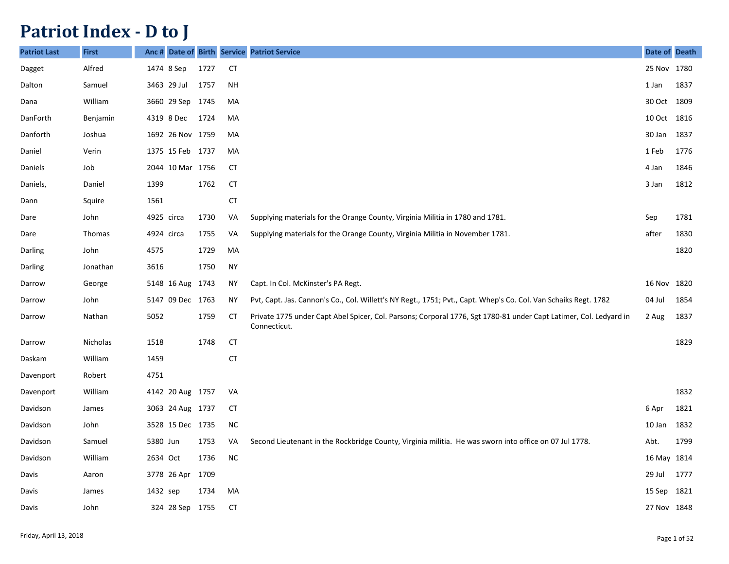## **Patriot Index - D to J**

| <b>Patriot Last</b> | <b>First</b> | Anc#       |                  |      |           | Date of Birth Service Patriot Service                                                                                             | Date of Death |      |
|---------------------|--------------|------------|------------------|------|-----------|-----------------------------------------------------------------------------------------------------------------------------------|---------------|------|
| Dagget              | Alfred       |            | 1474 8 Sep       | 1727 | <b>CT</b> |                                                                                                                                   | 25 Nov 1780   |      |
| Dalton              | Samuel       |            | 3463 29 Jul      | 1757 | <b>NH</b> |                                                                                                                                   | 1 Jan         | 1837 |
| Dana                | William      |            | 3660 29 Sep      | 1745 | MA        |                                                                                                                                   | 30 Oct        | 1809 |
| DanForth            | Benjamin     |            | 4319 8 Dec       | 1724 | MA        |                                                                                                                                   | 10 Oct        | 1816 |
| Danforth            | Joshua       |            | 1692 26 Nov 1759 |      | MA        |                                                                                                                                   | 30 Jan        | 1837 |
| Daniel              | Verin        |            | 1375 15 Feb 1737 |      | MA        |                                                                                                                                   | 1 Feb         | 1776 |
| Daniels             | Job          |            | 2044 10 Mar 1756 |      | <b>CT</b> |                                                                                                                                   | 4 Jan         | 1846 |
| Daniels,            | Daniel       | 1399       |                  | 1762 | <b>CT</b> |                                                                                                                                   | 3 Jan         | 1812 |
| Dann                | Squire       | 1561       |                  |      | <b>CT</b> |                                                                                                                                   |               |      |
| Dare                | John         | 4925 circa |                  | 1730 | VA        | Supplying materials for the Orange County, Virginia Militia in 1780 and 1781.                                                     | Sep           | 1781 |
| Dare                | Thomas       | 4924 circa |                  | 1755 | VA        | Supplying materials for the Orange County, Virginia Militia in November 1781.                                                     | after         | 1830 |
| Darling             | John         | 4575       |                  | 1729 | MA        |                                                                                                                                   |               | 1820 |
| Darling             | Jonathan     | 3616       |                  | 1750 | <b>NY</b> |                                                                                                                                   |               |      |
| Darrow              | George       |            | 5148 16 Aug      | 1743 | <b>NY</b> | Capt. In Col. McKinster's PA Regt.                                                                                                | 16 Nov        | 1820 |
| Darrow              | John         |            | 5147 09 Dec 1763 |      | <b>NY</b> | Pvt, Capt. Jas. Cannon's Co., Col. Willett's NY Regt., 1751; Pvt., Capt. Whep's Co. Col. Van Schaiks Regt. 1782                   | 04 Jul        | 1854 |
| Darrow              | Nathan       | 5052       |                  | 1759 | <b>CT</b> | Private 1775 under Capt Abel Spicer, Col. Parsons; Corporal 1776, Sgt 1780-81 under Capt Latimer, Col. Ledyard in<br>Connecticut. | 2 Aug         | 1837 |
| Darrow              | Nicholas     | 1518       |                  | 1748 | <b>CT</b> |                                                                                                                                   |               | 1829 |
| Daskam              | William      | 1459       |                  |      | CT        |                                                                                                                                   |               |      |
| Davenport           | Robert       | 4751       |                  |      |           |                                                                                                                                   |               |      |
| Davenport           | William      |            | 4142 20 Aug 1757 |      | VA        |                                                                                                                                   |               | 1832 |
| Davidson            | James        |            | 3063 24 Aug 1737 |      | <b>CT</b> |                                                                                                                                   | 6 Apr         | 1821 |
| Davidson            | John         |            | 3528 15 Dec 1735 |      | <b>NC</b> |                                                                                                                                   | 10 Jan        | 1832 |
| Davidson            | Samuel       | 5380 Jun   |                  | 1753 | VA        | Second Lieutenant in the Rockbridge County, Virginia militia. He was sworn into office on 07 Jul 1778.                            | Abt.          | 1799 |
| Davidson            | William      | 2634 Oct   |                  | 1736 | <b>NC</b> |                                                                                                                                   | 16 May        | 1814 |
| Davis               | Aaron        |            | 3778 26 Apr      | 1709 |           |                                                                                                                                   | 29 Jul        | 1777 |
| Davis               | James        | 1432 sep   |                  | 1734 | MA        |                                                                                                                                   | 15 Sep        | 1821 |
| Davis               | John         |            | 324 28 Sep       | 1755 | <b>CT</b> |                                                                                                                                   | 27 Nov 1848   |      |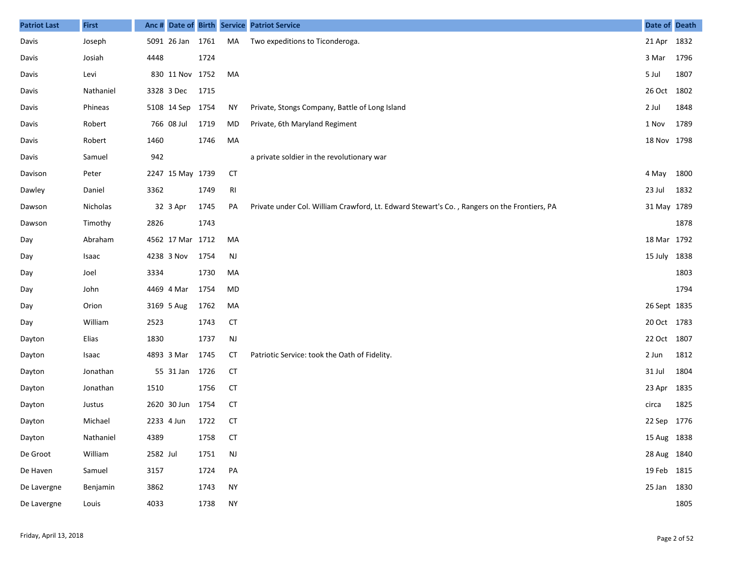| <b>Patriot Last</b> | <b>First</b> |            |                  |      |           | Anc # Date of Birth Service Patriot Service                                                 | Date of Death |      |
|---------------------|--------------|------------|------------------|------|-----------|---------------------------------------------------------------------------------------------|---------------|------|
| Davis               | Joseph       |            | 5091 26 Jan 1761 |      | MA        | Two expeditions to Ticonderoga.                                                             | 21 Apr 1832   |      |
| Davis               | Josiah       | 4448       |                  | 1724 |           |                                                                                             | 3 Mar         | 1796 |
| Davis               | Levi         |            | 830 11 Nov 1752  |      | MA        |                                                                                             | 5 Jul         | 1807 |
| Davis               | Nathaniel    |            | 3328 3 Dec       | 1715 |           |                                                                                             | 26 Oct 1802   |      |
| Davis               | Phineas      |            | 5108 14 Sep 1754 |      | ΝY        | Private, Stongs Company, Battle of Long Island                                              | 2 Jul         | 1848 |
| Davis               | Robert       |            | 766 08 Jul       | 1719 | MD        | Private, 6th Maryland Regiment                                                              | 1 Nov         | 1789 |
| Davis               | Robert       | 1460       |                  | 1746 | МA        |                                                                                             | 18 Nov 1798   |      |
| Davis               | Samuel       | 942        |                  |      |           | a private soldier in the revolutionary war                                                  |               |      |
| Davison             | Peter        |            | 2247 15 May 1739 |      | <b>CT</b> |                                                                                             | 4 May         | 1800 |
| Dawley              | Daniel       | 3362       |                  | 1749 | RI        |                                                                                             | 23 Jul        | 1832 |
| Dawson              | Nicholas     |            | 32 3 Apr         | 1745 | PA        | Private under Col. William Crawford, Lt. Edward Stewart's Co., Rangers on the Frontiers, PA | 31 May 1789   |      |
| Dawson              | Timothy      | 2826       |                  | 1743 |           |                                                                                             |               | 1878 |
| Day                 | Abraham      |            | 4562 17 Mar 1712 |      | MA        |                                                                                             | 18 Mar 1792   |      |
| Day                 | Isaac        |            | 4238 3 Nov       | 1754 | <b>NJ</b> |                                                                                             | 15 July 1838  |      |
| Day                 | Joel         | 3334       |                  | 1730 | MA        |                                                                                             |               | 1803 |
| Day                 | John         |            | 4469 4 Mar       | 1754 | MD        |                                                                                             |               | 1794 |
| Day                 | Orion        |            | 3169 5 Aug       | 1762 | MA        |                                                                                             | 26 Sept 1835  |      |
| Day                 | William      | 2523       |                  | 1743 | <b>CT</b> |                                                                                             | 20 Oct 1783   |      |
| Dayton              | Elias        | 1830       |                  | 1737 | <b>NJ</b> |                                                                                             | 22 Oct 1807   |      |
| Dayton              | Isaac        |            | 4893 3 Mar       | 1745 | <b>CT</b> | Patriotic Service: took the Oath of Fidelity.                                               | 2 Jun         | 1812 |
| Dayton              | Jonathan     |            | 55 31 Jan        | 1726 | <b>CT</b> |                                                                                             | 31 Jul        | 1804 |
| Dayton              | Jonathan     | 1510       |                  | 1756 | <b>CT</b> |                                                                                             | 23 Apr        | 1835 |
| Dayton              | Justus       |            | 2620 30 Jun      | 1754 | <b>CT</b> |                                                                                             | circa         | 1825 |
| Dayton              | Michael      | 2233 4 Jun |                  | 1722 | CT        |                                                                                             | 22 Sep        | 1776 |
| Dayton              | Nathaniel    | 4389       |                  | 1758 | <b>CT</b> |                                                                                             | 15 Aug 1838   |      |
| De Groot            | William      | 2582 Jul   |                  | 1751 | <b>NJ</b> |                                                                                             | 28 Aug 1840   |      |
| De Haven            | Samuel       | 3157       |                  | 1724 | PA        |                                                                                             | 19 Feb 1815   |      |
| De Lavergne         | Benjamin     | 3862       |                  | 1743 | <b>NY</b> |                                                                                             | 25 Jan        | 1830 |
| De Lavergne         | Louis        | 4033       |                  | 1738 | <b>NY</b> |                                                                                             |               | 1805 |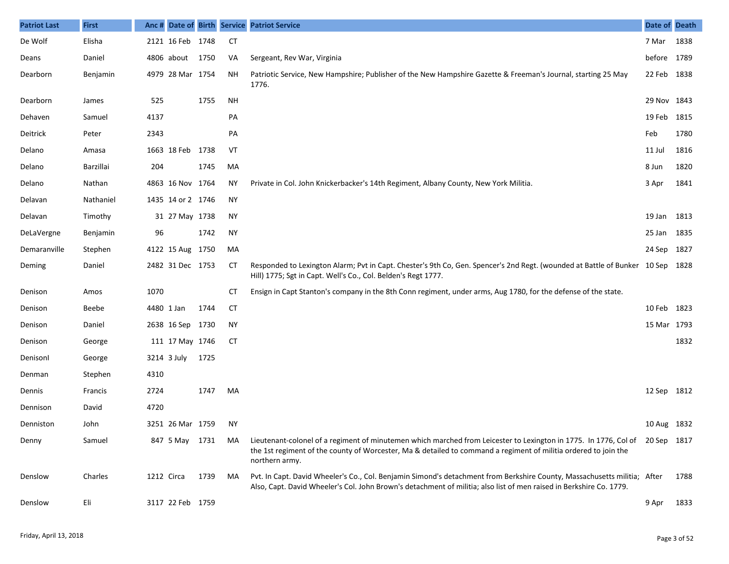| <b>Patriot Last</b> | <b>First</b> | Anc # |                   |      |           | Date of Birth Service Patriot Service                                                                                                                                                                                                                             | Date of Death |      |
|---------------------|--------------|-------|-------------------|------|-----------|-------------------------------------------------------------------------------------------------------------------------------------------------------------------------------------------------------------------------------------------------------------------|---------------|------|
| De Wolf             | Elisha       |       | 2121 16 Feb 1748  |      | CT        |                                                                                                                                                                                                                                                                   | 7 Mar         | 1838 |
| Deans               | Daniel       |       | 4806 about        | 1750 | VA        | Sergeant, Rev War, Virginia                                                                                                                                                                                                                                       | before 1789   |      |
| Dearborn            | Benjamin     |       | 4979 28 Mar 1754  |      | <b>NH</b> | Patriotic Service, New Hampshire; Publisher of the New Hampshire Gazette & Freeman's Journal, starting 25 May<br>1776.                                                                                                                                            | 22 Feb        | 1838 |
| Dearborn            | James        | 525   |                   | 1755 | <b>NH</b> |                                                                                                                                                                                                                                                                   | 29 Nov        | 1843 |
| Dehaven             | Samuel       | 4137  |                   |      | PA        |                                                                                                                                                                                                                                                                   | 19 Feb        | 1815 |
| Deitrick            | Peter        | 2343  |                   |      | PA        |                                                                                                                                                                                                                                                                   | Feb           | 1780 |
| Delano              | Amasa        |       | 1663 18 Feb 1738  |      | VT        |                                                                                                                                                                                                                                                                   | 11 Jul        | 1816 |
| Delano              | Barzillai    | 204   |                   | 1745 | MA        |                                                                                                                                                                                                                                                                   | 8 Jun         | 1820 |
| Delano              | Nathan       |       | 4863 16 Nov 1764  |      | ΝY        | Private in Col. John Knickerbacker's 14th Regiment, Albany County, New York Militia.                                                                                                                                                                              | 3 Apr         | 1841 |
| Delavan             | Nathaniel    |       | 1435 14 or 2 1746 |      | NY        |                                                                                                                                                                                                                                                                   |               |      |
| Delavan             | Timothy      |       | 31 27 May 1738    |      | <b>NY</b> |                                                                                                                                                                                                                                                                   | 19 Jan        | 1813 |
| DeLaVergne          | Benjamin     | 96    |                   | 1742 | NY        |                                                                                                                                                                                                                                                                   | 25 Jan        | 1835 |
| Demaranville        | Stephen      |       | 4122 15 Aug 1750  |      | MA        |                                                                                                                                                                                                                                                                   | 24 Sep        | 1827 |
| Deming              | Daniel       |       | 2482 31 Dec 1753  |      | СT        | Responded to Lexington Alarm; Pvt in Capt. Chester's 9th Co, Gen. Spencer's 2nd Regt. (wounded at Battle of Bunker 10 Sep<br>Hill) 1775; Sgt in Capt. Well's Co., Col. Belden's Regt 1777.                                                                        |               | 1828 |
| Denison             | Amos         | 1070  |                   |      | СT        | Ensign in Capt Stanton's company in the 8th Conn regiment, under arms, Aug 1780, for the defense of the state.                                                                                                                                                    |               |      |
| Denison             | Beebe        |       | 4480 1 Jan        | 1744 | <b>CT</b> |                                                                                                                                                                                                                                                                   | 10 Feb        | 1823 |
| Denison             | Daniel       |       | 2638 16 Sep 1730  |      | NY        |                                                                                                                                                                                                                                                                   | 15 Mar 1793   |      |
| Denison             | George       |       | 111 17 May 1746   |      | CT        |                                                                                                                                                                                                                                                                   |               | 1832 |
| Denisonl            | George       |       | 3214 3 July       | 1725 |           |                                                                                                                                                                                                                                                                   |               |      |
| Denman              | Stephen      | 4310  |                   |      |           |                                                                                                                                                                                                                                                                   |               |      |
| Dennis              | Francis      | 2724  |                   | 1747 | MA        |                                                                                                                                                                                                                                                                   | 12 Sep 1812   |      |
| Dennison            | David        | 4720  |                   |      |           |                                                                                                                                                                                                                                                                   |               |      |
| Denniston           | John         |       | 3251 26 Mar 1759  |      | ΝY        |                                                                                                                                                                                                                                                                   | 10 Aug 1832   |      |
| Denny               | Samuel       |       | 847 5 May 1731    |      | MA        | Lieutenant-colonel of a regiment of minutemen which marched from Leicester to Lexington in 1775. In 1776, Col of 20 Sep 1817<br>the 1st regiment of the county of Worcester, Ma & detailed to command a regiment of militia ordered to join the<br>northern army. |               |      |
| Denslow             | Charles      |       | 1212 Circa        | 1739 | MA        | Pvt. In Capt. David Wheeler's Co., Col. Benjamin Simond's detachment from Berkshire County, Massachusetts militia; After<br>Also, Capt. David Wheeler's Col. John Brown's detachment of militia; also list of men raised in Berkshire Co. 1779.                   |               | 1788 |
| Denslow             | Eli          |       | 3117 22 Feb 1759  |      |           |                                                                                                                                                                                                                                                                   | 9 Apr         | 1833 |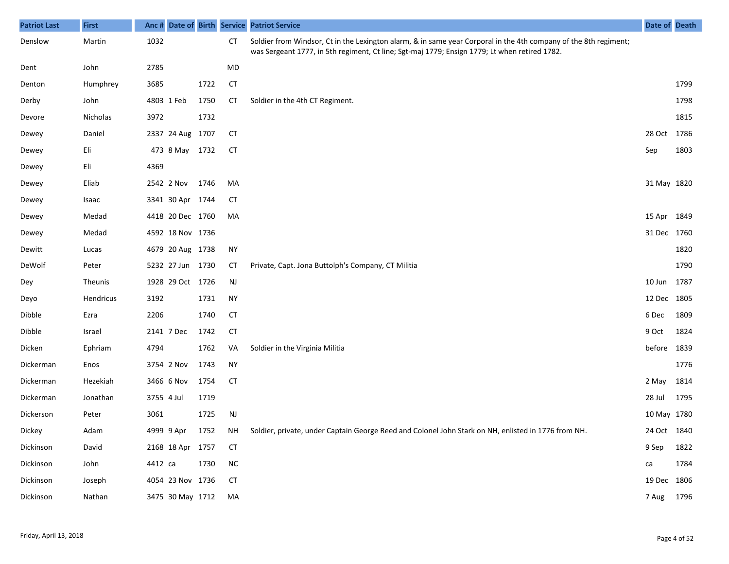| <b>Patriot Last</b> | <b>First</b> | Anc #      |                  |      |            | Date of Birth Service Patriot Service                                                                                                                                                                             | Date of Death |      |
|---------------------|--------------|------------|------------------|------|------------|-------------------------------------------------------------------------------------------------------------------------------------------------------------------------------------------------------------------|---------------|------|
| Denslow             | Martin       | 1032       |                  |      | <b>CT</b>  | Soldier from Windsor, Ct in the Lexington alarm, & in same year Corporal in the 4th company of the 8th regiment;<br>was Sergeant 1777, in 5th regiment, Ct line; Sgt-maj 1779; Ensign 1779; Lt when retired 1782. |               |      |
| Dent                | John         | 2785       |                  |      | MD         |                                                                                                                                                                                                                   |               |      |
| Denton              | Humphrey     | 3685       |                  | 1722 | <b>CT</b>  |                                                                                                                                                                                                                   |               | 1799 |
| Derby               | John         | 4803 1 Feb |                  | 1750 | <b>CT</b>  | Soldier in the 4th CT Regiment.                                                                                                                                                                                   |               | 1798 |
| Devore              | Nicholas     | 3972       |                  | 1732 |            |                                                                                                                                                                                                                   |               | 1815 |
| Dewey               | Daniel       |            | 2337 24 Aug 1707 |      | <b>CT</b>  |                                                                                                                                                                                                                   | 28 Oct        | 1786 |
| Dewey               | Eli          |            | 473 8 May 1732   |      | <b>CT</b>  |                                                                                                                                                                                                                   | Sep           | 1803 |
| Dewey               | Eli          | 4369       |                  |      |            |                                                                                                                                                                                                                   |               |      |
| Dewey               | Eliab        |            | 2542 2 Nov       | 1746 | MA         |                                                                                                                                                                                                                   | 31 May 1820   |      |
| Dewey               | Isaac        |            | 3341 30 Apr 1744 |      | СT         |                                                                                                                                                                                                                   |               |      |
| Dewey               | Medad        |            | 4418 20 Dec 1760 |      | MA         |                                                                                                                                                                                                                   | 15 Apr 1849   |      |
| Dewey               | Medad        |            | 4592 18 Nov 1736 |      |            |                                                                                                                                                                                                                   | 31 Dec 1760   |      |
| Dewitt              | Lucas        |            | 4679 20 Aug 1738 |      | <b>NY</b>  |                                                                                                                                                                                                                   |               | 1820 |
| DeWolf              | Peter        |            | 5232 27 Jun 1730 |      | СT         | Private, Capt. Jona Buttolph's Company, CT Militia                                                                                                                                                                |               | 1790 |
| Dey                 | Theunis      |            | 1928 29 Oct 1726 |      | <b>NJ</b>  |                                                                                                                                                                                                                   | 10 Jun        | 1787 |
| Deyo                | Hendricus    | 3192       |                  | 1731 | <b>NY</b>  |                                                                                                                                                                                                                   | 12 Dec 1805   |      |
| Dibble              | Ezra         | 2206       |                  | 1740 | <b>CT</b>  |                                                                                                                                                                                                                   | 6 Dec         | 1809 |
| Dibble              | Israel       | 2141 7 Dec |                  | 1742 | <b>CT</b>  |                                                                                                                                                                                                                   | 9 Oct         | 1824 |
| Dicken              | Ephriam      | 4794       |                  | 1762 | VA         | Soldier in the Virginia Militia                                                                                                                                                                                   | before        | 1839 |
| Dickerman           | Enos         |            | 3754 2 Nov       | 1743 | <b>NY</b>  |                                                                                                                                                                                                                   |               | 1776 |
| Dickerman           | Hezekiah     |            | 3466 6 Nov       | 1754 | <b>CT</b>  |                                                                                                                                                                                                                   | 2 May         | 1814 |
| Dickerman           | Jonathan     | 3755 4 Jul |                  | 1719 |            |                                                                                                                                                                                                                   | 28 Jul        | 1795 |
| Dickerson           | Peter        | 3061       |                  | 1725 | NJ         |                                                                                                                                                                                                                   | 10 May 1780   |      |
| Dickey              | Adam         |            | 4999 9 Apr       | 1752 | NH         | Soldier, private, under Captain George Reed and Colonel John Stark on NH, enlisted in 1776 from NH.                                                                                                               | 24 Oct 1840   |      |
| Dickinson           | David        |            | 2168 18 Apr 1757 |      | <b>CT</b>  |                                                                                                                                                                                                                   | 9 Sep         | 1822 |
| Dickinson           | John         | 4412 са    |                  | 1730 | ${\sf NC}$ |                                                                                                                                                                                                                   | ca            | 1784 |
| Dickinson           | Joseph       |            | 4054 23 Nov 1736 |      | <b>CT</b>  |                                                                                                                                                                                                                   | 19 Dec 1806   |      |
| Dickinson           | Nathan       |            | 3475 30 May 1712 |      | MA         |                                                                                                                                                                                                                   | 7 Aug 1796    |      |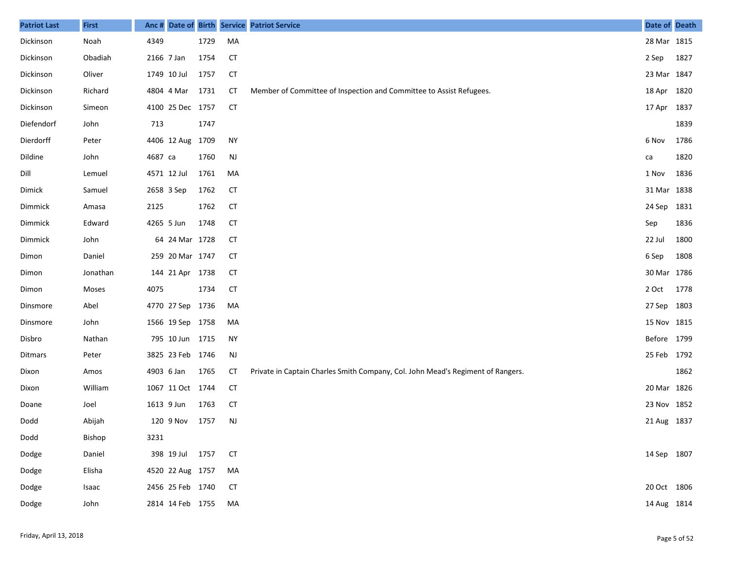| <b>Patriot Last</b> | <b>First</b> | Anc#       |                  |      |               | Date of Birth Service Patriot Service                                           | Date of Death |      |
|---------------------|--------------|------------|------------------|------|---------------|---------------------------------------------------------------------------------|---------------|------|
| Dickinson           | Noah         | 4349       |                  | 1729 | MA            |                                                                                 | 28 Mar 1815   |      |
| Dickinson           | Obadiah      | 2166 7 Jan |                  | 1754 | <b>CT</b>     |                                                                                 | 2 Sep         | 1827 |
| Dickinson           | Oliver       |            | 1749 10 Jul      | 1757 | <b>CT</b>     |                                                                                 | 23 Mar 1847   |      |
| Dickinson           | Richard      |            | 4804 4 Mar       | 1731 | CT            | Member of Committee of Inspection and Committee to Assist Refugees.             | 18 Apr 1820   |      |
| Dickinson           | Simeon       |            | 4100 25 Dec 1757 |      | <b>CT</b>     |                                                                                 | 17 Apr 1837   |      |
| Diefendorf          | John         | 713        |                  | 1747 |               |                                                                                 |               | 1839 |
| Dierdorff           | Peter        |            | 4406 12 Aug      | 1709 | <b>NY</b>     |                                                                                 | 6 Nov         | 1786 |
| Dildine             | John         | 4687 ca    |                  | 1760 | $\mathsf{NJ}$ |                                                                                 | ca            | 1820 |
| Dill                | Lemuel       |            | 4571 12 Jul      | 1761 | МA            |                                                                                 | 1 Nov         | 1836 |
| Dimick              | Samuel       | 2658 3 Sep |                  | 1762 | <b>CT</b>     |                                                                                 | 31 Mar 1838   |      |
| Dimmick             | Amasa        | 2125       |                  | 1762 | <b>CT</b>     |                                                                                 | 24 Sep 1831   |      |
| Dimmick             | Edward       | 4265 5 Jun |                  | 1748 | <b>CT</b>     |                                                                                 | Sep           | 1836 |
| Dimmick             | John         |            | 64 24 Mar 1728   |      | <b>CT</b>     |                                                                                 | 22 Jul        | 1800 |
| Dimon               | Daniel       |            | 259 20 Mar 1747  |      | <b>CT</b>     |                                                                                 | 6 Sep         | 1808 |
| Dimon               | Jonathan     |            | 144 21 Apr       | 1738 | <b>CT</b>     |                                                                                 | 30 Mar 1786   |      |
| Dimon               | Moses        | 4075       |                  | 1734 | <b>CT</b>     |                                                                                 | 2 Oct         | 1778 |
| Dinsmore            | Abel         |            | 4770 27 Sep      | 1736 | MA            |                                                                                 | 27 Sep 1803   |      |
| Dinsmore            | John         |            | 1566 19 Sep 1758 |      | MA            |                                                                                 | 15 Nov 1815   |      |
| Disbro              | Nathan       |            | 795 10 Jun 1715  |      | <b>NY</b>     |                                                                                 | Before 1799   |      |
| Ditmars             | Peter        |            | 3825 23 Feb 1746 |      | <b>NJ</b>     |                                                                                 | 25 Feb 1792   |      |
| Dixon               | Amos         | 4903 6 Jan |                  | 1765 | СT            | Private in Captain Charles Smith Company, Col. John Mead's Regiment of Rangers. |               | 1862 |
| Dixon               | William      |            | 1067 11 Oct 1744 |      | <b>CT</b>     |                                                                                 | 20 Mar 1826   |      |
| Doane               | Joel         | 1613 9 Jun |                  | 1763 | <b>CT</b>     |                                                                                 | 23 Nov 1852   |      |
| Dodd                | Abijah       |            | 120 9 Nov        | 1757 | <b>NJ</b>     |                                                                                 | 21 Aug 1837   |      |
| Dodd                | Bishop       | 3231       |                  |      |               |                                                                                 |               |      |
| Dodge               | Daniel       |            | 398 19 Jul 1757  |      | <b>CT</b>     |                                                                                 | 14 Sep 1807   |      |
| Dodge               | Elisha       |            | 4520 22 Aug 1757 |      | МA            |                                                                                 |               |      |
| Dodge               | Isaac        |            | 2456 25 Feb 1740 |      | <b>CT</b>     |                                                                                 | 20 Oct 1806   |      |
| Dodge               | John         |            | 2814 14 Feb 1755 |      | MA            |                                                                                 | 14 Aug 1814   |      |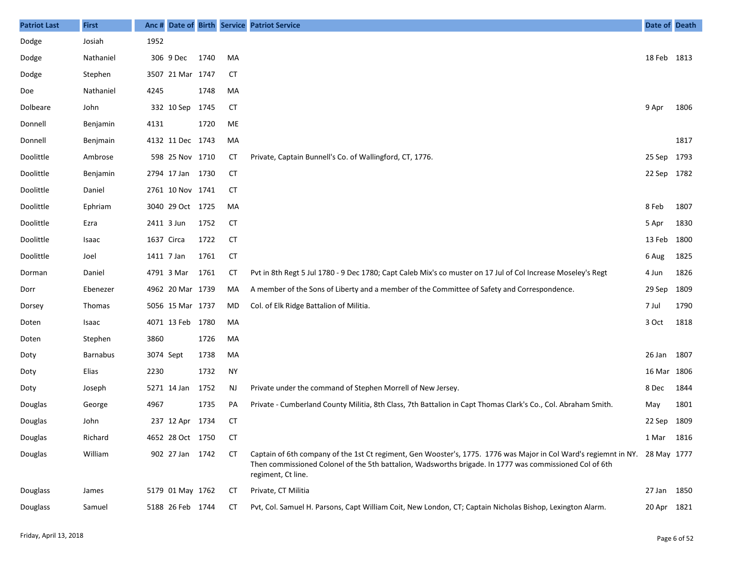| <b>Patriot Last</b> | <b>First</b>    | Anc #      |                  |      |           | Date of Birth Service Patriot Service                                                                                                                                                                                                                         | Date of Death |      |
|---------------------|-----------------|------------|------------------|------|-----------|---------------------------------------------------------------------------------------------------------------------------------------------------------------------------------------------------------------------------------------------------------------|---------------|------|
| Dodge               | Josiah          | 1952       |                  |      |           |                                                                                                                                                                                                                                                               |               |      |
| Dodge               | Nathaniel       |            | 306 9 Dec        | 1740 | MA        |                                                                                                                                                                                                                                                               | 18 Feb 1813   |      |
| Dodge               | Stephen         |            | 3507 21 Mar 1747 |      | <b>CT</b> |                                                                                                                                                                                                                                                               |               |      |
| Doe                 | Nathaniel       | 4245       |                  | 1748 | MA        |                                                                                                                                                                                                                                                               |               |      |
| Dolbeare            | John            |            | 332 10 Sep       | 1745 | <b>CT</b> |                                                                                                                                                                                                                                                               | 9 Apr         | 1806 |
| Donnell             | Benjamin        | 4131       |                  | 1720 | ME        |                                                                                                                                                                                                                                                               |               |      |
| Donnell             | Benjmain        |            | 4132 11 Dec 1743 |      | MA        |                                                                                                                                                                                                                                                               |               | 1817 |
| Doolittle           | Ambrose         |            | 598 25 Nov 1710  |      | СT        | Private, Captain Bunnell's Co. of Wallingford, CT, 1776.                                                                                                                                                                                                      | 25 Sep 1793   |      |
| Doolittle           | Benjamin        |            | 2794 17 Jan      | 1730 | CT        |                                                                                                                                                                                                                                                               | 22 Sep 1782   |      |
| Doolittle           | Daniel          |            | 2761 10 Nov 1741 |      | СT        |                                                                                                                                                                                                                                                               |               |      |
| Doolittle           | Ephriam         |            | 3040 29 Oct 1725 |      | MA        |                                                                                                                                                                                                                                                               | 8 Feb         | 1807 |
| Doolittle           | Ezra            | 2411 3 Jun |                  | 1752 | СT        |                                                                                                                                                                                                                                                               | 5 Apr         | 1830 |
| Doolittle           | Isaac           | 1637 Circa |                  | 1722 | <b>CT</b> |                                                                                                                                                                                                                                                               | 13 Feb        | 1800 |
| Doolittle           | Joel            | 1411 7 Jan |                  | 1761 | <b>CT</b> |                                                                                                                                                                                                                                                               | 6 Aug         | 1825 |
| Dorman              | Daniel          | 4791 3 Mar |                  | 1761 | <b>CT</b> | Pvt in 8th Regt 5 Jul 1780 - 9 Dec 1780; Capt Caleb Mix's co muster on 17 Jul of Col Increase Moseley's Regt                                                                                                                                                  | 4 Jun         | 1826 |
| Dorr                | Ebenezer        |            | 4962 20 Mar 1739 |      | MA        | A member of the Sons of Liberty and a member of the Committee of Safety and Correspondence.                                                                                                                                                                   | 29 Sep        | 1809 |
| Dorsey              | Thomas          |            | 5056 15 Mar 1737 |      | MD        | Col. of Elk Ridge Battalion of Militia.                                                                                                                                                                                                                       | 7 Jul         | 1790 |
| Doten               | Isaac           |            | 4071 13 Feb 1780 |      | MA        |                                                                                                                                                                                                                                                               | 3 Oct         | 1818 |
| Doten               | Stephen         | 3860       |                  | 1726 | MA        |                                                                                                                                                                                                                                                               |               |      |
| Doty                | <b>Barnabus</b> | 3074 Sept  |                  | 1738 | MA        |                                                                                                                                                                                                                                                               | 26 Jan 1807   |      |
| Doty                | Elias           | 2230       |                  | 1732 | <b>NY</b> |                                                                                                                                                                                                                                                               | 16 Mar 1806   |      |
| Doty                | Joseph          |            | 5271 14 Jan      | 1752 | NJ        | Private under the command of Stephen Morrell of New Jersey.                                                                                                                                                                                                   | 8 Dec         | 1844 |
| Douglas             | George          | 4967       |                  | 1735 | PA        | Private - Cumberland County Militia, 8th Class, 7th Battalion in Capt Thomas Clark's Co., Col. Abraham Smith.                                                                                                                                                 | May           | 1801 |
| Douglas             | John            |            | 237 12 Apr 1734  |      | CT        |                                                                                                                                                                                                                                                               | 22 Sep 1809   |      |
| Douglas             | Richard         |            | 4652 28 Oct 1750 |      | CT        |                                                                                                                                                                                                                                                               | 1 Mar 1816    |      |
| Douglas             | William         |            | 902 27 Jan 1742  |      | СT        | Captain of 6th company of the 1st Ct regiment, Gen Wooster's, 1775. 1776 was Major in Col Ward's regiemnt in NY. 28 May 1777<br>Then commissioned Colonel of the 5th battalion, Wadsworths brigade. In 1777 was commissioned Col of 6th<br>regiment, Ct line. |               |      |
| Douglass            | James           |            | 5179 01 May 1762 |      | CT        | Private, CT Militia                                                                                                                                                                                                                                           | 27 Jan 1850   |      |
| Douglass            | Samuel          |            | 5188 26 Feb 1744 |      | СT        | Pvt, Col. Samuel H. Parsons, Capt William Coit, New London, CT; Captain Nicholas Bishop, Lexington Alarm.                                                                                                                                                     | 20 Apr 1821   |      |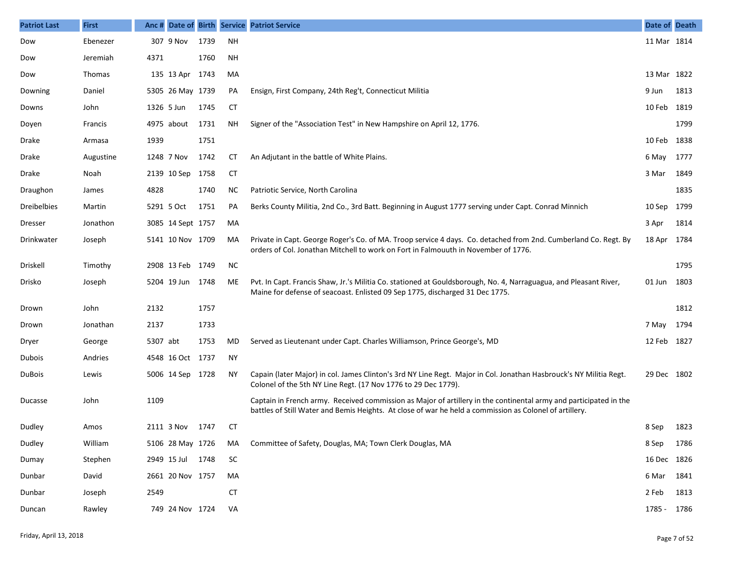| <b>Patriot Last</b> | <b>First</b>  | Anc #      |                   |      |           | Date of Birth Service Patriot Service                                                                                                                                                                                        | Date of Death |      |
|---------------------|---------------|------------|-------------------|------|-----------|------------------------------------------------------------------------------------------------------------------------------------------------------------------------------------------------------------------------------|---------------|------|
| Dow                 | Ebenezer      |            | 307 9 Nov         | 1739 | <b>NH</b> |                                                                                                                                                                                                                              | 11 Mar 1814   |      |
| Dow                 | Jeremiah      | 4371       |                   | 1760 | <b>NH</b> |                                                                                                                                                                                                                              |               |      |
| Dow                 | <b>Thomas</b> |            | 135 13 Apr        | 1743 | MA        |                                                                                                                                                                                                                              | 13 Mar 1822   |      |
| Downing             | Daniel        |            | 5305 26 May 1739  |      | PA        | Ensign, First Company, 24th Reg't, Connecticut Militia                                                                                                                                                                       | 9 Jun         | 1813 |
| Downs               | John          | 1326 5 Jun |                   | 1745 | CТ        |                                                                                                                                                                                                                              | 10 Feb        | 1819 |
| Doyen               | Francis       |            | 4975 about        | 1731 | ΝH        | Signer of the "Association Test" in New Hampshire on April 12, 1776.                                                                                                                                                         |               | 1799 |
| Drake               | Armasa        | 1939       |                   | 1751 |           |                                                                                                                                                                                                                              | 10 Feb        | 1838 |
| Drake               | Augustine     |            | 1248 7 Nov        | 1742 | CТ        | An Adjutant in the battle of White Plains.                                                                                                                                                                                   | 6 May         | 1777 |
| Drake               | Noah          |            | 2139 10 Sep       | 1758 | CT        |                                                                                                                                                                                                                              | 3 Mar         | 1849 |
| Draughon            | James         | 4828       |                   | 1740 | ΝC        | Patriotic Service, North Carolina                                                                                                                                                                                            |               | 1835 |
| <b>Dreibelbies</b>  | Martin        |            | 5291 5 Oct        | 1751 | PA        | Berks County Militia, 2nd Co., 3rd Batt. Beginning in August 1777 serving under Capt. Conrad Minnich                                                                                                                         | 10 Sep        | 1799 |
| Dresser             | Jonathon      |            | 3085 14 Sept 1757 |      | MA        |                                                                                                                                                                                                                              | 3 Apr         | 1814 |
| Drinkwater          | Joseph        |            | 5141 10 Nov 1709  |      | MA        | Private in Capt. George Roger's Co. of MA. Troop service 4 days. Co. detached from 2nd. Cumberland Co. Regt. By<br>orders of Col. Jonathan Mitchell to work on Fort in Falmouuth in November of 1776.                        | 18 Apr        | 1784 |
| Driskell            | Timothy       |            | 2908 13 Feb 1749  |      | <b>NC</b> |                                                                                                                                                                                                                              |               | 1795 |
| Drisko              | Joseph        |            | 5204 19 Jun       | 1748 | ME        | Pvt. In Capt. Francis Shaw, Jr.'s Militia Co. stationed at Gouldsborough, No. 4, Narraguagua, and Pleasant River,<br>Maine for defense of seacoast. Enlisted 09 Sep 1775, discharged 31 Dec 1775.                            | 01 Jun        | 1803 |
| Drown               | John          | 2132       |                   | 1757 |           |                                                                                                                                                                                                                              |               | 1812 |
| Drown               | Jonathan      | 2137       |                   | 1733 |           |                                                                                                                                                                                                                              | 7 May         | 1794 |
| Dryer               | George        | 5307 abt   |                   | 1753 | MD        | Served as Lieutenant under Capt. Charles Williamson, Prince George's, MD                                                                                                                                                     | 12 Feb        | 1827 |
| Dubois              | Andries       |            | 4548 16 Oct       | 1737 | <b>NY</b> |                                                                                                                                                                                                                              |               |      |
| <b>DuBois</b>       | Lewis         |            | 5006 14 Sep 1728  |      | <b>NY</b> | Capain (later Major) in col. James Clinton's 3rd NY Line Regt. Major in Col. Jonathan Hasbrouck's NY Militia Regt.<br>Colonel of the 5th NY Line Regt. (17 Nov 1776 to 29 Dec 1779).                                         | 29 Dec 1802   |      |
| Ducasse             | John          | 1109       |                   |      |           | Captain in French army. Received commission as Major of artillery in the continental army and participated in the<br>battles of Still Water and Bemis Heights. At close of war he held a commission as Colonel of artillery. |               |      |
| Dudley              | Amos          |            | 2111 3 Nov        | 1747 | СT        |                                                                                                                                                                                                                              | 8 Sep         | 1823 |
| Dudley              | William       |            | 5106 28 May 1726  |      | MA        | Committee of Safety, Douglas, MA; Town Clerk Douglas, MA                                                                                                                                                                     | 8 Sep         | 1786 |
| Dumay               | Stephen       |            | 2949 15 Jul 1748  |      | SC        |                                                                                                                                                                                                                              | 16 Dec 1826   |      |
| Dunbar              | David         |            | 2661 20 Nov 1757  |      | MA        |                                                                                                                                                                                                                              | 6 Mar         | 1841 |
| Dunbar              | Joseph        | 2549       |                   |      | <b>CT</b> |                                                                                                                                                                                                                              | 2 Feb         | 1813 |
| Duncan              | Rawley        |            | 749 24 Nov 1724   |      | VA        |                                                                                                                                                                                                                              | 1785 - 1786   |      |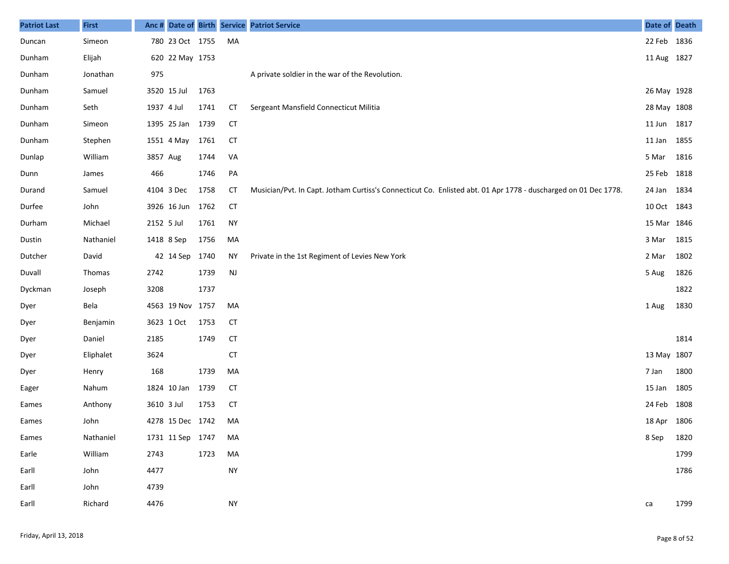| <b>Patriot Last</b> | <b>First</b> | Anc#       |                  |      |               | Date of Birth Service Patriot Service                                                                          | Date of Death |      |
|---------------------|--------------|------------|------------------|------|---------------|----------------------------------------------------------------------------------------------------------------|---------------|------|
| Duncan              | Simeon       |            | 780 23 Oct 1755  |      | MA            |                                                                                                                | 22 Feb 1836   |      |
| Dunham              | Elijah       |            | 620 22 May 1753  |      |               |                                                                                                                | 11 Aug 1827   |      |
| Dunham              | Jonathan     | 975        |                  |      |               | A private soldier in the war of the Revolution.                                                                |               |      |
| Dunham              | Samuel       |            | 3520 15 Jul      | 1763 |               |                                                                                                                | 26 May 1928   |      |
| Dunham              | Seth         | 1937 4 Jul |                  | 1741 | СT            | Sergeant Mansfield Connecticut Militia                                                                         | 28 May 1808   |      |
| Dunham              | Simeon       |            | 1395 25 Jan      | 1739 | <b>CT</b>     |                                                                                                                | 11 Jun        | 1817 |
| Dunham              | Stephen      |            | 1551 4 May       | 1761 | <b>CT</b>     |                                                                                                                | 11 Jan        | 1855 |
| Dunlap              | William      | 3857 Aug   |                  | 1744 | VA            |                                                                                                                | 5 Mar         | 1816 |
| Dunn                | James        | 466        |                  | 1746 | PA            |                                                                                                                | 25 Feb        | 1818 |
| Durand              | Samuel       |            | 4104 3 Dec       | 1758 | <b>CT</b>     | Musician/Pvt. In Capt. Jotham Curtiss's Connecticut Co. Enlisted abt. 01 Apr 1778 - duscharged on 01 Dec 1778. | 24 Jan        | 1834 |
| Durfee              | John         |            | 3926 16 Jun      | 1762 | <b>CT</b>     |                                                                                                                | 10 Oct 1843   |      |
| Durham              | Michael      | 2152 5 Jul |                  | 1761 | <b>NY</b>     |                                                                                                                | 15 Mar 1846   |      |
| Dustin              | Nathaniel    |            | 1418 8 Sep       | 1756 | MA            |                                                                                                                | 3 Mar         | 1815 |
| Dutcher             | David        |            | 42 14 Sep 1740   |      | <b>NY</b>     | Private in the 1st Regiment of Levies New York                                                                 | 2 Mar         | 1802 |
| Duvall              | Thomas       | 2742       |                  | 1739 | $\mathsf{NJ}$ |                                                                                                                | 5 Aug         | 1826 |
| Dyckman             | Joseph       | 3208       |                  | 1737 |               |                                                                                                                |               | 1822 |
| Dyer                | Bela         |            | 4563 19 Nov 1757 |      | MA            |                                                                                                                | 1 Aug         | 1830 |
| Dyer                | Benjamin     |            | 3623 1 Oct       | 1753 | <b>CT</b>     |                                                                                                                |               |      |
| Dyer                | Daniel       | 2185       |                  | 1749 | <b>CT</b>     |                                                                                                                |               | 1814 |
| Dyer                | Eliphalet    | 3624       |                  |      | <b>CT</b>     |                                                                                                                | 13 May 1807   |      |
| Dyer                | Henry        | 168        |                  | 1739 | MA            |                                                                                                                | 7 Jan         | 1800 |
| Eager               | Nahum        |            | 1824 10 Jan      | 1739 | <b>CT</b>     |                                                                                                                | 15 Jan        | 1805 |
| Eames               | Anthony      | 3610 3 Jul |                  | 1753 | <b>CT</b>     |                                                                                                                | 24 Feb        | 1808 |
| Eames               | John         |            | 4278 15 Dec 1742 |      | MA            |                                                                                                                | 18 Apr 1806   |      |
| Eames               | Nathaniel    |            | 1731 11 Sep 1747 |      | MA            |                                                                                                                | 8 Sep         | 1820 |
| Earle               | William      | 2743       |                  | 1723 | MA            |                                                                                                                |               | 1799 |
| Earll               | John         | 4477       |                  |      | <b>NY</b>     |                                                                                                                |               | 1786 |
| Earll               | John         | 4739       |                  |      |               |                                                                                                                |               |      |
| Earll               | Richard      | 4476       |                  |      | <b>NY</b>     |                                                                                                                | ca            | 1799 |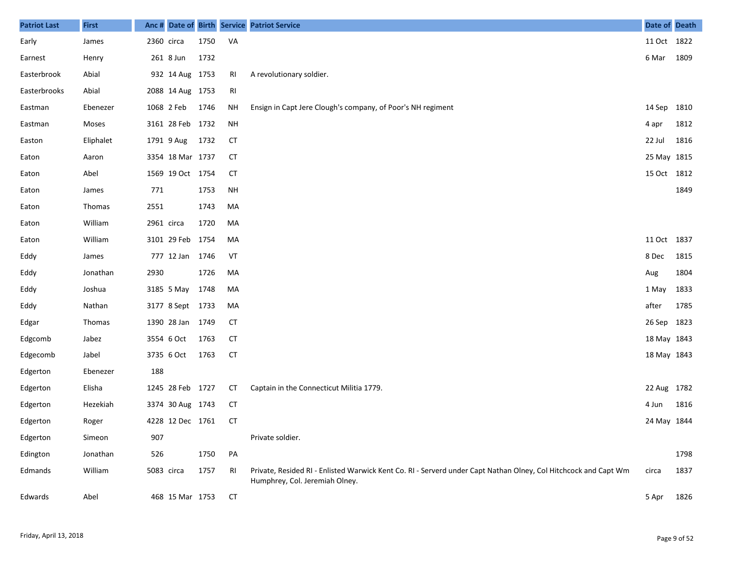| <b>Patriot Last</b> | <b>First</b> |            |                  |      |           | Anc # Date of Birth Service Patriot Service                                                                                                       | Date of Death |      |
|---------------------|--------------|------------|------------------|------|-----------|---------------------------------------------------------------------------------------------------------------------------------------------------|---------------|------|
| Early               | James        | 2360 circa |                  | 1750 | VA        |                                                                                                                                                   | 11 Oct 1822   |      |
| Earnest             | Henry        |            | 261 8 Jun        | 1732 |           |                                                                                                                                                   | 6 Mar         | 1809 |
| Easterbrook         | Abial        |            | 932 14 Aug 1753  |      | RI        | A revolutionary soldier.                                                                                                                          |               |      |
| Easterbrooks        | Abial        |            | 2088 14 Aug 1753 |      | RI        |                                                                                                                                                   |               |      |
| Eastman             | Ebenezer     |            | 1068 2 Feb       | 1746 | <b>NH</b> | Ensign in Capt Jere Clough's company, of Poor's NH regiment                                                                                       | 14 Sep 1810   |      |
| Eastman             | Moses        |            | 3161 28 Feb 1732 |      | <b>NH</b> |                                                                                                                                                   | 4 apr         | 1812 |
| Easton              | Eliphalet    |            | 1791 9 Aug       | 1732 | <b>CT</b> |                                                                                                                                                   | 22 Jul        | 1816 |
| Eaton               | Aaron        |            | 3354 18 Mar 1737 |      | <b>CT</b> |                                                                                                                                                   | 25 May 1815   |      |
| Eaton               | Abel         |            | 1569 19 Oct 1754 |      | <b>CT</b> |                                                                                                                                                   | 15 Oct 1812   |      |
| Eaton               | James        | 771        |                  | 1753 | <b>NH</b> |                                                                                                                                                   |               | 1849 |
| Eaton               | Thomas       | 2551       |                  | 1743 | MA        |                                                                                                                                                   |               |      |
| Eaton               | William      | 2961 circa |                  | 1720 | MA        |                                                                                                                                                   |               |      |
| Eaton               | William      |            | 3101 29 Feb 1754 |      | MA        |                                                                                                                                                   | 11 Oct 1837   |      |
| Eddy                | James        |            | 777 12 Jan 1746  |      | VT        |                                                                                                                                                   | 8 Dec         | 1815 |
| Eddy                | Jonathan     | 2930       |                  | 1726 | MA        |                                                                                                                                                   | Aug           | 1804 |
| Eddy                | Joshua       |            | 3185 5 May       | 1748 | MA        |                                                                                                                                                   | 1 May         | 1833 |
| Eddy                | Nathan       |            | 3177 8 Sept 1733 |      | MA        |                                                                                                                                                   | after         | 1785 |
| Edgar               | Thomas       |            | 1390 28 Jan 1749 |      | <b>CT</b> |                                                                                                                                                   | 26 Sep 1823   |      |
| Edgcomb             | Jabez        |            | 3554 6 Oct       | 1763 | <b>CT</b> |                                                                                                                                                   | 18 May 1843   |      |
| Edgecomb            | Jabel        |            | 3735 6 Oct       | 1763 | <b>CT</b> |                                                                                                                                                   | 18 May 1843   |      |
| Edgerton            | Ebenezer     | 188        |                  |      |           |                                                                                                                                                   |               |      |
| Edgerton            | Elisha       |            | 1245 28 Feb 1727 |      | CT        | Captain in the Connecticut Militia 1779.                                                                                                          | 22 Aug 1782   |      |
| Edgerton            | Hezekiah     |            | 3374 30 Aug 1743 |      | <b>CT</b> |                                                                                                                                                   | 4 Jun         | 1816 |
| Edgerton            | Roger        |            | 4228 12 Dec 1761 |      | <b>CT</b> |                                                                                                                                                   | 24 May 1844   |      |
| Edgerton            | Simeon       | 907        |                  |      |           | Private soldier.                                                                                                                                  |               |      |
| Edington            | Jonathan     | 526        |                  | 1750 | PA        |                                                                                                                                                   |               | 1798 |
| Edmands             | William      | 5083 circa |                  | 1757 | RI        | Private, Resided RI - Enlisted Warwick Kent Co. RI - Serverd under Capt Nathan Olney, Col Hitchcock and Capt Wm<br>Humphrey, Col. Jeremiah Olney. | circa         | 1837 |
| Edwards             | Abel         |            | 468 15 Mar 1753  |      | CT        |                                                                                                                                                   | 5 Apr         | 1826 |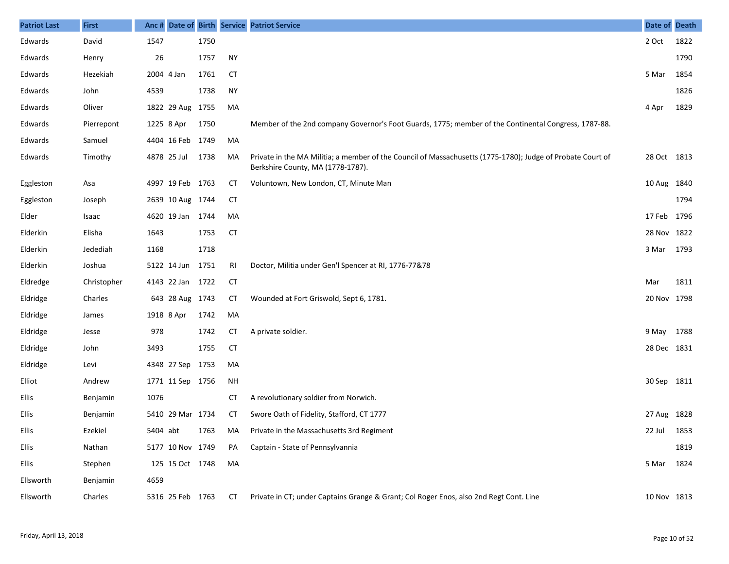| <b>Patriot Last</b> | <b>First</b> | Anc#       |                  |      |           | Date of Birth Service Patriot Service                                                                                                           | Date of Death |      |
|---------------------|--------------|------------|------------------|------|-----------|-------------------------------------------------------------------------------------------------------------------------------------------------|---------------|------|
| Edwards             | David        | 1547       |                  | 1750 |           |                                                                                                                                                 | 2 Oct         | 1822 |
| Edwards             | Henry        | 26         |                  | 1757 | <b>NY</b> |                                                                                                                                                 |               | 1790 |
| Edwards             | Hezekiah     | 2004 4 Jan |                  | 1761 | <b>CT</b> |                                                                                                                                                 | 5 Mar         | 1854 |
| Edwards             | John         | 4539       |                  | 1738 | <b>NY</b> |                                                                                                                                                 |               | 1826 |
| Edwards             | Oliver       |            | 1822 29 Aug      | 1755 | MA        |                                                                                                                                                 | 4 Apr         | 1829 |
| Edwards             | Pierrepont   | 1225 8 Apr |                  | 1750 |           | Member of the 2nd company Governor's Foot Guards, 1775; member of the Continental Congress, 1787-88.                                            |               |      |
| Edwards             | Samuel       |            | 4404 16 Feb      | 1749 | MA        |                                                                                                                                                 |               |      |
| Edwards             | Timothy      |            | 4878 25 Jul      | 1738 | MA        | Private in the MA Militia; a member of the Council of Massachusetts (1775-1780); Judge of Probate Court of<br>Berkshire County, MA (1778-1787). | 28 Oct 1813   |      |
| Eggleston           | Asa          |            | 4997 19 Feb 1763 |      | СT        | Voluntown, New London, CT, Minute Man                                                                                                           | 10 Aug 1840   |      |
| Eggleston           | Joseph       |            | 2639 10 Aug 1744 |      | <b>CT</b> |                                                                                                                                                 |               | 1794 |
| Elder               | Isaac        |            | 4620 19 Jan 1744 |      | MA        |                                                                                                                                                 | 17 Feb 1796   |      |
| Elderkin            | Elisha       | 1643       |                  | 1753 | <b>CT</b> |                                                                                                                                                 | 28 Nov 1822   |      |
| Elderkin            | Jedediah     | 1168       |                  | 1718 |           |                                                                                                                                                 | 3 Mar         | 1793 |
| Elderkin            | Joshua       |            | 5122 14 Jun      | 1751 | RI        | Doctor, Militia under Gen'l Spencer at RI, 1776-77&78                                                                                           |               |      |
| Eldredge            | Christopher  |            | 4143 22 Jan      | 1722 | <b>CT</b> |                                                                                                                                                 | Mar           | 1811 |
| Eldridge            | Charles      |            | 643 28 Aug 1743  |      | СT        | Wounded at Fort Griswold, Sept 6, 1781.                                                                                                         | 20 Nov 1798   |      |
| Eldridge            | James        | 1918 8 Apr |                  | 1742 | MA        |                                                                                                                                                 |               |      |
| Eldridge            | Jesse        | 978        |                  | 1742 | СT        | A private soldier.                                                                                                                              | 9 May 1788    |      |
| Eldridge            | John         | 3493       |                  | 1755 | <b>CT</b> |                                                                                                                                                 | 28 Dec 1831   |      |
| Eldridge            | Levi         |            | 4348 27 Sep      | 1753 | MA        |                                                                                                                                                 |               |      |
| Elliot              | Andrew       |            | 1771 11 Sep 1756 |      | NH        |                                                                                                                                                 | 30 Sep 1811   |      |
| Ellis               | Benjamin     | 1076       |                  |      | СT        | A revolutionary soldier from Norwich.                                                                                                           |               |      |
| Ellis               | Benjamin     |            | 5410 29 Mar 1734 |      | СT        | Swore Oath of Fidelity, Stafford, CT 1777                                                                                                       | 27 Aug 1828   |      |
| Ellis               | Ezekiel      |            | 5404 abt         |      |           | 1763 MA Private in the Massachusetts 3rd Regiment                                                                                               | 22 Jul 1853   |      |
| Ellis               | Nathan       |            | 5177 10 Nov 1749 |      | PA        | Captain - State of Pennsylvannia                                                                                                                |               | 1819 |
| Ellis               | Stephen      |            | 125 15 Oct 1748  |      | MA        |                                                                                                                                                 | 5 Mar         | 1824 |
| Ellsworth           | Benjamin     | 4659       |                  |      |           |                                                                                                                                                 |               |      |
| Ellsworth           | Charles      |            | 5316 25 Feb 1763 |      | СT        | Private in CT; under Captains Grange & Grant; Col Roger Enos, also 2nd Regt Cont. Line                                                          | 10 Nov 1813   |      |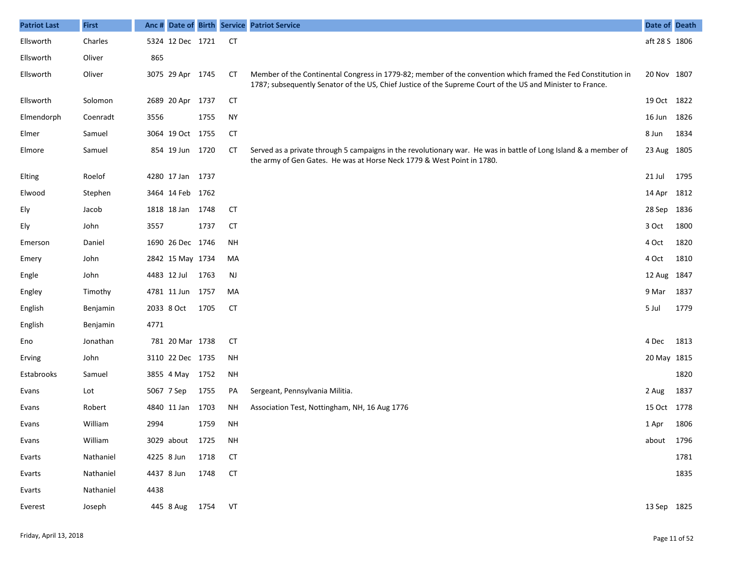| <b>Patriot Last</b> | <b>First</b> |      |                  |      |           | Anc# Date of Birth Service Patriot Service                                                                                                                                                                                 | Date of Death |      |
|---------------------|--------------|------|------------------|------|-----------|----------------------------------------------------------------------------------------------------------------------------------------------------------------------------------------------------------------------------|---------------|------|
| Ellsworth           | Charles      |      | 5324 12 Dec 1721 |      | СT        |                                                                                                                                                                                                                            | aft 28 S 1806 |      |
| Ellsworth           | Oliver       | 865  |                  |      |           |                                                                                                                                                                                                                            |               |      |
| Ellsworth           | Oliver       |      | 3075 29 Apr 1745 |      | CТ        | Member of the Continental Congress in 1779-82; member of the convention which framed the Fed Constitution in<br>1787; subsequently Senator of the US, Chief Justice of the Supreme Court of the US and Minister to France. | 20 Nov 1807   |      |
| Ellsworth           | Solomon      |      | 2689 20 Apr 1737 |      | CТ        |                                                                                                                                                                                                                            | 19 Oct 1822   |      |
| Elmendorph          | Coenradt     | 3556 |                  | 1755 | <b>NY</b> |                                                                                                                                                                                                                            | 16 Jun        | 1826 |
| Elmer               | Samuel       |      | 3064 19 Oct 1755 |      | <b>CT</b> |                                                                                                                                                                                                                            | 8 Jun         | 1834 |
| Elmore              | Samuel       |      | 854 19 Jun 1720  |      | CТ        | Served as a private through 5 campaigns in the revolutionary war. He was in battle of Long Island & a member of<br>the army of Gen Gates. He was at Horse Neck 1779 & West Point in 1780.                                  | 23 Aug 1805   |      |
| Elting              | Roelof       |      | 4280 17 Jan 1737 |      |           |                                                                                                                                                                                                                            | 21 Jul        | 1795 |
| Elwood              | Stephen      |      | 3464 14 Feb 1762 |      |           |                                                                                                                                                                                                                            | 14 Apr        | 1812 |
| Ely                 | Jacob        |      | 1818 18 Jan 1748 |      | <b>CT</b> |                                                                                                                                                                                                                            | 28 Sep        | 1836 |
| Ely                 | John         | 3557 |                  | 1737 | <b>CT</b> |                                                                                                                                                                                                                            | 3 Oct         | 1800 |
| Emerson             | Daniel       |      | 1690 26 Dec 1746 |      | <b>NH</b> |                                                                                                                                                                                                                            | 4 Oct         | 1820 |
| Emery               | John         |      | 2842 15 May 1734 |      | MA        |                                                                                                                                                                                                                            | 4 Oct         | 1810 |
| Engle               | John         |      | 4483 12 Jul      | 1763 | <b>NJ</b> |                                                                                                                                                                                                                            | 12 Aug 1847   |      |
| Engley              | Timothy      |      | 4781 11 Jun 1757 |      | MA        |                                                                                                                                                                                                                            | 9 Mar         | 1837 |
| English             | Benjamin     |      | 2033 8 Oct       | 1705 | <b>CT</b> |                                                                                                                                                                                                                            | 5 Jul         | 1779 |
| English             | Benjamin     | 4771 |                  |      |           |                                                                                                                                                                                                                            |               |      |
| Eno                 | Jonathan     |      | 781 20 Mar 1738  |      | <b>CT</b> |                                                                                                                                                                                                                            | 4 Dec         | 1813 |
| Erving              | John         |      | 3110 22 Dec 1735 |      | NH        |                                                                                                                                                                                                                            | 20 May 1815   |      |
| Estabrooks          | Samuel       |      | 3855 4 May       | 1752 | NH        |                                                                                                                                                                                                                            |               | 1820 |
| Evans               | Lot          |      | 5067 7 Sep       | 1755 | PA        | Sergeant, Pennsylvania Militia.                                                                                                                                                                                            | 2 Aug         | 1837 |
| Evans               | Robert       |      | 4840 11 Jan      | 1703 | <b>NH</b> | Association Test, Nottingham, NH, 16 Aug 1776                                                                                                                                                                              | 15 Oct 1778   |      |
| Evans               | William      | 2994 |                  | 1759 | <b>NH</b> |                                                                                                                                                                                                                            | 1 Apr         | 1806 |
| Evans               | William      |      | 3029 about 1725  |      | <b>NH</b> |                                                                                                                                                                                                                            | about 1796    |      |
| Evarts              | Nathaniel    |      | 4225 8 Jun       | 1718 | <b>CT</b> |                                                                                                                                                                                                                            |               | 1781 |
| Evarts              | Nathaniel    |      | 4437 8 Jun       | 1748 | <b>CT</b> |                                                                                                                                                                                                                            |               | 1835 |
| Evarts              | Nathaniel    | 4438 |                  |      |           |                                                                                                                                                                                                                            |               |      |
| Everest             | Joseph       |      | 445 8 Aug        | 1754 | VT        |                                                                                                                                                                                                                            | 13 Sep 1825   |      |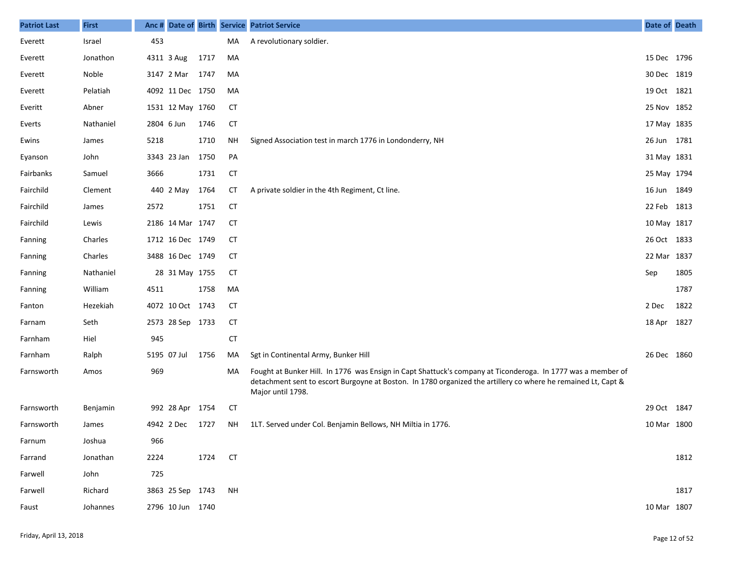| <b>Patriot Last</b> | <b>First</b> | Anc#       |                  |      |           | Date of Birth Service Patriot Service                                                                                                                                                                                                              | Date of Death |      |
|---------------------|--------------|------------|------------------|------|-----------|----------------------------------------------------------------------------------------------------------------------------------------------------------------------------------------------------------------------------------------------------|---------------|------|
| Everett             | Israel       | 453        |                  |      | MA        | A revolutionary soldier.                                                                                                                                                                                                                           |               |      |
| Everett             | Jonathon     |            | 4311 3 Aug       | 1717 | MA        |                                                                                                                                                                                                                                                    | 15 Dec 1796   |      |
| Everett             | Noble        |            | 3147 2 Mar       | 1747 | MA        |                                                                                                                                                                                                                                                    | 30 Dec 1819   |      |
| Everett             | Pelatiah     |            | 4092 11 Dec 1750 |      | MA        |                                                                                                                                                                                                                                                    | 19 Oct 1821   |      |
| Everitt             | Abner        |            | 1531 12 May 1760 |      | <b>CT</b> |                                                                                                                                                                                                                                                    | 25 Nov 1852   |      |
| Everts              | Nathaniel    | 2804 6 Jun |                  | 1746 | <b>CT</b> |                                                                                                                                                                                                                                                    | 17 May 1835   |      |
| Ewins               | James        | 5218       |                  | 1710 | <b>NH</b> | Signed Association test in march 1776 in Londonderry, NH                                                                                                                                                                                           | 26 Jun 1781   |      |
| Eyanson             | John         |            | 3343 23 Jan      | 1750 | PA        |                                                                                                                                                                                                                                                    | 31 May 1831   |      |
| Fairbanks           | Samuel       | 3666       |                  | 1731 | <b>CT</b> |                                                                                                                                                                                                                                                    | 25 May 1794   |      |
| Fairchild           | Clement      |            | 440 2 May        | 1764 | <b>CT</b> | A private soldier in the 4th Regiment, Ct line.                                                                                                                                                                                                    | 16 Jun 1849   |      |
| Fairchild           | James        | 2572       |                  | 1751 | <b>CT</b> |                                                                                                                                                                                                                                                    | 22 Feb 1813   |      |
| Fairchild           | Lewis        |            | 2186 14 Mar 1747 |      | CT        |                                                                                                                                                                                                                                                    | 10 May 1817   |      |
| Fanning             | Charles      |            | 1712 16 Dec 1749 |      | <b>CT</b> |                                                                                                                                                                                                                                                    | 26 Oct 1833   |      |
| Fanning             | Charles      |            | 3488 16 Dec 1749 |      | CТ        |                                                                                                                                                                                                                                                    | 22 Mar 1837   |      |
| Fanning             | Nathaniel    |            | 28 31 May 1755   |      | <b>CT</b> |                                                                                                                                                                                                                                                    | Sep           | 1805 |
| Fanning             | William      | 4511       |                  | 1758 | MA        |                                                                                                                                                                                                                                                    |               | 1787 |
| Fanton              | Hezekiah     |            | 4072 10 Oct 1743 |      | <b>CT</b> |                                                                                                                                                                                                                                                    | 2 Dec         | 1822 |
| Farnam              | Seth         |            | 2573 28 Sep 1733 |      | <b>CT</b> |                                                                                                                                                                                                                                                    | 18 Apr 1827   |      |
| Farnham             | Hiel         | 945        |                  |      | <b>CT</b> |                                                                                                                                                                                                                                                    |               |      |
| Farnham             | Ralph        |            | 5195 07 Jul      | 1756 | MA        | Sgt in Continental Army, Bunker Hill                                                                                                                                                                                                               | 26 Dec 1860   |      |
| Farnsworth          | Amos         | 969        |                  |      | MA        | Fought at Bunker Hill. In 1776 was Ensign in Capt Shattuck's company at Ticonderoga. In 1777 was a member of<br>detachment sent to escort Burgoyne at Boston. In 1780 organized the artillery co where he remained Lt, Capt &<br>Major until 1798. |               |      |
| Farnsworth          | Benjamin     |            | 992 28 Apr 1754  |      | CТ        |                                                                                                                                                                                                                                                    | 29 Oct 1847   |      |
| Farnsworth          | James        |            | 4942 2 Dec       | 1727 | ΝH        | 1LT. Served under Col. Benjamin Bellows, NH Miltia in 1776.                                                                                                                                                                                        | 10 Mar 1800   |      |
| Farnum              | Joshua       | 966        |                  |      |           |                                                                                                                                                                                                                                                    |               |      |
| Farrand             | Jonathan     | 2224       |                  | 1724 | <b>CT</b> |                                                                                                                                                                                                                                                    |               | 1812 |
| Farwell             | John         | 725        |                  |      |           |                                                                                                                                                                                                                                                    |               |      |
| Farwell             | Richard      |            | 3863 25 Sep 1743 |      | <b>NH</b> |                                                                                                                                                                                                                                                    |               | 1817 |
| Faust               | Johannes     |            | 2796 10 Jun 1740 |      |           |                                                                                                                                                                                                                                                    | 10 Mar 1807   |      |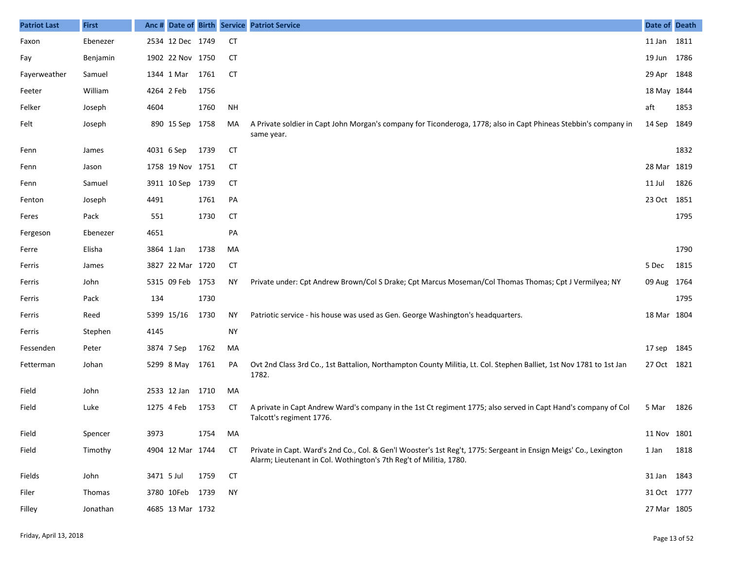| <b>Patriot Last</b> | <b>First</b> | Anc #      |                  |      |           | Date of Birth Service Patriot Service                                                                                                                                                   | Date of Death |      |
|---------------------|--------------|------------|------------------|------|-----------|-----------------------------------------------------------------------------------------------------------------------------------------------------------------------------------------|---------------|------|
| Faxon               | Ebenezer     |            | 2534 12 Dec 1749 |      | <b>CT</b> |                                                                                                                                                                                         | 11 Jan 1811   |      |
| Fay                 | Benjamin     |            | 1902 22 Nov 1750 |      | <b>CT</b> |                                                                                                                                                                                         | 19 Jun 1786   |      |
| Fayerweather        | Samuel       |            | 1344 1 Mar       | 1761 | <b>CT</b> |                                                                                                                                                                                         | 29 Apr 1848   |      |
| Feeter              | William      |            | 4264 2 Feb       | 1756 |           |                                                                                                                                                                                         | 18 May 1844   |      |
| Felker              | Joseph       | 4604       |                  | 1760 | <b>NH</b> |                                                                                                                                                                                         | aft           | 1853 |
| Felt                | Joseph       |            | 890 15 Sep       | 1758 | MA        | A Private soldier in Capt John Morgan's company for Ticonderoga, 1778; also in Capt Phineas Stebbin's company in<br>same year.                                                          | 14 Sep        | 1849 |
| Fenn                | James        |            | 4031 6 Sep       | 1739 | <b>CT</b> |                                                                                                                                                                                         |               | 1832 |
| Fenn                | Jason        |            | 1758 19 Nov 1751 |      | CТ        |                                                                                                                                                                                         | 28 Mar 1819   |      |
| Fenn                | Samuel       |            | 3911 10 Sep 1739 |      | <b>CT</b> |                                                                                                                                                                                         | 11 Jul        | 1826 |
| Fenton              | Joseph       | 4491       |                  | 1761 | PA        |                                                                                                                                                                                         | 23 Oct 1851   |      |
| Feres               | Pack         | 551        |                  | 1730 | <b>CT</b> |                                                                                                                                                                                         |               | 1795 |
| Fergeson            | Ebenezer     | 4651       |                  |      | PA        |                                                                                                                                                                                         |               |      |
| Ferre               | Elisha       | 3864 1 Jan |                  | 1738 | MA        |                                                                                                                                                                                         |               | 1790 |
| Ferris              | James        |            | 3827 22 Mar 1720 |      | CT        |                                                                                                                                                                                         | 5 Dec         | 1815 |
| Ferris              | John         |            | 5315 09 Feb 1753 |      | ΝY        | Private under: Cpt Andrew Brown/Col S Drake; Cpt Marcus Moseman/Col Thomas Thomas; Cpt J Vermilyea; NY                                                                                  | 09 Aug 1764   |      |
| Ferris              | Pack         | 134        |                  | 1730 |           |                                                                                                                                                                                         |               | 1795 |
| Ferris              | Reed         |            | 5399 15/16       | 1730 | <b>NY</b> | Patriotic service - his house was used as Gen. George Washington's headquarters.                                                                                                        | 18 Mar 1804   |      |
| Ferris              | Stephen      | 4145       |                  |      | <b>NY</b> |                                                                                                                                                                                         |               |      |
| Fessenden           | Peter        |            | 3874 7 Sep       | 1762 | MA        |                                                                                                                                                                                         | 17 sep 1845   |      |
| Fetterman           | Johan        |            | 5299 8 May       | 1761 | PA        | Ovt 2nd Class 3rd Co., 1st Battalion, Northampton County Militia, Lt. Col. Stephen Balliet, 1st Nov 1781 to 1st Jan<br>1782.                                                            | 27 Oct 1821   |      |
| Field               | John         |            | 2533 12 Jan      | 1710 | MA        |                                                                                                                                                                                         |               |      |
| Field               | Luke         |            | 1275 4 Feb       | 1753 | СT        | A private in Capt Andrew Ward's company in the 1st Ct regiment 1775; also served in Capt Hand's company of Col<br>Talcott's regiment 1776.                                              | 5 Mar         | 1826 |
| Field               | Spencer      | 3973       |                  | 1754 | MA        |                                                                                                                                                                                         | 11 Nov 1801   |      |
| Field               | Timothy      |            | 4904 12 Mar 1744 |      | СT        | Private in Capt. Ward's 2nd Co., Col. & Gen'l Wooster's 1st Reg't, 1775: Sergeant in Ensign Meigs' Co., Lexington<br>Alarm; Lieutenant in Col. Wothington's 7th Reg't of Militia, 1780. | 1 Jan         | 1818 |
| Fields              | John         | 3471 5 Jul |                  | 1759 | <b>CT</b> |                                                                                                                                                                                         | 31 Jan 1843   |      |
| Filer               | Thomas       |            | 3780 10Feb 1739  |      | <b>NY</b> |                                                                                                                                                                                         | 31 Oct 1777   |      |
| Filley              | Jonathan     |            | 4685 13 Mar 1732 |      |           |                                                                                                                                                                                         | 27 Mar 1805   |      |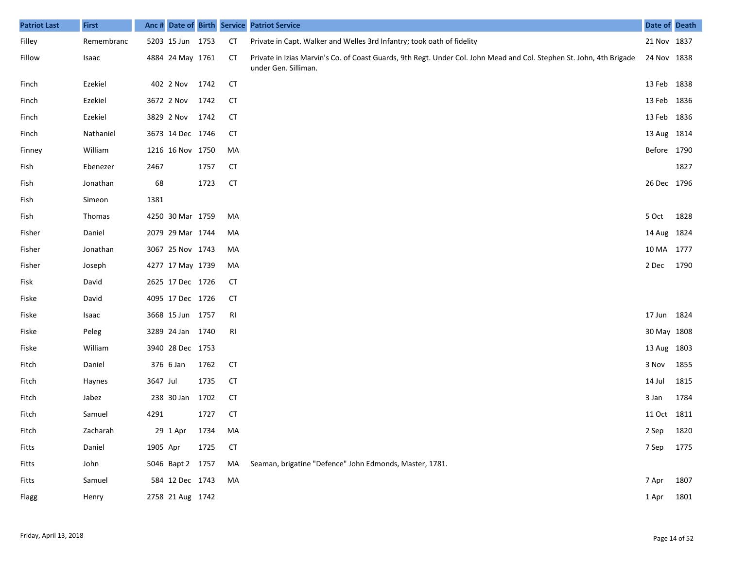| <b>Patriot Last</b> | <b>First</b> |          |                  |      |           | Anc # Date of Birth Service Patriot Service                                                                                                  | Date of Death |      |
|---------------------|--------------|----------|------------------|------|-----------|----------------------------------------------------------------------------------------------------------------------------------------------|---------------|------|
| Filley              | Remembranc   |          | 5203 15 Jun 1753 |      | <b>CT</b> | Private in Capt. Walker and Welles 3rd Infantry; took oath of fidelity                                                                       | 21 Nov 1837   |      |
| Fillow              | Isaac        |          | 4884 24 May 1761 |      | СT        | Private in Izias Marvin's Co. of Coast Guards, 9th Regt. Under Col. John Mead and Col. Stephen St. John, 4th Brigade<br>under Gen. Silliman. | 24 Nov 1838   |      |
| Finch               | Ezekiel      |          | 402 2 Nov        | 1742 | <b>CT</b> |                                                                                                                                              | 13 Feb 1838   |      |
| Finch               | Ezekiel      |          | 3672 2 Nov       | 1742 | <b>CT</b> |                                                                                                                                              | 13 Feb 1836   |      |
| Finch               | Ezekiel      |          | 3829 2 Nov       | 1742 | <b>CT</b> |                                                                                                                                              | 13 Feb 1836   |      |
| Finch               | Nathaniel    |          | 3673 14 Dec 1746 |      | <b>CT</b> |                                                                                                                                              | 13 Aug 1814   |      |
| Finney              | William      |          | 1216 16 Nov 1750 |      | MA        |                                                                                                                                              | Before 1790   |      |
| Fish                | Ebenezer     | 2467     |                  | 1757 | <b>CT</b> |                                                                                                                                              |               | 1827 |
| Fish                | Jonathan     | 68       |                  | 1723 | <b>CT</b> |                                                                                                                                              | 26 Dec 1796   |      |
| Fish                | Simeon       | 1381     |                  |      |           |                                                                                                                                              |               |      |
| Fish                | Thomas       |          | 4250 30 Mar 1759 |      | MA        |                                                                                                                                              | 5 Oct         | 1828 |
| Fisher              | Daniel       |          | 2079 29 Mar 1744 |      | MA        |                                                                                                                                              | 14 Aug 1824   |      |
| Fisher              | Jonathan     |          | 3067 25 Nov 1743 |      | MA        |                                                                                                                                              | 10 MA 1777    |      |
| Fisher              | Joseph       |          | 4277 17 May 1739 |      | MA        |                                                                                                                                              | 2 Dec         | 1790 |
| Fisk                | David        |          | 2625 17 Dec 1726 |      | <b>CT</b> |                                                                                                                                              |               |      |
| Fiske               | David        |          | 4095 17 Dec 1726 |      | <b>CT</b> |                                                                                                                                              |               |      |
| Fiske               | Isaac        |          | 3668 15 Jun 1757 |      | RI        |                                                                                                                                              | 17 Jun 1824   |      |
| Fiske               | Peleg        |          | 3289 24 Jan 1740 |      | RI        |                                                                                                                                              | 30 May 1808   |      |
| Fiske               | William      |          | 3940 28 Dec 1753 |      |           |                                                                                                                                              | 13 Aug 1803   |      |
| Fitch               | Daniel       |          | 376 6 Jan        | 1762 | <b>CT</b> |                                                                                                                                              | 3 Nov         | 1855 |
| Fitch               | Haynes       | 3647 Jul |                  | 1735 | <b>CT</b> |                                                                                                                                              | 14 Jul        | 1815 |
| Fitch               | Jabez        |          | 238 30 Jan       | 1702 | <b>CT</b> |                                                                                                                                              | 3 Jan         | 1784 |
| Fitch               | Samuel       | 4291     |                  | 1727 | <b>CT</b> |                                                                                                                                              | 11 Oct 1811   |      |
| Fitch               | Zacharah     |          | 29 1 Apr 1734    |      | MA        |                                                                                                                                              | 2 Sep 1820    |      |
| Fitts               | Daniel       | 1905 Apr |                  | 1725 | <b>CT</b> |                                                                                                                                              | 7 Sep 1775    |      |
| Fitts               | John         |          | 5046 Bapt 2 1757 |      | MA        | Seaman, brigatine "Defence" John Edmonds, Master, 1781.                                                                                      |               |      |
| Fitts               | Samuel       |          | 584 12 Dec 1743  |      | MA        |                                                                                                                                              | 7 Apr         | 1807 |
| Flagg               | Henry        |          | 2758 21 Aug 1742 |      |           |                                                                                                                                              | 1 Apr         | 1801 |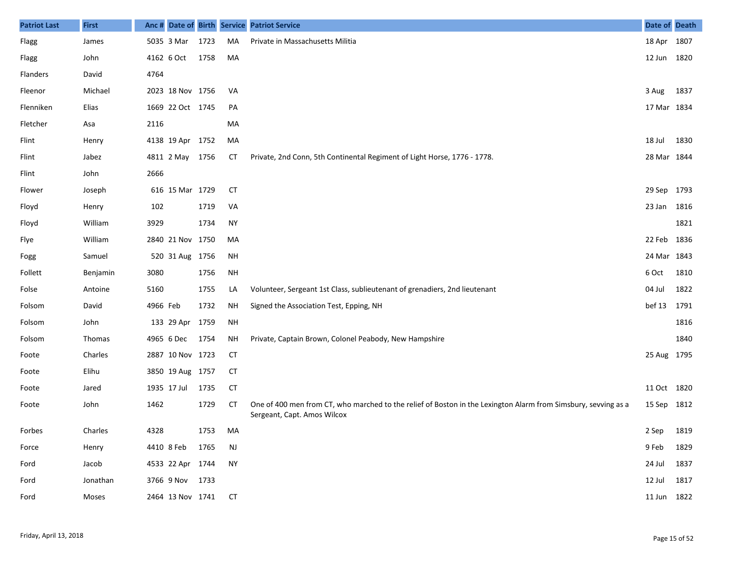| <b>Patriot Last</b> | <b>First</b> | Anc #    |                     |      |           | Date of Birth Service Patriot Service                                                                                                         | Date of Death |      |
|---------------------|--------------|----------|---------------------|------|-----------|-----------------------------------------------------------------------------------------------------------------------------------------------|---------------|------|
| Flagg               | James        |          | 5035 3 Mar          | 1723 | MA        | Private in Massachusetts Militia                                                                                                              | 18 Apr 1807   |      |
| Flagg               | John         |          | 4162 6 Oct          | 1758 | MA        |                                                                                                                                               | 12 Jun        | 1820 |
| Flanders            | David        | 4764     |                     |      |           |                                                                                                                                               |               |      |
| Fleenor             | Michael      |          | 2023 18 Nov 1756    |      | VA        |                                                                                                                                               | 3 Aug         | 1837 |
| Flenniken           | Elias        |          | 1669 22 Oct 1745    |      | PA        |                                                                                                                                               | 17 Mar 1834   |      |
| Fletcher            | Asa          | 2116     |                     |      | MA        |                                                                                                                                               |               |      |
| Flint               | Henry        |          | 4138 19 Apr 1752    |      | MA        |                                                                                                                                               | 18 Jul        | 1830 |
| Flint               | Jabez        |          | 4811 2 May 1756     |      | СT        | Private, 2nd Conn, 5th Continental Regiment of Light Horse, 1776 - 1778.                                                                      | 28 Mar 1844   |      |
| Flint               | John         | 2666     |                     |      |           |                                                                                                                                               |               |      |
| Flower              | Joseph       |          | 616 15 Mar 1729     |      | <b>CT</b> |                                                                                                                                               | 29 Sep        | 1793 |
| Floyd               | Henry        | 102      |                     | 1719 | VA        |                                                                                                                                               | 23 Jan        | 1816 |
| Floyd               | William      | 3929     |                     | 1734 | <b>NY</b> |                                                                                                                                               |               | 1821 |
| Flye                | William      |          | 2840 21 Nov 1750    |      | MA        |                                                                                                                                               | 22 Feb        | 1836 |
| Fogg                | Samuel       |          | 520 31 Aug 1756     |      | <b>NH</b> |                                                                                                                                               | 24 Mar 1843   |      |
| Follett             | Benjamin     | 3080     |                     | 1756 | <b>NH</b> |                                                                                                                                               | 6 Oct         | 1810 |
| Folse               | Antoine      | 5160     |                     | 1755 | LA        | Volunteer, Sergeant 1st Class, sublieutenant of grenadiers, 2nd lieutenant                                                                    | 04 Jul        | 1822 |
| Folsom              | David        | 4966 Feb |                     | 1732 | ΝH        | Signed the Association Test, Epping, NH                                                                                                       | bef 13        | 1791 |
| Folsom              | John         |          | 133 29 Apr          | 1759 | <b>NH</b> |                                                                                                                                               |               | 1816 |
| Folsom              | Thomas       |          | 4965 6 Dec          | 1754 | ΝH        | Private, Captain Brown, Colonel Peabody, New Hampshire                                                                                        |               | 1840 |
| Foote               | Charles      |          | 2887 10 Nov 1723    |      | CТ        |                                                                                                                                               | 25 Aug 1795   |      |
| Foote               | Elihu        |          | 3850 19 Aug 1757    |      | CТ        |                                                                                                                                               |               |      |
| Foote               | Jared        |          | 1935 17 Jul         | 1735 | CТ        |                                                                                                                                               | 11 Oct 1820   |      |
| Foote               | John         | 1462     |                     | 1729 | СT        | One of 400 men from CT, who marched to the relief of Boston in the Lexington Alarm from Simsbury, sevving as a<br>Sergeant, Capt. Amos Wilcox | 15 Sep        | 1812 |
| Forbes              | Charles      | 4328     |                     | 1753 | MA        |                                                                                                                                               | 2 Sep 1819    |      |
| Force               | Henry        |          | 4410 8 Feb 1765     |      | <b>NJ</b> |                                                                                                                                               | 9 Feb         | 1829 |
| Ford                | Jacob        |          | 4533 22 Apr 1744    |      | NY        |                                                                                                                                               | 24 Jul        | 1837 |
| Ford                | Jonathan     |          | 3766 9 Nov 1733     |      |           |                                                                                                                                               | 12 Jul 1817   |      |
| Ford                | Moses        |          | 2464 13 Nov 1741 CT |      |           |                                                                                                                                               | 11 Jun 1822   |      |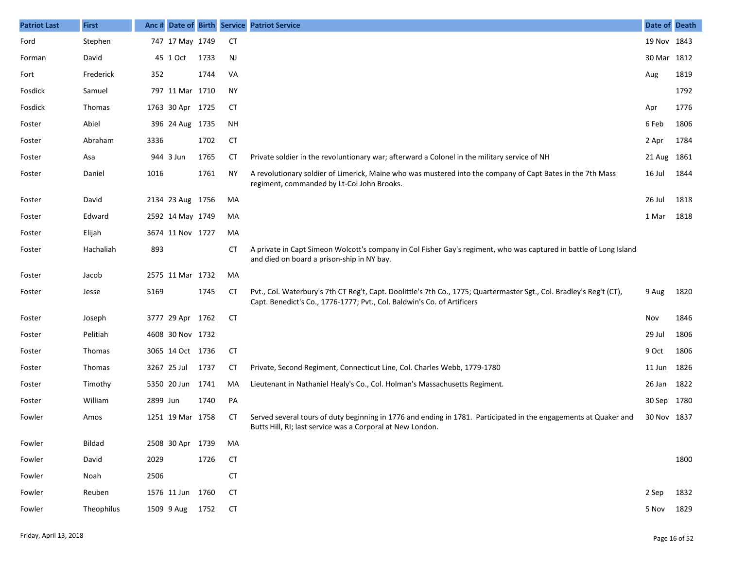| <b>Patriot Last</b> | <b>First</b>  | Anc#     |                  |      |           | Date of Birth Service Patriot Service                                                                                                                                                           | Date of Death |      |
|---------------------|---------------|----------|------------------|------|-----------|-------------------------------------------------------------------------------------------------------------------------------------------------------------------------------------------------|---------------|------|
| Ford                | Stephen       |          | 747 17 May 1749  |      | <b>CT</b> |                                                                                                                                                                                                 | 19 Nov 1843   |      |
| Forman              | David         |          | 45 1 Oct         | 1733 | <b>NJ</b> |                                                                                                                                                                                                 | 30 Mar 1812   |      |
| Fort                | Frederick     | 352      |                  | 1744 | VA        |                                                                                                                                                                                                 | Aug           | 1819 |
| Fosdick             | Samuel        |          | 797 11 Mar 1710  |      | <b>NY</b> |                                                                                                                                                                                                 |               | 1792 |
| Fosdick             | Thomas        |          | 1763 30 Apr 1725 |      | <b>CT</b> |                                                                                                                                                                                                 | Apr           | 1776 |
| Foster              | Abiel         |          | 396 24 Aug 1735  |      | <b>NH</b> |                                                                                                                                                                                                 | 6 Feb         | 1806 |
| Foster              | Abraham       | 3336     |                  | 1702 | <b>CT</b> |                                                                                                                                                                                                 | 2 Apr         | 1784 |
| Foster              | Asa           |          | 944 3 Jun        | 1765 | СT        | Private soldier in the revoluntionary war; afterward a Colonel in the military service of NH                                                                                                    | 21 Aug 1861   |      |
| Foster              | Daniel        | 1016     |                  | 1761 | ΝY        | A revolutionary soldier of Limerick, Maine who was mustered into the company of Capt Bates in the 7th Mass<br>regiment, commanded by Lt-Col John Brooks.                                        | 16 Jul        | 1844 |
| Foster              | David         |          | 2134 23 Aug 1756 |      | MA        |                                                                                                                                                                                                 | 26 Jul        | 1818 |
| Foster              | Edward        |          | 2592 14 May 1749 |      | MA        |                                                                                                                                                                                                 | 1 Mar         | 1818 |
| Foster              | Elijah        |          | 3674 11 Nov 1727 |      | MA        |                                                                                                                                                                                                 |               |      |
| Foster              | Hachaliah     | 893      |                  |      | СT        | A private in Capt Simeon Wolcott's company in Col Fisher Gay's regiment, who was captured in battle of Long Island<br>and died on board a prison-ship in NY bay.                                |               |      |
| Foster              | Jacob         |          | 2575 11 Mar 1732 |      | MA        |                                                                                                                                                                                                 |               |      |
| Foster              | Jesse         | 5169     |                  | 1745 | <b>CT</b> | Pvt., Col. Waterbury's 7th CT Reg't, Capt. Doolittle's 7th Co., 1775; Quartermaster Sgt., Col. Bradley's Reg't (CT),<br>Capt. Benedict's Co., 1776-1777; Pvt., Col. Baldwin's Co. of Artificers | 9 Aug         | 1820 |
| Foster              | Joseph        |          | 3777 29 Apr 1762 |      | <b>CT</b> |                                                                                                                                                                                                 | Nov           | 1846 |
| Foster              | Pelitiah      |          | 4608 30 Nov 1732 |      |           |                                                                                                                                                                                                 | 29 Jul        | 1806 |
| Foster              | Thomas        |          | 3065 14 Oct 1736 |      | <b>CT</b> |                                                                                                                                                                                                 | 9 Oct         | 1806 |
| Foster              | Thomas        |          | 3267 25 Jul      | 1737 | СT        | Private, Second Regiment, Connecticut Line, Col. Charles Webb, 1779-1780                                                                                                                        | 11 Jun        | 1826 |
| Foster              | Timothy       |          | 5350 20 Jun      | 1741 | MA        | Lieutenant in Nathaniel Healy's Co., Col. Holman's Massachusetts Regiment.                                                                                                                      | 26 Jan 1822   |      |
| Foster              | William       | 2899 Jun |                  | 1740 | PA        |                                                                                                                                                                                                 | 30 Sep 1780   |      |
| Fowler              | Amos          |          | 1251 19 Mar 1758 |      | CТ        | Served several tours of duty beginning in 1776 and ending in 1781. Participated in the engagements at Quaker and<br>Butts Hill, RI; last service was a Corporal at New London.                  | 30 Nov 1837   |      |
| Fowler              | <b>Bildad</b> |          | 2508 30 Apr 1739 |      | МA        |                                                                                                                                                                                                 |               |      |
| Fowler              | David         | 2029     |                  | 1726 | <b>CT</b> |                                                                                                                                                                                                 |               | 1800 |
| Fowler              | Noah          | 2506     |                  |      | <b>CT</b> |                                                                                                                                                                                                 |               |      |
| Fowler              | Reuben        |          | 1576 11 Jun 1760 |      | <b>CT</b> |                                                                                                                                                                                                 | 2 Sep         | 1832 |
| Fowler              | Theophilus    |          | 1509 9 Aug       | 1752 | <b>CT</b> |                                                                                                                                                                                                 | 5 Nov         | 1829 |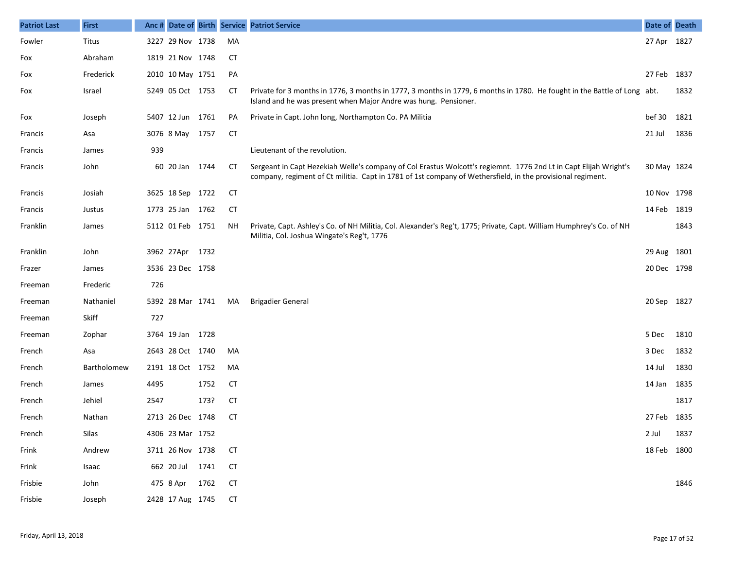| <b>Patriot Last</b> | <b>First</b> |      |                  |      |           | Anc # Date of Birth Service Patriot Service                                                                                                                                                                                    | Date of Death |      |
|---------------------|--------------|------|------------------|------|-----------|--------------------------------------------------------------------------------------------------------------------------------------------------------------------------------------------------------------------------------|---------------|------|
| Fowler              | Titus        |      | 3227 29 Nov 1738 |      | MA        |                                                                                                                                                                                                                                | 27 Apr 1827   |      |
| Fox                 | Abraham      |      | 1819 21 Nov 1748 |      | СT        |                                                                                                                                                                                                                                |               |      |
| Fox                 | Frederick    |      | 2010 10 May 1751 |      | PA        |                                                                                                                                                                                                                                | 27 Feb 1837   |      |
| Fox                 | Israel       |      | 5249 05 Oct 1753 |      | CТ        | Private for 3 months in 1776, 3 months in 1777, 3 months in 1779, 6 months in 1780. He fought in the Battle of Long abt.<br>Island and he was present when Major Andre was hung. Pensioner.                                    |               | 1832 |
| Fox                 | Joseph       |      | 5407 12 Jun 1761 |      | PA        | Private in Capt. John long, Northampton Co. PA Militia                                                                                                                                                                         | bef 30        | 1821 |
| Francis             | Asa          |      | 3076 8 May 1757  |      | CT        |                                                                                                                                                                                                                                | 21 Jul        | 1836 |
| Francis             | James        | 939  |                  |      |           | Lieutenant of the revolution.                                                                                                                                                                                                  |               |      |
| Francis             | John         |      | 60 20 Jan 1744   |      | CT        | Sergeant in Capt Hezekiah Welle's company of Col Erastus Wolcott's regiemnt. 1776 2nd Lt in Capt Elijah Wright's<br>company, regiment of Ct militia. Capt in 1781 of 1st company of Wethersfield, in the provisional regiment. | 30 May 1824   |      |
| Francis             | Josiah       |      | 3625 18 Sep 1722 |      | CТ        |                                                                                                                                                                                                                                | 10 Nov 1798   |      |
| Francis             | Justus       |      | 1773 25 Jan 1762 |      | <b>CT</b> |                                                                                                                                                                                                                                | 14 Feb 1819   |      |
| Franklin            | James        |      | 5112 01 Feb 1751 |      | <b>NH</b> | Private, Capt. Ashley's Co. of NH Militia, Col. Alexander's Reg't, 1775; Private, Capt. William Humphrey's Co. of NH<br>Militia, Col. Joshua Wingate's Reg't, 1776                                                             |               | 1843 |
| Franklin            | John         |      | 3962 27Apr 1732  |      |           |                                                                                                                                                                                                                                | 29 Aug 1801   |      |
| Frazer              | James        |      | 3536 23 Dec 1758 |      |           |                                                                                                                                                                                                                                | 20 Dec 1798   |      |
| Freeman             | Frederic     | 726  |                  |      |           |                                                                                                                                                                                                                                |               |      |
| Freeman             | Nathaniel    |      | 5392 28 Mar 1741 |      | MA        | <b>Brigadier General</b>                                                                                                                                                                                                       | 20 Sep 1827   |      |
| Freeman             | Skiff        | 727  |                  |      |           |                                                                                                                                                                                                                                |               |      |
| Freeman             | Zophar       |      | 3764 19 Jan 1728 |      |           |                                                                                                                                                                                                                                | 5 Dec         | 1810 |
| French              | Asa          |      | 2643 28 Oct 1740 |      | MA        |                                                                                                                                                                                                                                | 3 Dec         | 1832 |
| French              | Bartholomew  |      | 2191 18 Oct 1752 |      | MA        |                                                                                                                                                                                                                                | 14 Jul        | 1830 |
| French              | James        | 4495 |                  | 1752 | <b>CT</b> |                                                                                                                                                                                                                                | 14 Jan        | 1835 |
| French              | Jehiel       | 2547 |                  | 173? | <b>CT</b> |                                                                                                                                                                                                                                |               | 1817 |
| French              | Nathan       |      | 2713 26 Dec 1748 |      | СT        |                                                                                                                                                                                                                                | 27 Feb 1835   |      |
| French              | Silas        |      | 4306 23 Mar 1752 |      |           |                                                                                                                                                                                                                                | 2 Jul         | 1837 |
| Frink               | Andrew       |      | 3711 26 Nov 1738 |      | <b>CT</b> |                                                                                                                                                                                                                                | 18 Feb 1800   |      |
| Frink               | Isaac        |      | 662 20 Jul 1741  |      | <b>CT</b> |                                                                                                                                                                                                                                |               |      |
| Frisbie             | John         |      | 475 8 Apr        | 1762 | <b>CT</b> |                                                                                                                                                                                                                                |               | 1846 |
| Frisbie             | Joseph       |      | 2428 17 Aug 1745 |      | <b>CT</b> |                                                                                                                                                                                                                                |               |      |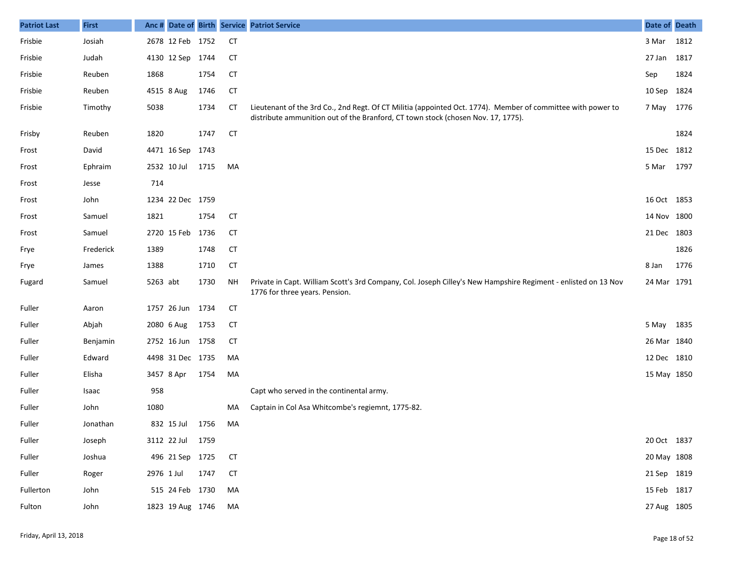| <b>Patriot Last</b> | <b>First</b> | Anc #      |                  |      |           | Date of Birth Service Patriot Service                                                                                                                                                           | Date of Death |      |
|---------------------|--------------|------------|------------------|------|-----------|-------------------------------------------------------------------------------------------------------------------------------------------------------------------------------------------------|---------------|------|
| Frisbie             | Josiah       |            | 2678 12 Feb 1752 |      | <b>CT</b> |                                                                                                                                                                                                 | 3 Mar         | 1812 |
| Frisbie             | Judah        |            | 4130 12 Sep 1744 |      | CТ        |                                                                                                                                                                                                 | 27 Jan        | 1817 |
| Frisbie             | Reuben       | 1868       |                  | 1754 | <b>CT</b> |                                                                                                                                                                                                 | Sep           | 1824 |
| Frisbie             | Reuben       |            | 4515 8 Aug       | 1746 | <b>CT</b> |                                                                                                                                                                                                 | 10 Sep 1824   |      |
| Frisbie             | Timothy      | 5038       |                  | 1734 | <b>CT</b> | Lieutenant of the 3rd Co., 2nd Regt. Of CT Militia (appointed Oct. 1774). Member of committee with power to<br>distribute ammunition out of the Branford, CT town stock (chosen Nov. 17, 1775). | 7 May 1776    |      |
| Frisby              | Reuben       | 1820       |                  | 1747 | <b>CT</b> |                                                                                                                                                                                                 |               | 1824 |
| Frost               | David        |            | 4471 16 Sep      | 1743 |           |                                                                                                                                                                                                 | 15 Dec 1812   |      |
| Frost               | Ephraim      |            | 2532 10 Jul      | 1715 | MA        |                                                                                                                                                                                                 | 5 Mar         | 1797 |
| Frost               | Jesse        | 714        |                  |      |           |                                                                                                                                                                                                 |               |      |
| Frost               | John         |            | 1234 22 Dec 1759 |      |           |                                                                                                                                                                                                 | 16 Oct 1853   |      |
| Frost               | Samuel       | 1821       |                  | 1754 | CT        |                                                                                                                                                                                                 | 14 Nov 1800   |      |
| Frost               | Samuel       |            | 2720 15 Feb 1736 |      | <b>CT</b> |                                                                                                                                                                                                 | 21 Dec 1803   |      |
| Frye                | Frederick    | 1389       |                  | 1748 | <b>CT</b> |                                                                                                                                                                                                 |               | 1826 |
| Frye                | James        | 1388       |                  | 1710 | <b>CT</b> |                                                                                                                                                                                                 | 8 Jan         | 1776 |
| Fugard              | Samuel       | 5263 abt   |                  | 1730 | <b>NH</b> | Private in Capt. William Scott's 3rd Company, Col. Joseph Cilley's New Hampshire Regiment - enlisted on 13 Nov<br>1776 for three years. Pension.                                                | 24 Mar 1791   |      |
| Fuller              | Aaron        |            | 1757 26 Jun 1734 |      | <b>CT</b> |                                                                                                                                                                                                 |               |      |
| Fuller              | Abjah        |            | 2080 6 Aug       | 1753 | <b>CT</b> |                                                                                                                                                                                                 | 5 May 1835    |      |
| Fuller              | Benjamin     |            | 2752 16 Jun 1758 |      | <b>CT</b> |                                                                                                                                                                                                 | 26 Mar 1840   |      |
| Fuller              | Edward       |            | 4498 31 Dec 1735 |      | MA        |                                                                                                                                                                                                 | 12 Dec 1810   |      |
| Fuller              | Elisha       |            | 3457 8 Apr       | 1754 | MA        |                                                                                                                                                                                                 | 15 May 1850   |      |
| Fuller              | Isaac        | 958        |                  |      |           | Capt who served in the continental army.                                                                                                                                                        |               |      |
| Fuller              | John         | 1080       |                  |      | MA        | Captain in Col Asa Whitcombe's regiemnt, 1775-82.                                                                                                                                               |               |      |
| Fuller              | Jonathan     |            | 832 15 Jul       | 1756 | MA        |                                                                                                                                                                                                 |               |      |
| Fuller              | Joseph       |            | 3112 22 Jul 1759 |      |           |                                                                                                                                                                                                 | 20 Oct 1837   |      |
| Fuller              | Joshua       |            | 496 21 Sep 1725  |      | <b>CT</b> |                                                                                                                                                                                                 | 20 May 1808   |      |
| Fuller              | Roger        | 2976 1 Jul |                  | 1747 | <b>CT</b> |                                                                                                                                                                                                 | 21 Sep 1819   |      |
| Fullerton           | John         |            | 515 24 Feb 1730  |      | MA        |                                                                                                                                                                                                 | 15 Feb 1817   |      |
| Fulton              | John         |            | 1823 19 Aug 1746 |      | МA        |                                                                                                                                                                                                 | 27 Aug 1805   |      |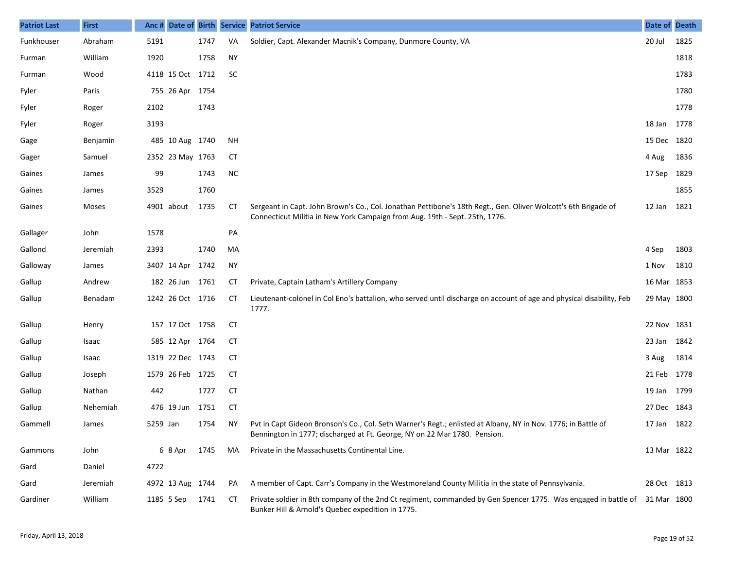| <b>Patriot Last</b> | <b>First</b> |            |                  |      |           | Anc # Date of Birth Service Patriot Service                                                                                                                                                   | Date of Death |      |
|---------------------|--------------|------------|------------------|------|-----------|-----------------------------------------------------------------------------------------------------------------------------------------------------------------------------------------------|---------------|------|
| Funkhouser          | Abraham      | 5191       |                  | 1747 | VA        | Soldier, Capt. Alexander Macnik's Company, Dunmore County, VA                                                                                                                                 | 20 Jul        | 1825 |
| Furman              | William      | 1920       |                  | 1758 | <b>NY</b> |                                                                                                                                                                                               |               | 1818 |
| Furman              | Wood         |            | 4118 15 Oct 1712 |      | <b>SC</b> |                                                                                                                                                                                               |               | 1783 |
| Fyler               | Paris        |            | 755 26 Apr 1754  |      |           |                                                                                                                                                                                               |               | 1780 |
| Fyler               | Roger        | 2102       |                  | 1743 |           |                                                                                                                                                                                               |               | 1778 |
| Fyler               | Roger        | 3193       |                  |      |           |                                                                                                                                                                                               | 18 Jan 1778   |      |
| Gage                | Benjamin     |            | 485 10 Aug 1740  |      | <b>NH</b> |                                                                                                                                                                                               | 15 Dec 1820   |      |
| Gager               | Samuel       |            | 2352 23 May 1763 |      | CТ        |                                                                                                                                                                                               | 4 Aug         | 1836 |
| Gaines              | James        | 99         |                  | 1743 | <b>NC</b> |                                                                                                                                                                                               | 17 Sep 1829   |      |
| Gaines              | James        | 3529       |                  | 1760 |           |                                                                                                                                                                                               |               | 1855 |
| Gaines              | Moses        |            | 4901 about       | 1735 | CT        | Sergeant in Capt. John Brown's Co., Col. Jonathan Pettibone's 18th Regt., Gen. Oliver Wolcott's 6th Brigade of<br>Connecticut Militia in New York Campaign from Aug. 19th - Sept. 25th, 1776. | 12 Jan        | 1821 |
| Gallager            | John         | 1578       |                  |      | PA        |                                                                                                                                                                                               |               |      |
| Gallond             | Jeremiah     | 2393       |                  | 1740 | MA        |                                                                                                                                                                                               | 4 Sep         | 1803 |
| Galloway            | James        |            | 3407 14 Apr      | 1742 | NY        |                                                                                                                                                                                               | 1 Nov         | 1810 |
| Gallup              | Andrew       |            | 182 26 Jun 1761  |      | СT        | Private, Captain Latham's Artillery Company                                                                                                                                                   | 16 Mar 1853   |      |
| Gallup              | Benadam      |            | 1242 26 Oct 1716 |      | <b>CT</b> | Lieutenant-colonel in Col Eno's battalion, who served until discharge on account of age and physical disability, Feb<br>1777.                                                                 | 29 May 1800   |      |
| Gallup              | Henry        |            | 157 17 Oct 1758  |      | <b>CT</b> |                                                                                                                                                                                               | 22 Nov 1831   |      |
| Gallup              | Isaac        |            | 585 12 Apr 1764  |      | <b>CT</b> |                                                                                                                                                                                               | 23 Jan 1842   |      |
| Gallup              | Isaac        |            | 1319 22 Dec 1743 |      | <b>CT</b> |                                                                                                                                                                                               | 3 Aug         | 1814 |
| Gallup              | Joseph       |            | 1579 26 Feb 1725 |      | <b>CT</b> |                                                                                                                                                                                               | 21 Feb 1778   |      |
| Gallup              | Nathan       | 442        |                  | 1727 | <b>CT</b> |                                                                                                                                                                                               | 19 Jan 1799   |      |
| Gallup              | Nehemiah     |            | 476 19 Jun       | 1751 | <b>CT</b> |                                                                                                                                                                                               | 27 Dec 1843   |      |
| Gammell             | James        | 5259 Jan   |                  | 1754 | ΝY        | Pvt in Capt Gideon Bronson's Co., Col. Seth Warner's Regt.; enlisted at Albany, NY in Nov. 1776; in Battle of<br>Bennington in 1777; discharged at Ft. George, NY on 22 Mar 1780. Pension.    | 17 Jan 1822   |      |
| Gammons             | John         |            | 6 8 Apr          | 1745 | MA        | Private in the Massachusetts Continental Line.                                                                                                                                                | 13 Mar 1822   |      |
| Gard                | Daniel       | 4722       |                  |      |           |                                                                                                                                                                                               |               |      |
| Gard                | Jeremiah     |            | 4972 13 Aug 1744 |      | PA        | A member of Capt. Carr's Company in the Westmoreland County Militia in the state of Pennsylvania.                                                                                             | 28 Oct 1813   |      |
| Gardiner            | William      | 1185 5 Sep |                  | 1741 | CТ        | Private soldier in 8th company of the 2nd Ct regiment, commanded by Gen Spencer 1775. Was engaged in battle of<br>Bunker Hill & Arnold's Quebec expedition in 1775.                           | 31 Mar 1800   |      |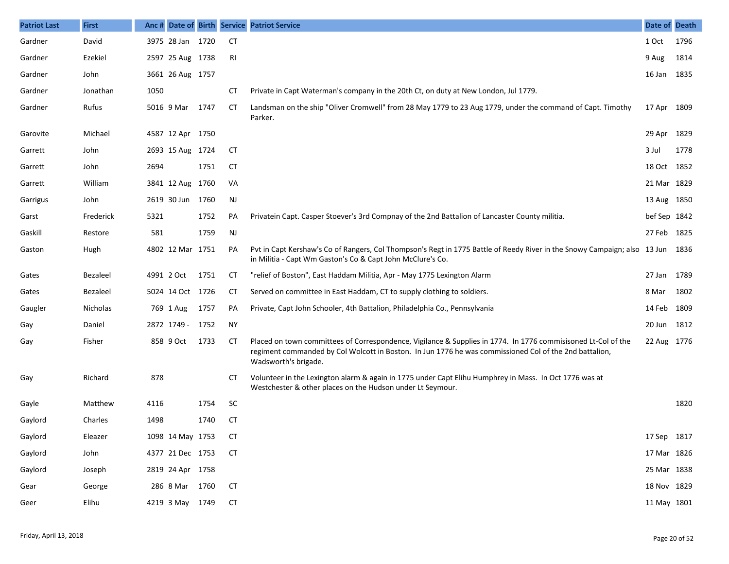| <b>Patriot Last</b> | <b>First</b> |            |                  |      |           | Anc # Date of Birth Service Patriot Service                                                                                                                                                                                                     | Date of Death |      |
|---------------------|--------------|------------|------------------|------|-----------|-------------------------------------------------------------------------------------------------------------------------------------------------------------------------------------------------------------------------------------------------|---------------|------|
| Gardner             | David        |            | 3975 28 Jan 1720 |      | <b>CT</b> |                                                                                                                                                                                                                                                 | 1 Oct         | 1796 |
| Gardner             | Ezekiel      |            | 2597 25 Aug 1738 |      | RI        |                                                                                                                                                                                                                                                 | 9 Aug         | 1814 |
| Gardner             | John         |            | 3661 26 Aug 1757 |      |           |                                                                                                                                                                                                                                                 | 16 Jan 1835   |      |
| Gardner             | Jonathan     | 1050       |                  |      | CТ        | Private in Capt Waterman's company in the 20th Ct, on duty at New London, Jul 1779.                                                                                                                                                             |               |      |
| Gardner             | Rufus        |            | 5016 9 Mar       | 1747 | СT        | Landsman on the ship "Oliver Cromwell" from 28 May 1779 to 23 Aug 1779, under the command of Capt. Timothy<br>Parker.                                                                                                                           | 17 Apr 1809   |      |
| Garovite            | Michael      |            | 4587 12 Apr 1750 |      |           |                                                                                                                                                                                                                                                 | 29 Apr 1829   |      |
| Garrett             | John         |            | 2693 15 Aug 1724 |      | СT        |                                                                                                                                                                                                                                                 | 3 Jul         | 1778 |
| Garrett             | John         | 2694       |                  | 1751 | СT        |                                                                                                                                                                                                                                                 | 18 Oct 1852   |      |
| Garrett             | William      |            | 3841 12 Aug 1760 |      | VA        |                                                                                                                                                                                                                                                 | 21 Mar 1829   |      |
| Garrigus            | John         |            | 2619 30 Jun 1760 |      | <b>NJ</b> |                                                                                                                                                                                                                                                 | 13 Aug 1850   |      |
| Garst               | Frederick    | 5321       |                  | 1752 | PA        | Privatein Capt. Casper Stoever's 3rd Compnay of the 2nd Battalion of Lancaster County militia.                                                                                                                                                  | bef Sep 1842  |      |
| Gaskill             | Restore      | 581        |                  | 1759 | <b>NJ</b> |                                                                                                                                                                                                                                                 | 27 Feb 1825   |      |
| Gaston              | Hugh         |            | 4802 12 Mar 1751 |      | PA        | Pvt in Capt Kershaw's Co of Rangers, Col Thompson's Regt in 1775 Battle of Reedy River in the Snowy Campaign; also 13 Jun 1836<br>in Militia - Capt Wm Gaston's Co & Capt John McClure's Co.                                                    |               |      |
| Gates               | Bezaleel     | 4991 2 Oct |                  | 1751 | CТ        | "relief of Boston", East Haddam Militia, Apr - May 1775 Lexington Alarm                                                                                                                                                                         | 27 Jan 1789   |      |
| Gates               | Bezaleel     |            | 5024 14 Oct 1726 |      | <b>CT</b> | Served on committee in East Haddam, CT to supply clothing to soldiers.                                                                                                                                                                          | 8 Mar         | 1802 |
| Gaugler             | Nicholas     |            | 769 1 Aug        | 1757 | PA        | Private, Capt John Schooler, 4th Battalion, Philadelphia Co., Pennsylvania                                                                                                                                                                      | 14 Feb 1809   |      |
| Gay                 | Daniel       |            | 2872 1749 -      | 1752 | NY.       |                                                                                                                                                                                                                                                 | 20 Jun 1812   |      |
| Gay                 | Fisher       |            | 858 9 Oct        | 1733 | <b>CT</b> | Placed on town committees of Correspondence, Vigilance & Supplies in 1774. In 1776 commisisoned Lt-Col of the<br>regiment commanded by Col Wolcott in Boston. In Jun 1776 he was commissioned Col of the 2nd battalion,<br>Wadsworth's brigade. | 22 Aug 1776   |      |
| Gay                 | Richard      | 878        |                  |      | CТ        | Volunteer in the Lexington alarm & again in 1775 under Capt Elihu Humphrey in Mass. In Oct 1776 was at<br>Westchester & other places on the Hudson under Lt Seymour.                                                                            |               |      |
| Gayle               | Matthew      | 4116       |                  | 1754 | <b>SC</b> |                                                                                                                                                                                                                                                 |               | 1820 |
| Gaylord             | Charles      | 1498       |                  | 1740 | СT        |                                                                                                                                                                                                                                                 |               |      |
| Gaylord             | Eleazer      |            | 1098 14 May 1753 |      | <b>CT</b> |                                                                                                                                                                                                                                                 | 17 Sep 1817   |      |
| Gaylord             | John         |            | 4377 21 Dec 1753 |      | <b>CT</b> |                                                                                                                                                                                                                                                 | 17 Mar 1826   |      |
| Gaylord             | Joseph       |            | 2819 24 Apr 1758 |      |           |                                                                                                                                                                                                                                                 | 25 Mar 1838   |      |
| Gear                | George       |            | 286 8 Mar 1760   |      | <b>CT</b> |                                                                                                                                                                                                                                                 | 18 Nov 1829   |      |
| Geer                | Elihu        |            | 4219 3 May 1749  |      | <b>CT</b> |                                                                                                                                                                                                                                                 | 11 May 1801   |      |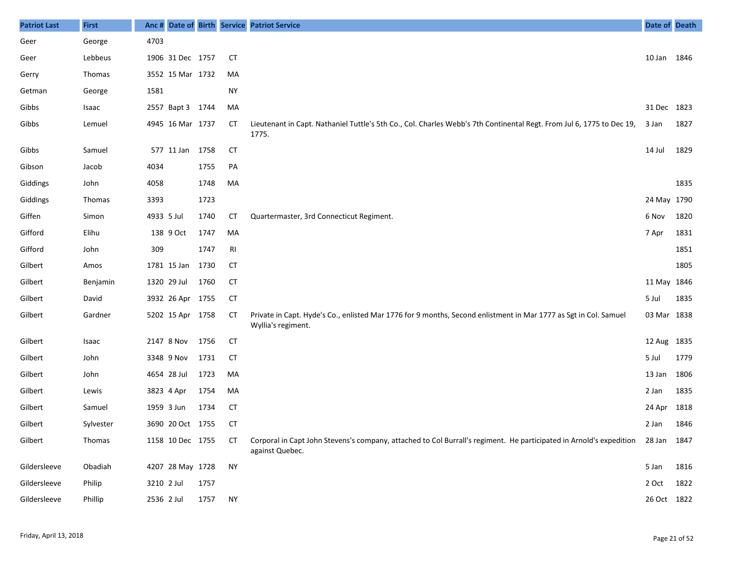| <b>Patriot Last</b> | <b>First</b> | Anc #      |                  |      |                | Date of Birth Service Patriot Service                                                                                                              | Date of Death |      |
|---------------------|--------------|------------|------------------|------|----------------|----------------------------------------------------------------------------------------------------------------------------------------------------|---------------|------|
| Geer                | George       | 4703       |                  |      |                |                                                                                                                                                    |               |      |
| Geer                | Lebbeus      |            | 1906 31 Dec 1757 |      | <b>CT</b>      |                                                                                                                                                    | 10 Jan 1846   |      |
| Gerry               | Thomas       |            | 3552 15 Mar 1732 |      | MA             |                                                                                                                                                    |               |      |
| Getman              | George       | 1581       |                  |      | <b>NY</b>      |                                                                                                                                                    |               |      |
| Gibbs               | Isaac        |            | 2557 Bapt 3 1744 |      | MA             |                                                                                                                                                    | 31 Dec 1823   |      |
| Gibbs               | Lemuel       |            | 4945 16 Mar 1737 |      | СT             | Lieutenant in Capt. Nathaniel Tuttle's 5th Co., Col. Charles Webb's 7th Continental Regt. From Jul 6, 1775 to Dec 19,<br>1775.                     | 3 Jan         | 1827 |
| Gibbs               | Samuel       |            | 577 11 Jan       | 1758 | <b>CT</b>      |                                                                                                                                                    | 14 Jul        | 1829 |
| Gibson              | Jacob        | 4034       |                  | 1755 | PA             |                                                                                                                                                    |               |      |
| Giddings            | John         | 4058       |                  | 1748 | MA             |                                                                                                                                                    |               | 1835 |
| Giddings            | Thomas       | 3393       |                  | 1723 |                |                                                                                                                                                    | 24 May 1790   |      |
| Giffen              | Simon        | 4933 5 Jul |                  | 1740 | СT             | Quartermaster, 3rd Connecticut Regiment.                                                                                                           | 6 Nov         | 1820 |
| Gifford             | Elihu        |            | 138 9 Oct        | 1747 | MA             |                                                                                                                                                    | 7 Apr         | 1831 |
| Gifford             | John         | 309        |                  | 1747 | R <sub>l</sub> |                                                                                                                                                    |               | 1851 |
| Gilbert             | Amos         |            | 1781 15 Jan      | 1730 | <b>CT</b>      |                                                                                                                                                    |               | 1805 |
| Gilbert             | Benjamin     |            | 1320 29 Jul      | 1760 | <b>CT</b>      |                                                                                                                                                    | 11 May 1846   |      |
| Gilbert             | David        |            | 3932 26 Apr 1755 |      | <b>CT</b>      |                                                                                                                                                    | 5 Jul         | 1835 |
| Gilbert             | Gardner      |            | 5202 15 Apr 1758 |      | <b>CT</b>      | Private in Capt. Hyde's Co., enlisted Mar 1776 for 9 months, Second enlistment in Mar 1777 as Sgt in Col. Samuel<br>Wyllia's regiment.             | 03 Mar 1838   |      |
| Gilbert             | Isaac        |            | 2147 8 Nov       | 1756 | <b>CT</b>      |                                                                                                                                                    | 12 Aug 1835   |      |
| Gilbert             | John         |            | 3348 9 Nov       | 1731 | <b>CT</b>      |                                                                                                                                                    | 5 Jul         | 1779 |
| Gilbert             | John         |            | 4654 28 Jul      | 1723 | MA             |                                                                                                                                                    | 13 Jan        | 1806 |
| Gilbert             | Lewis        |            | 3823 4 Apr       | 1754 | MA             |                                                                                                                                                    | 2 Jan         | 1835 |
| Gilbert             | Samuel       |            | 1959 3 Jun       | 1734 | <b>CT</b>      |                                                                                                                                                    | 24 Apr        | 1818 |
| Gilbert             | Sylvester    |            | 3690 20 Oct 1755 |      | <b>CT</b>      |                                                                                                                                                    | 2 Jan         | 1846 |
| Gilbert             | Thomas       |            | 1158 10 Dec 1755 |      | СT             | Corporal in Capt John Stevens's company, attached to Col Burrall's regiment. He participated in Arnold's expedition 28 Jan 1847<br>against Quebec. |               |      |
| Gildersleeve        | Obadiah      |            | 4207 28 May 1728 |      | <b>NY</b>      |                                                                                                                                                    | 5 Jan         | 1816 |
| Gildersleeve        | Philip       | 3210 2 Jul |                  | 1757 |                |                                                                                                                                                    | 2 Oct         | 1822 |
| Gildersleeve        | Phillip      | 2536 2 Jul |                  | 1757 | <b>NY</b>      |                                                                                                                                                    | 26 Oct 1822   |      |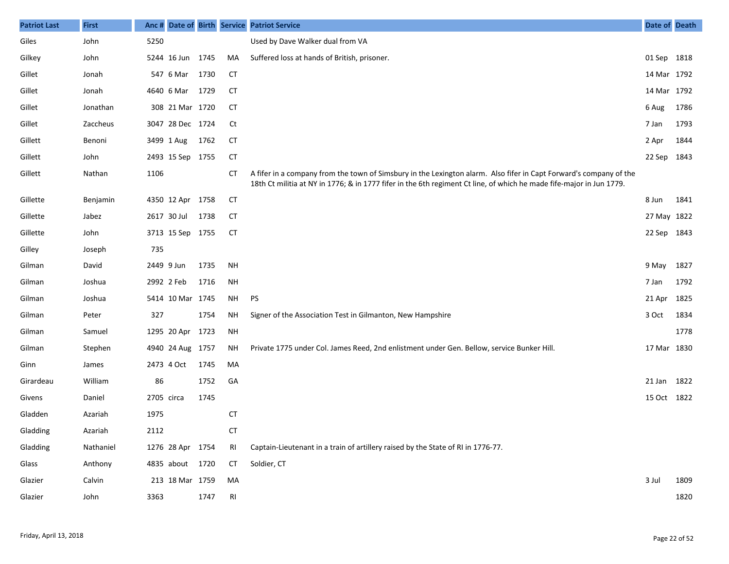| <b>Patriot Last</b> | <b>First</b> | Anc #      |                  |      |                | Date of Birth Service Patriot Service                                                                                                                                                                                                      | Date of Death |      |
|---------------------|--------------|------------|------------------|------|----------------|--------------------------------------------------------------------------------------------------------------------------------------------------------------------------------------------------------------------------------------------|---------------|------|
| Giles               | John         | 5250       |                  |      |                | Used by Dave Walker dual from VA                                                                                                                                                                                                           |               |      |
| Gilkey              | John         |            | 5244 16 Jun 1745 |      | MA             | Suffered loss at hands of British, prisoner.                                                                                                                                                                                               | 01 Sep 1818   |      |
| Gillet              | Jonah        |            | 547 6 Mar        | 1730 | CT             |                                                                                                                                                                                                                                            | 14 Mar 1792   |      |
| Gillet              | Jonah        |            | 4640 6 Mar       | 1729 | <b>CT</b>      |                                                                                                                                                                                                                                            | 14 Mar 1792   |      |
| Gillet              | Jonathan     |            | 308 21 Mar 1720  |      | <b>CT</b>      |                                                                                                                                                                                                                                            | 6 Aug         | 1786 |
| Gillet              | Zaccheus     |            | 3047 28 Dec 1724 |      | Ct             |                                                                                                                                                                                                                                            | 7 Jan         | 1793 |
| Gillett             | Benoni       |            | 3499 1 Aug       | 1762 | <b>CT</b>      |                                                                                                                                                                                                                                            | 2 Apr         | 1844 |
| Gillett             | John         |            | 2493 15 Sep 1755 |      | <b>CT</b>      |                                                                                                                                                                                                                                            | 22 Sep 1843   |      |
| Gillett             | Nathan       | 1106       |                  |      | СT             | A fifer in a company from the town of Simsbury in the Lexington alarm. Also fifer in Capt Forward's company of the<br>18th Ct militia at NY in 1776; & in 1777 fifer in the 6th regiment Ct line, of which he made fife-major in Jun 1779. |               |      |
| Gillette            | Benjamin     |            | 4350 12 Apr 1758 |      | <b>CT</b>      |                                                                                                                                                                                                                                            | 8 Jun         | 1841 |
| Gillette            | Jabez        |            | 2617 30 Jul      | 1738 | <b>CT</b>      |                                                                                                                                                                                                                                            | 27 May 1822   |      |
| Gillette            | John         |            | 3713 15 Sep 1755 |      | <b>CT</b>      |                                                                                                                                                                                                                                            | 22 Sep 1843   |      |
| Gilley              | Joseph       | 735        |                  |      |                |                                                                                                                                                                                                                                            |               |      |
| Gilman              | David        | 2449 9 Jun |                  | 1735 | <b>NH</b>      |                                                                                                                                                                                                                                            | 9 May         | 1827 |
| Gilman              | Joshua       | 2992 2 Feb |                  | 1716 | NH             |                                                                                                                                                                                                                                            | 7 Jan         | 1792 |
| Gilman              | Joshua       |            | 5414 10 Mar 1745 |      | NH             | PS                                                                                                                                                                                                                                         | 21 Apr        | 1825 |
| Gilman              | Peter        | 327        |                  | 1754 | <b>NH</b>      | Signer of the Association Test in Gilmanton, New Hampshire                                                                                                                                                                                 | 3 Oct         | 1834 |
| Gilman              | Samuel       |            | 1295 20 Apr 1723 |      | <b>NH</b>      |                                                                                                                                                                                                                                            |               | 1778 |
| Gilman              | Stephen      |            | 4940 24 Aug 1757 |      | NΗ             | Private 1775 under Col. James Reed, 2nd enlistment under Gen. Bellow, service Bunker Hill.                                                                                                                                                 | 17 Mar 1830   |      |
| Ginn                | James        |            | 2473 4 Oct       | 1745 | MA             |                                                                                                                                                                                                                                            |               |      |
| Girardeau           | William      | 86         |                  | 1752 | GA             |                                                                                                                                                                                                                                            | 21 Jan 1822   |      |
| Givens              | Daniel       | 2705 circa |                  | 1745 |                |                                                                                                                                                                                                                                            | 15 Oct 1822   |      |
| Gladden             | Azariah      | 1975       |                  |      | <b>CT</b>      |                                                                                                                                                                                                                                            |               |      |
| Gladding            | Azariah      | 2112       |                  |      | СT             |                                                                                                                                                                                                                                            |               |      |
| Gladding            | Nathaniel    |            | 1276 28 Apr 1754 |      | RI             | Captain-Lieutenant in a train of artillery raised by the State of RI in 1776-77.                                                                                                                                                           |               |      |
| Glass               | Anthony      |            | 4835 about 1720  |      | СT             | Soldier, CT                                                                                                                                                                                                                                |               |      |
| Glazier             | Calvin       |            | 213 18 Mar 1759  |      | MA             |                                                                                                                                                                                                                                            | 3 Jul         | 1809 |
| Glazier             | John         | 3363       |                  | 1747 | R <sub>l</sub> |                                                                                                                                                                                                                                            |               | 1820 |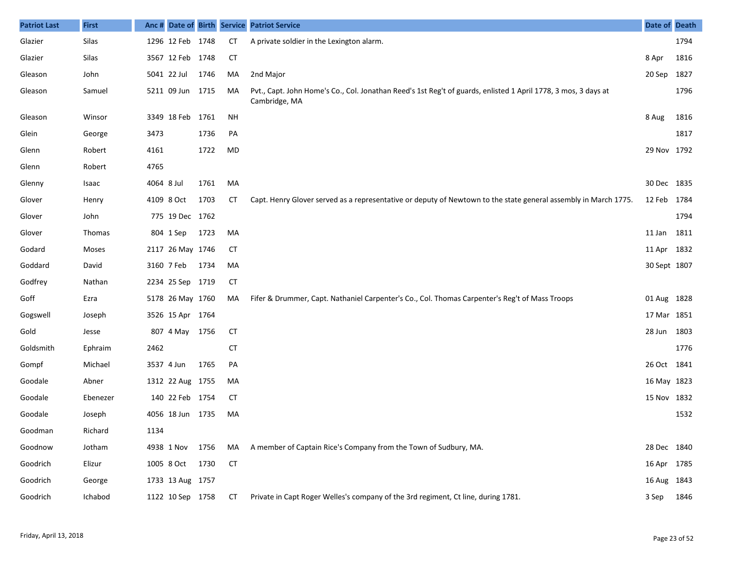| <b>Patriot Last</b> | <b>First</b> |            |                  |      |           | Anc # Date of Birth Service Patriot Service                                                                                     | <b>Date of Death</b> |      |
|---------------------|--------------|------------|------------------|------|-----------|---------------------------------------------------------------------------------------------------------------------------------|----------------------|------|
| Glazier             | Silas        |            | 1296 12 Feb 1748 |      | <b>CT</b> | A private soldier in the Lexington alarm.                                                                                       |                      | 1794 |
| Glazier             | Silas        |            | 3567 12 Feb 1748 |      | <b>CT</b> |                                                                                                                                 | 8 Apr                | 1816 |
| Gleason             | John         |            | 5041 22 Jul      | 1746 | MA        | 2nd Major                                                                                                                       | 20 Sep               | 1827 |
| Gleason             | Samuel       |            | 5211 09 Jun 1715 |      | MA        | Pvt., Capt. John Home's Co., Col. Jonathan Reed's 1st Reg't of guards, enlisted 1 April 1778, 3 mos, 3 days at<br>Cambridge, MA |                      | 1796 |
| Gleason             | Winsor       |            | 3349 18 Feb 1761 |      | NH        |                                                                                                                                 | 8 Aug                | 1816 |
| Glein               | George       | 3473       |                  | 1736 | PA        |                                                                                                                                 |                      | 1817 |
| Glenn               | Robert       | 4161       |                  | 1722 | MD        |                                                                                                                                 | 29 Nov 1792          |      |
| Glenn               | Robert       | 4765       |                  |      |           |                                                                                                                                 |                      |      |
| Glenny              | Isaac        | 4064 8 Jul |                  | 1761 | MA        |                                                                                                                                 | 30 Dec 1835          |      |
| Glover              | Henry        |            | 4109 8 Oct       | 1703 | СT        | Capt. Henry Glover served as a representative or deputy of Newtown to the state general assembly in March 1775.                 | 12 Feb               | 1784 |
| Glover              | John         |            | 775 19 Dec 1762  |      |           |                                                                                                                                 |                      | 1794 |
| Glover              | Thomas       |            | 804 1 Sep        | 1723 | MA        |                                                                                                                                 | 11 Jan               | 1811 |
| Godard              | Moses        |            | 2117 26 May 1746 |      | <b>CT</b> |                                                                                                                                 | 11 Apr 1832          |      |
| Goddard             | David        |            | 3160 7 Feb       | 1734 | MA        |                                                                                                                                 | 30 Sept 1807         |      |
| Godfrey             | Nathan       |            | 2234 25 Sep 1719 |      | <b>CT</b> |                                                                                                                                 |                      |      |
| Goff                | Ezra         |            | 5178 26 May 1760 |      | MA        | Fifer & Drummer, Capt. Nathaniel Carpenter's Co., Col. Thomas Carpenter's Reg't of Mass Troops                                  | 01 Aug 1828          |      |
| Gogswell            | Joseph       |            | 3526 15 Apr 1764 |      |           |                                                                                                                                 | 17 Mar 1851          |      |
| Gold                | Jesse        |            | 807 4 May 1756   |      | <b>CT</b> |                                                                                                                                 | 28 Jun 1803          |      |
| Goldsmith           | Ephraim      | 2462       |                  |      | <b>CT</b> |                                                                                                                                 |                      | 1776 |
| Gompf               | Michael      |            | 3537 4 Jun       | 1765 | PA        |                                                                                                                                 | 26 Oct 1841          |      |
| Goodale             | Abner        |            | 1312 22 Aug 1755 |      | MA        |                                                                                                                                 | 16 May 1823          |      |
| Goodale             | Ebenezer     |            | 140 22 Feb 1754  |      | <b>CT</b> |                                                                                                                                 | 15 Nov 1832          |      |
| Goodale             | Joseph       |            | 4056 18 Jun 1735 |      | MA        |                                                                                                                                 |                      | 1532 |
| Goodman             | Richard      | 1134       |                  |      |           |                                                                                                                                 |                      |      |
| Goodnow             | Jotham       |            | 4938 1 Nov 1756  |      | MA        | A member of Captain Rice's Company from the Town of Sudbury, MA.                                                                | 28 Dec 1840          |      |
| Goodrich            | Elizur       |            | 1005 8 Oct 1730  |      | <b>CT</b> |                                                                                                                                 | 16 Apr 1785          |      |
| Goodrich            | George       |            | 1733 13 Aug 1757 |      |           |                                                                                                                                 | 16 Aug 1843          |      |
| Goodrich            | Ichabod      |            | 1122 10 Sep 1758 |      | <b>CT</b> | Private in Capt Roger Welles's company of the 3rd regiment, Ct line, during 1781.                                               | 3 Sep 1846           |      |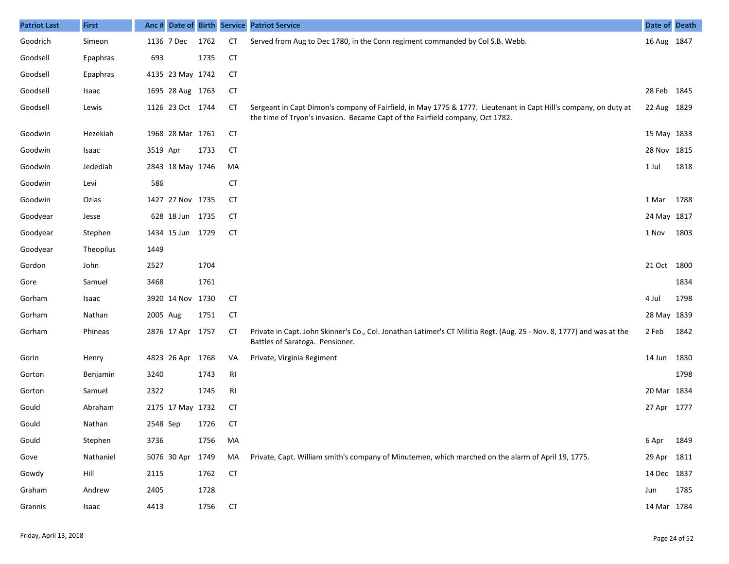| <b>Patriot Last</b> | <b>First</b> |          |                  |      |                | Anc # Date of Birth Service Patriot Service                                                                                                                                                       | Date of Death |      |
|---------------------|--------------|----------|------------------|------|----------------|---------------------------------------------------------------------------------------------------------------------------------------------------------------------------------------------------|---------------|------|
| Goodrich            | Simeon       |          | 1136 7 Dec       | 1762 | <b>CT</b>      | Served from Aug to Dec 1780, in the Conn regiment commanded by Col S.B. Webb.                                                                                                                     | 16 Aug 1847   |      |
| Goodsell            | Epaphras     | 693      |                  | 1735 | <b>CT</b>      |                                                                                                                                                                                                   |               |      |
| Goodsell            | Epaphras     |          | 4135 23 May 1742 |      | <b>CT</b>      |                                                                                                                                                                                                   |               |      |
| Goodsell            | Isaac        |          | 1695 28 Aug 1763 |      | <b>CT</b>      |                                                                                                                                                                                                   | 28 Feb 1845   |      |
| Goodsell            | Lewis        |          | 1126 23 Oct 1744 |      | CT             | Sergeant in Capt Dimon's company of Fairfield, in May 1775 & 1777. Lieutenant in Capt Hill's company, on duty at<br>the time of Tryon's invasion. Became Capt of the Fairfield company, Oct 1782. | 22 Aug 1829   |      |
| Goodwin             | Hezekiah     |          | 1968 28 Mar 1761 |      | <b>CT</b>      |                                                                                                                                                                                                   | 15 May 1833   |      |
| Goodwin             | Isaac        | 3519 Apr |                  | 1733 | <b>CT</b>      |                                                                                                                                                                                                   | 28 Nov 1815   |      |
| Goodwin             | Jedediah     |          | 2843 18 May 1746 |      | MA             |                                                                                                                                                                                                   | 1 Jul         | 1818 |
| Goodwin             | Levi         | 586      |                  |      | <b>CT</b>      |                                                                                                                                                                                                   |               |      |
| Goodwin             | Ozias        |          | 1427 27 Nov 1735 |      | <b>CT</b>      |                                                                                                                                                                                                   | 1 Mar         | 1788 |
| Goodyear            | Jesse        |          | 628 18 Jun 1735  |      | <b>CT</b>      |                                                                                                                                                                                                   | 24 May 1817   |      |
| Goodyear            | Stephen      |          | 1434 15 Jun 1729 |      | <b>CT</b>      |                                                                                                                                                                                                   | 1 Nov         | 1803 |
| Goodyear            | Theopilus    | 1449     |                  |      |                |                                                                                                                                                                                                   |               |      |
| Gordon              | John         | 2527     |                  | 1704 |                |                                                                                                                                                                                                   | 21 Oct 1800   |      |
| Gore                | Samuel       | 3468     |                  | 1761 |                |                                                                                                                                                                                                   |               | 1834 |
| Gorham              | Isaac        |          | 3920 14 Nov 1730 |      | <b>CT</b>      |                                                                                                                                                                                                   | 4 Jul         | 1798 |
| Gorham              | Nathan       | 2005 Aug |                  | 1751 | <b>CT</b>      |                                                                                                                                                                                                   | 28 May 1839   |      |
| Gorham              | Phineas      |          | 2876 17 Apr 1757 |      | <b>CT</b>      | Private in Capt. John Skinner's Co., Col. Jonathan Latimer's CT Militia Regt. (Aug. 25 - Nov. 8, 1777) and was at the<br>Battles of Saratoga. Pensioner.                                          | 2 Feb         | 1842 |
| Gorin               | Henry        |          | 4823 26 Apr      | 1768 | VA             | Private, Virginia Regiment                                                                                                                                                                        | 14 Jun        | 1830 |
| Gorton              | Benjamin     | 3240     |                  | 1743 | R <sub>l</sub> |                                                                                                                                                                                                   |               | 1798 |
| Gorton              | Samuel       | 2322     |                  | 1745 | RI             |                                                                                                                                                                                                   | 20 Mar 1834   |      |
| Gould               | Abraham      |          | 2175 17 May 1732 |      | <b>CT</b>      |                                                                                                                                                                                                   | 27 Apr 1777   |      |
| Gould               | Nathan       | 2548 Sep |                  | 1726 | <b>CT</b>      |                                                                                                                                                                                                   |               |      |
| Gould               | Stephen      | 3736     |                  | 1756 | MA             |                                                                                                                                                                                                   | 6 Apr 1849    |      |
| Gove                | Nathaniel    |          | 5076 30 Apr      | 1749 | MA             | Private, Capt. William smith's company of Minutemen, which marched on the alarm of April 19, 1775.                                                                                                | 29 Apr 1811   |      |
| Gowdy               | Hill         | 2115     |                  | 1762 | <b>CT</b>      |                                                                                                                                                                                                   | 14 Dec 1837   |      |
| Graham              | Andrew       | 2405     |                  | 1728 |                |                                                                                                                                                                                                   | Jun           | 1785 |
| Grannis             | Isaac        | 4413     |                  | 1756 | CT             |                                                                                                                                                                                                   | 14 Mar 1784   |      |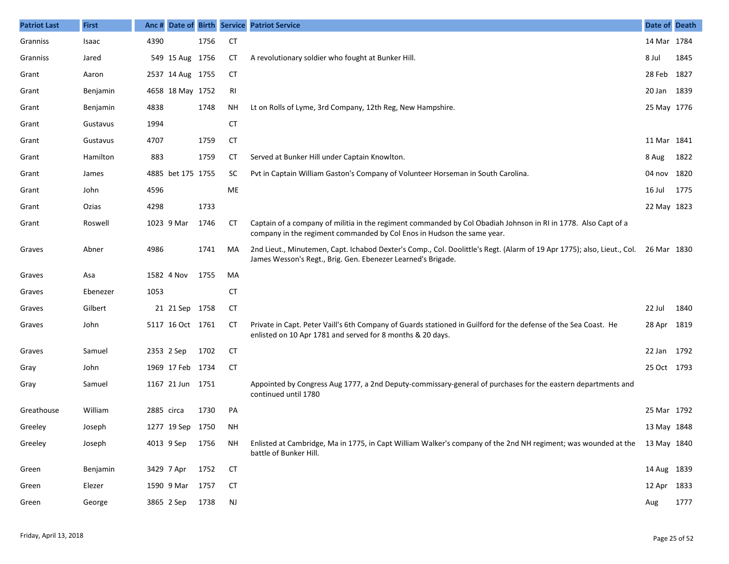| <b>Patriot Last</b> | <b>First</b> |            |                   |      |               | Anc # Date of Birth Service Patriot Service                                                                                                                                                        | Date of Death |      |
|---------------------|--------------|------------|-------------------|------|---------------|----------------------------------------------------------------------------------------------------------------------------------------------------------------------------------------------------|---------------|------|
| Granniss            | Isaac        | 4390       |                   | 1756 | <b>CT</b>     |                                                                                                                                                                                                    | 14 Mar 1784   |      |
| Granniss            | Jared        |            | 549 15 Aug 1756   |      | <b>CT</b>     | A revolutionary soldier who fought at Bunker Hill.                                                                                                                                                 | 8 Jul         | 1845 |
| Grant               | Aaron        |            | 2537 14 Aug 1755  |      | <b>CT</b>     |                                                                                                                                                                                                    | 28 Feb 1827   |      |
| Grant               | Benjamin     |            | 4658 18 May 1752  |      | RI            |                                                                                                                                                                                                    | 20 Jan 1839   |      |
| Grant               | Benjamin     | 4838       |                   | 1748 | ΝH            | Lt on Rolls of Lyme, 3rd Company, 12th Reg, New Hampshire.                                                                                                                                         | 25 May 1776   |      |
| Grant               | Gustavus     | 1994       |                   |      | <b>CT</b>     |                                                                                                                                                                                                    |               |      |
| Grant               | Gustavus     | 4707       |                   | 1759 | <b>CT</b>     |                                                                                                                                                                                                    | 11 Mar 1841   |      |
| Grant               | Hamilton     | 883        |                   | 1759 | СT            | Served at Bunker Hill under Captain Knowlton.                                                                                                                                                      | 8 Aug         | 1822 |
| Grant               | James        |            | 4885 bet 175 1755 |      | <b>SC</b>     | Pvt in Captain William Gaston's Company of Volunteer Horseman in South Carolina.                                                                                                                   | 04 nov 1820   |      |
| Grant               | John         | 4596       |                   |      | ME            |                                                                                                                                                                                                    | 16 Jul        | 1775 |
| Grant               | Ozias        | 4298       |                   | 1733 |               |                                                                                                                                                                                                    | 22 May 1823   |      |
| Grant               | Roswell      |            | 1023 9 Mar        | 1746 | CT            | Captain of a company of militia in the regiment commanded by Col Obadiah Johnson in RI in 1778. Also Capt of a<br>company in the regiment commanded by Col Enos in Hudson the same year.           |               |      |
| Graves              | Abner        | 4986       |                   | 1741 | MA            | 2nd Lieut., Minutemen, Capt. Ichabod Dexter's Comp., Col. Doolittle's Regt. (Alarm of 19 Apr 1775); also, Lieut., Col. 26 Mar 1830<br>James Wesson's Regt., Brig. Gen. Ebenezer Learned's Brigade. |               |      |
| Graves              | Asa          |            | 1582 4 Nov        | 1755 | MA            |                                                                                                                                                                                                    |               |      |
| Graves              | Ebenezer     | 1053       |                   |      | <b>CT</b>     |                                                                                                                                                                                                    |               |      |
| Graves              | Gilbert      |            | 21 21 Sep 1758    |      | <b>CT</b>     |                                                                                                                                                                                                    | 22 Jul        | 1840 |
| Graves              | John         |            | 5117 16 Oct 1761  |      | CT            | Private in Capt. Peter Vaill's 6th Company of Guards stationed in Guilford for the defense of the Sea Coast. He<br>enlisted on 10 Apr 1781 and served for 8 months & 20 days.                      | 28 Apr 1819   |      |
| Graves              | Samuel       |            | 2353 2 Sep        | 1702 | <b>CT</b>     |                                                                                                                                                                                                    | 22 Jan 1792   |      |
| Gray                | John         |            | 1969 17 Feb 1734  |      | <b>CT</b>     |                                                                                                                                                                                                    | 25 Oct 1793   |      |
| Gray                | Samuel       |            | 1167 21 Jun 1751  |      |               | Appointed by Congress Aug 1777, a 2nd Deputy-commissary-general of purchases for the eastern departments and<br>continued until 1780                                                               |               |      |
| Greathouse          | William      | 2885 circa |                   | 1730 | PA            |                                                                                                                                                                                                    | 25 Mar 1792   |      |
| Greeley             | Joseph       |            | 1277 19 Sep 1750  |      | <b>NH</b>     |                                                                                                                                                                                                    | 13 May 1848   |      |
| Greeley             | Joseph       |            | 4013 9 Sep        | 1756 | ΝH            | Enlisted at Cambridge, Ma in 1775, in Capt William Walker's company of the 2nd NH regiment; was wounded at the 13 May 1840<br>battle of Bunker Hill.                                               |               |      |
| Green               | Benjamin     |            | 3429 7 Apr        | 1752 | <b>CT</b>     |                                                                                                                                                                                                    | 14 Aug 1839   |      |
| Green               | Elezer       |            | 1590 9 Mar        | 1757 | <b>CT</b>     |                                                                                                                                                                                                    | 12 Apr 1833   |      |
| Green               | George       |            | 3865 2 Sep        | 1738 | $\mathsf{NJ}$ |                                                                                                                                                                                                    | Aug           | 1777 |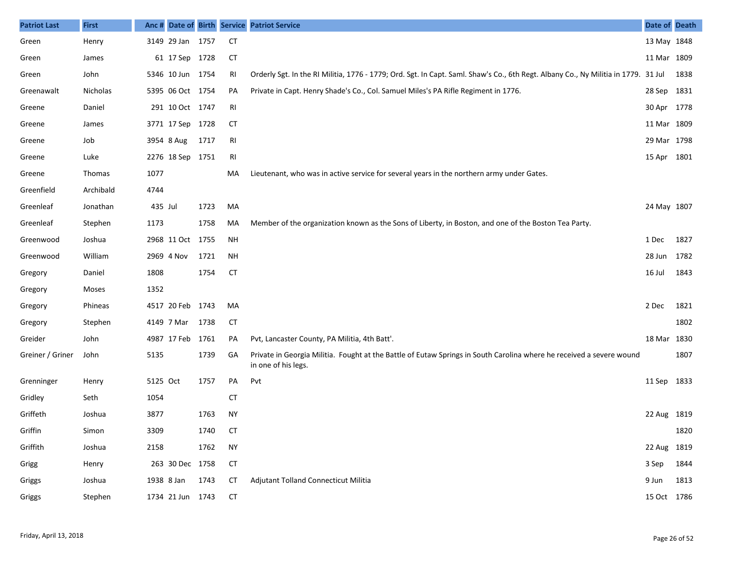| <b>Patriot Last</b> | <b>First</b> | Anc#     |                  |      |           | Date of Birth Service Patriot Service                                                                                                       | Date of Death |      |
|---------------------|--------------|----------|------------------|------|-----------|---------------------------------------------------------------------------------------------------------------------------------------------|---------------|------|
| Green               | Henry        |          | 3149 29 Jan 1757 |      | <b>CT</b> |                                                                                                                                             | 13 May 1848   |      |
| Green               | James        |          | 61 17 Sep 1728   |      | <b>CT</b> |                                                                                                                                             | 11 Mar 1809   |      |
| Green               | John         |          | 5346 10 Jun 1754 |      | RI        | Orderly Sgt. In the RI Militia, 1776 - 1779; Ord. Sgt. In Capt. Saml. Shaw's Co., 6th Regt. Albany Co., Ny Militia in 1779. 31 Jul          |               | 1838 |
| Greenawalt          | Nicholas     |          | 5395 06 Oct 1754 |      | PA        | Private in Capt. Henry Shade's Co., Col. Samuel Miles's PA Rifle Regiment in 1776.                                                          | 28 Sep        | 1831 |
| Greene              | Daniel       |          | 291 10 Oct 1747  |      | RI        |                                                                                                                                             | 30 Apr 1778   |      |
| Greene              | James        |          | 3771 17 Sep 1728 |      | СT        |                                                                                                                                             | 11 Mar 1809   |      |
| Greene              | Job          |          | 3954 8 Aug       | 1717 | RI        |                                                                                                                                             | 29 Mar 1798   |      |
| Greene              | Luke         |          | 2276 18 Sep 1751 |      | RI        |                                                                                                                                             | 15 Apr 1801   |      |
| Greene              | Thomas       | 1077     |                  |      | MA        | Lieutenant, who was in active service for several years in the northern army under Gates.                                                   |               |      |
| Greenfield          | Archibald    | 4744     |                  |      |           |                                                                                                                                             |               |      |
| Greenleaf           | Jonathan     | 435 Jul  |                  | 1723 | MA        |                                                                                                                                             | 24 May 1807   |      |
| Greenleaf           | Stephen      | 1173     |                  | 1758 | MA        | Member of the organization known as the Sons of Liberty, in Boston, and one of the Boston Tea Party.                                        |               |      |
| Greenwood           | Joshua       |          | 2968 11 Oct 1755 |      | NH        |                                                                                                                                             | 1 Dec         | 1827 |
| Greenwood           | William      |          | 2969 4 Nov       | 1721 | NH        |                                                                                                                                             | 28 Jun        | 1782 |
| Gregory             | Daniel       | 1808     |                  | 1754 | <b>CT</b> |                                                                                                                                             | 16 Jul        | 1843 |
| Gregory             | Moses        | 1352     |                  |      |           |                                                                                                                                             |               |      |
| Gregory             | Phineas      |          | 4517 20 Feb 1743 |      | MA        |                                                                                                                                             | 2 Dec         | 1821 |
| Gregory             | Stephen      |          | 4149 7 Mar       | 1738 | <b>CT</b> |                                                                                                                                             |               | 1802 |
| Greider             | John         |          | 4987 17 Feb 1761 |      | PA        | Pvt, Lancaster County, PA Militia, 4th Batt'.                                                                                               | 18 Mar 1830   |      |
| Greiner / Griner    | John         | 5135     |                  | 1739 | GA        | Private in Georgia Militia. Fought at the Battle of Eutaw Springs in South Carolina where he received a severe wound<br>in one of his legs. |               | 1807 |
| Grenninger          | Henry        | 5125 Oct |                  | 1757 | PA        | Pvt                                                                                                                                         | 11 Sep        | 1833 |
| Gridley             | Seth         | 1054     |                  |      | <b>CT</b> |                                                                                                                                             |               |      |
| Griffeth            | Joshua       | 3877     |                  | 1763 | <b>NY</b> |                                                                                                                                             | 22 Aug 1819   |      |
| Griffin             | Simon        | 3309     |                  | 1740 | CT        |                                                                                                                                             |               | 1820 |
| Griffith            | Joshua       | 2158     |                  | 1762 | <b>NY</b> |                                                                                                                                             | 22 Aug 1819   |      |
| Grigg               | Henry        |          | 263 30 Dec 1758  |      | <b>CT</b> |                                                                                                                                             | 3 Sep         | 1844 |
| Griggs              | Joshua       |          | 1938 8 Jan 1743  |      | <b>CT</b> | Adjutant Tolland Connecticut Militia                                                                                                        | 9 Jun         | 1813 |
| Griggs              | Stephen      |          | 1734 21 Jun 1743 |      | <b>CT</b> |                                                                                                                                             | 15 Oct 1786   |      |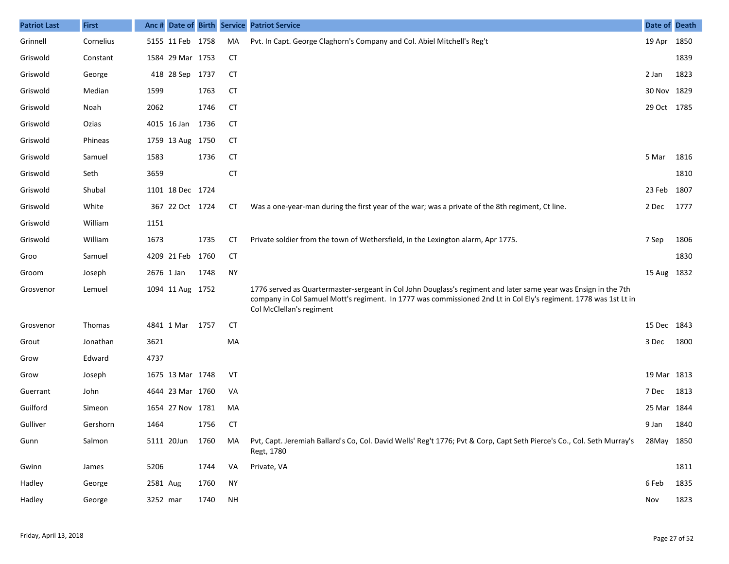| <b>Patriot Last</b> | <b>First</b> | Anc #    |                  |      |           | Date of Birth Service Patriot Service                                                                                                                                                                                                                           | Date of Death |      |
|---------------------|--------------|----------|------------------|------|-----------|-----------------------------------------------------------------------------------------------------------------------------------------------------------------------------------------------------------------------------------------------------------------|---------------|------|
| Grinnell            | Cornelius    |          | 5155 11 Feb 1758 |      | MA        | Pvt. In Capt. George Claghorn's Company and Col. Abiel Mitchell's Reg't                                                                                                                                                                                         | 19 Apr        | 1850 |
| Griswold            | Constant     |          | 1584 29 Mar 1753 |      | CT        |                                                                                                                                                                                                                                                                 |               | 1839 |
| Griswold            | George       |          | 418 28 Sep 1737  |      | <b>CT</b> |                                                                                                                                                                                                                                                                 | 2 Jan         | 1823 |
| Griswold            | Median       | 1599     |                  | 1763 | <b>CT</b> |                                                                                                                                                                                                                                                                 | 30 Nov 1829   |      |
| Griswold            | Noah         | 2062     |                  | 1746 | <b>CT</b> |                                                                                                                                                                                                                                                                 | 29 Oct 1785   |      |
| Griswold            | Ozias        |          | 4015 16 Jan      | 1736 | <b>CT</b> |                                                                                                                                                                                                                                                                 |               |      |
| Griswold            | Phineas      |          | 1759 13 Aug 1750 |      | <b>CT</b> |                                                                                                                                                                                                                                                                 |               |      |
| Griswold            | Samuel       | 1583     |                  | 1736 | <b>CT</b> |                                                                                                                                                                                                                                                                 | 5 Mar         | 1816 |
| Griswold            | Seth         | 3659     |                  |      | <b>CT</b> |                                                                                                                                                                                                                                                                 |               | 1810 |
| Griswold            | Shubal       |          | 1101 18 Dec 1724 |      |           |                                                                                                                                                                                                                                                                 | 23 Feb        | 1807 |
| Griswold            | White        |          | 367 22 Oct 1724  |      | CТ        | Was a one-year-man during the first year of the war; was a private of the 8th regiment, Ct line.                                                                                                                                                                | 2 Dec         | 1777 |
| Griswold            | William      | 1151     |                  |      |           |                                                                                                                                                                                                                                                                 |               |      |
| Griswold            | William      | 1673     |                  | 1735 | СT        | Private soldier from the town of Wethersfield, in the Lexington alarm, Apr 1775.                                                                                                                                                                                | 7 Sep         | 1806 |
| Groo                | Samuel       |          | 4209 21 Feb      | 1760 | <b>CT</b> |                                                                                                                                                                                                                                                                 |               | 1830 |
| Groom               | Joseph       |          | 2676 1 Jan       | 1748 | <b>NY</b> |                                                                                                                                                                                                                                                                 | 15 Aug 1832   |      |
| Grosvenor           | Lemuel       |          | 1094 11 Aug 1752 |      |           | 1776 served as Quartermaster-sergeant in Col John Douglass's regiment and later same year was Ensign in the 7th<br>company in Col Samuel Mott's regiment. In 1777 was commissioned 2nd Lt in Col Ely's regiment. 1778 was 1st Lt in<br>Col McClellan's regiment |               |      |
| Grosvenor           | Thomas       |          | 4841 1 Mar       | 1757 | <b>CT</b> |                                                                                                                                                                                                                                                                 | 15 Dec 1843   |      |
| Grout               | Jonathan     | 3621     |                  |      | MA        |                                                                                                                                                                                                                                                                 | 3 Dec         | 1800 |
| Grow                | Edward       | 4737     |                  |      |           |                                                                                                                                                                                                                                                                 |               |      |
| Grow                | Joseph       |          | 1675 13 Mar 1748 |      | VT        |                                                                                                                                                                                                                                                                 | 19 Mar 1813   |      |
| Guerrant            | John         |          | 4644 23 Mar 1760 |      | VA        |                                                                                                                                                                                                                                                                 | 7 Dec         | 1813 |
| Guilford            | Simeon       |          | 1654 27 Nov 1781 |      | MA        |                                                                                                                                                                                                                                                                 | 25 Mar        | 1844 |
| Gulliver            | Gershorn     | 1464     |                  | 1756 | <b>CT</b> |                                                                                                                                                                                                                                                                 | 9 Jan         | 1840 |
| Gunn                | Salmon       |          | 5111 20Jun       | 1760 | MA        | Pvt, Capt. Jeremiah Ballard's Co, Col. David Wells' Reg't 1776; Pvt & Corp, Capt Seth Pierce's Co., Col. Seth Murray's 28May 1850<br>Regt, 1780                                                                                                                 |               |      |
| Gwinn               | James        | 5206     |                  | 1744 | VA        | Private, VA                                                                                                                                                                                                                                                     |               | 1811 |
| Hadley              | George       | 2581 Aug |                  | 1760 | <b>NY</b> |                                                                                                                                                                                                                                                                 | 6 Feb         | 1835 |
| Hadley              | George       | 3252 mar |                  | 1740 | <b>NH</b> |                                                                                                                                                                                                                                                                 | Nov           | 1823 |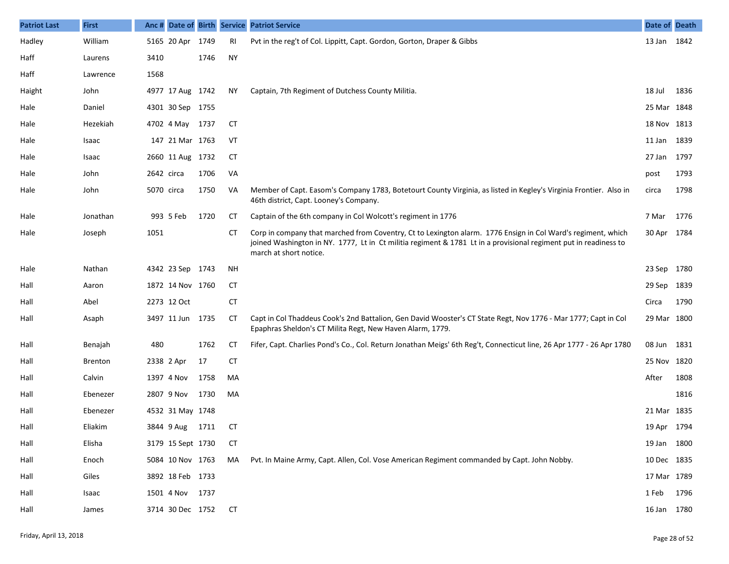| <b>Patriot Last</b> | <b>First</b>   |            |                   |      |           | Anc # Date of Birth Service Patriot Service                                                                                                                                                                                                                | Date of Death |      |
|---------------------|----------------|------------|-------------------|------|-----------|------------------------------------------------------------------------------------------------------------------------------------------------------------------------------------------------------------------------------------------------------------|---------------|------|
| Hadley              | William        |            | 5165 20 Apr       | 1749 | RI        | Pvt in the reg't of Col. Lippitt, Capt. Gordon, Gorton, Draper & Gibbs                                                                                                                                                                                     | 13 Jan 1842   |      |
| Haff                | Laurens        | 3410       |                   | 1746 | <b>NY</b> |                                                                                                                                                                                                                                                            |               |      |
| Haff                | Lawrence       | 1568       |                   |      |           |                                                                                                                                                                                                                                                            |               |      |
| Haight              | John           |            | 4977 17 Aug 1742  |      | ΝY        | Captain, 7th Regiment of Dutchess County Militia.                                                                                                                                                                                                          | 18 Jul        | 1836 |
| Hale                | Daniel         |            | 4301 30 Sep 1755  |      |           |                                                                                                                                                                                                                                                            | 25 Mar 1848   |      |
| Hale                | Hezekiah       |            | 4702 4 May 1737   |      | CT        |                                                                                                                                                                                                                                                            | 18 Nov 1813   |      |
| Hale                | Isaac          |            | 147 21 Mar 1763   |      | VT        |                                                                                                                                                                                                                                                            | 11 Jan 1839   |      |
| Hale                | Isaac          |            | 2660 11 Aug 1732  |      | CT        |                                                                                                                                                                                                                                                            | 27 Jan 1797   |      |
| Hale                | John           | 2642 circa |                   | 1706 | VA        |                                                                                                                                                                                                                                                            | post          | 1793 |
| Hale                | John           |            | 5070 circa        | 1750 | VA        | Member of Capt. Easom's Company 1783, Botetourt County Virginia, as listed in Kegley's Virginia Frontier. Also in<br>46th district, Capt. Looney's Company.                                                                                                | circa         | 1798 |
| Hale                | Jonathan       |            | 993 5 Feb         | 1720 | СT        | Captain of the 6th company in Col Wolcott's regiment in 1776                                                                                                                                                                                               | 7 Mar         | 1776 |
| Hale                | Joseph         | 1051       |                   |      | CТ        | Corp in company that marched from Coventry, Ct to Lexington alarm. 1776 Ensign in Col Ward's regiment, which<br>joined Washington in NY. 1777, Lt in Ct militia regiment & 1781 Lt in a provisional regiment put in readiness to<br>march at short notice. | 30 Apr 1784   |      |
| Hale                | Nathan         |            | 4342 23 Sep 1743  |      | <b>NH</b> |                                                                                                                                                                                                                                                            | 23 Sep 1780   |      |
| Hall                | Aaron          |            | 1872 14 Nov 1760  |      | СT        |                                                                                                                                                                                                                                                            | 29 Sep 1839   |      |
| Hall                | Abel           |            | 2273 12 Oct       |      | <b>CT</b> |                                                                                                                                                                                                                                                            | Circa         | 1790 |
| Hall                | Asaph          |            | 3497 11 Jun 1735  |      | <b>CT</b> | Capt in Col Thaddeus Cook's 2nd Battalion, Gen David Wooster's CT State Regt, Nov 1776 - Mar 1777; Capt in Col<br>Epaphras Sheldon's CT Milita Regt, New Haven Alarm, 1779.                                                                                | 29 Mar 1800   |      |
| Hall                | Benajah        | 480        |                   | 1762 | <b>CT</b> | Fifer, Capt. Charlies Pond's Co., Col. Return Jonathan Meigs' 6th Reg't, Connecticut line, 26 Apr 1777 - 26 Apr 1780                                                                                                                                       | 08 Jun 1831   |      |
| Hall                | <b>Brenton</b> |            | 2338 2 Apr        | 17   | <b>CT</b> |                                                                                                                                                                                                                                                            | 25 Nov 1820   |      |
| Hall                | Calvin         |            | 1397 4 Nov        | 1758 | MA        |                                                                                                                                                                                                                                                            | After         | 1808 |
| Hall                | Ebenezer       |            | 2807 9 Nov        | 1730 | MA        |                                                                                                                                                                                                                                                            |               | 1816 |
| Hall                | Ebenezer       |            | 4532 31 May 1748  |      |           |                                                                                                                                                                                                                                                            | 21 Mar 1835   |      |
| Hall                | Eliakim        |            | 3844 9 Aug        | 1711 | CТ        |                                                                                                                                                                                                                                                            | 19 Apr 1794   |      |
| Hall                | Elisha         |            | 3179 15 Sept 1730 |      | СT        |                                                                                                                                                                                                                                                            | 19 Jan 1800   |      |
| Hall                | Enoch          |            | 5084 10 Nov 1763  |      | MA        | Pvt. In Maine Army, Capt. Allen, Col. Vose American Regiment commanded by Capt. John Nobby.                                                                                                                                                                | 10 Dec 1835   |      |
| Hall                | Giles          |            | 3892 18 Feb 1733  |      |           |                                                                                                                                                                                                                                                            | 17 Mar 1789   |      |
| Hall                | Isaac          |            | 1501 4 Nov 1737   |      |           |                                                                                                                                                                                                                                                            | 1 Feb 1796    |      |
| Hall                | James          |            | 3714 30 Dec 1752  |      | <b>CT</b> |                                                                                                                                                                                                                                                            | 16 Jan 1780   |      |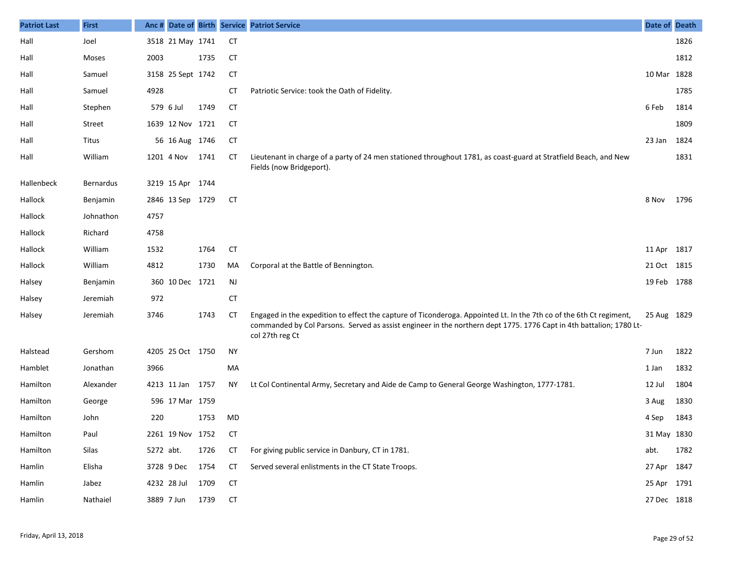| <b>Patriot Last</b> | <b>First</b>     | Anc #     |                   |      |           | Date of Birth Service Patriot Service                                                                                                                                                                                                                         | Date of Death |      |
|---------------------|------------------|-----------|-------------------|------|-----------|---------------------------------------------------------------------------------------------------------------------------------------------------------------------------------------------------------------------------------------------------------------|---------------|------|
| Hall                | Joel             |           | 3518 21 May 1741  |      | <b>CT</b> |                                                                                                                                                                                                                                                               |               | 1826 |
| Hall                | Moses            | 2003      |                   | 1735 | <b>CT</b> |                                                                                                                                                                                                                                                               |               | 1812 |
| Hall                | Samuel           |           | 3158 25 Sept 1742 |      | <b>CT</b> |                                                                                                                                                                                                                                                               | 10 Mar 1828   |      |
| Hall                | Samuel           | 4928      |                   |      | СT        | Patriotic Service: took the Oath of Fidelity.                                                                                                                                                                                                                 |               | 1785 |
| Hall                | Stephen          |           | 579 6 Jul         | 1749 | CT        |                                                                                                                                                                                                                                                               | 6 Feb         | 1814 |
| Hall                | Street           |           | 1639 12 Nov 1721  |      | СT        |                                                                                                                                                                                                                                                               |               | 1809 |
| Hall                | Titus            |           | 56 16 Aug 1746    |      | <b>CT</b> |                                                                                                                                                                                                                                                               | 23 Jan        | 1824 |
| Hall                | William          |           | 1201 4 Nov        | 1741 | СT        | Lieutenant in charge of a party of 24 men stationed throughout 1781, as coast-guard at Stratfield Beach, and New<br>Fields (now Bridgeport).                                                                                                                  |               | 1831 |
| Hallenbeck          | <b>Bernardus</b> |           | 3219 15 Apr 1744  |      |           |                                                                                                                                                                                                                                                               |               |      |
| Hallock             | Benjamin         |           | 2846 13 Sep 1729  |      | <b>CT</b> |                                                                                                                                                                                                                                                               | 8 Nov         | 1796 |
| Hallock             | Johnathon        | 4757      |                   |      |           |                                                                                                                                                                                                                                                               |               |      |
| Hallock             | Richard          | 4758      |                   |      |           |                                                                                                                                                                                                                                                               |               |      |
| Hallock             | William          | 1532      |                   | 1764 | <b>CT</b> |                                                                                                                                                                                                                                                               | 11 Apr 1817   |      |
| Hallock             | William          | 4812      |                   | 1730 | MA        | Corporal at the Battle of Bennington.                                                                                                                                                                                                                         | 21 Oct 1815   |      |
| Halsey              | Benjamin         |           | 360 10 Dec 1721   |      | <b>NJ</b> |                                                                                                                                                                                                                                                               | 19 Feb 1788   |      |
| Halsey              | Jeremiah         | 972       |                   |      | <b>CT</b> |                                                                                                                                                                                                                                                               |               |      |
| Halsey              | Jeremiah         | 3746      |                   | 1743 | <b>CT</b> | Engaged in the expedition to effect the capture of Ticonderoga. Appointed Lt. In the 7th co of the 6th Ct regiment,<br>commanded by Col Parsons. Served as assist engineer in the northern dept 1775. 1776 Capt in 4th battalion; 1780 Lt-<br>col 27th reg Ct | 25 Aug 1829   |      |
| Halstead            | Gershom          |           | 4205 25 Oct 1750  |      | <b>NY</b> |                                                                                                                                                                                                                                                               | 7 Jun         | 1822 |
| Hamblet             | Jonathan         | 3966      |                   |      | MA        |                                                                                                                                                                                                                                                               | 1 Jan         | 1832 |
| Hamilton            | Alexander        |           | 4213 11 Jan 1757  |      | ΝY        | Lt Col Continental Army, Secretary and Aide de Camp to General George Washington, 1777-1781.                                                                                                                                                                  | 12 Jul        | 1804 |
| Hamilton            | George           |           | 596 17 Mar 1759   |      |           |                                                                                                                                                                                                                                                               | 3 Aug         | 1830 |
| Hamilton            | John             | 220       |                   | 1753 | MD        |                                                                                                                                                                                                                                                               | 4 Sep         | 1843 |
| Hamilton            | Paul             |           | 2261 19 Nov 1752  |      | CT        |                                                                                                                                                                                                                                                               | 31 May 1830   |      |
| Hamilton            | Silas            | 5272 abt. |                   | 1726 | <b>CT</b> | For giving public service in Danbury, CT in 1781.                                                                                                                                                                                                             | abt.          | 1782 |
| Hamlin              | Elisha           |           | 3728 9 Dec        | 1754 | <b>CT</b> | Served several enlistments in the CT State Troops.                                                                                                                                                                                                            | 27 Apr 1847   |      |
| Hamlin              | Jabez            |           | 4232 28 Jul       | 1709 | <b>CT</b> |                                                                                                                                                                                                                                                               | 25 Apr 1791   |      |
| Hamlin              | Nathaiel         |           | 3889 7 Jun        | 1739 | <b>CT</b> |                                                                                                                                                                                                                                                               | 27 Dec 1818   |      |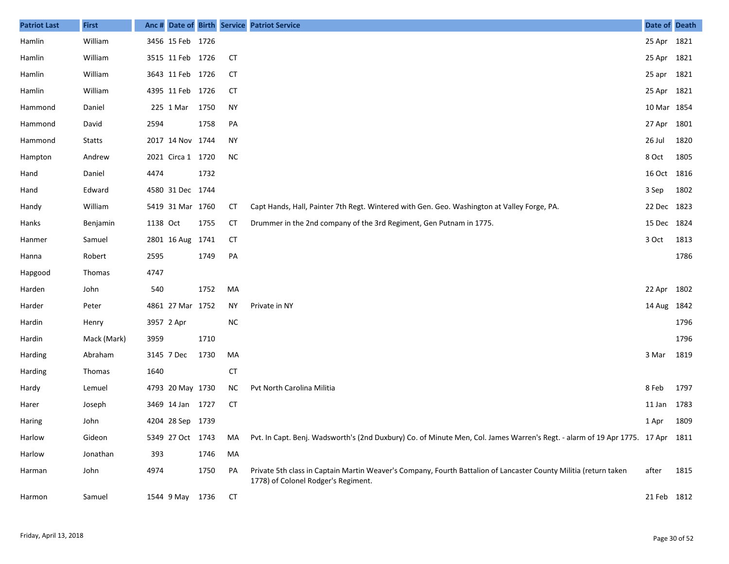| <b>Patriot Last</b> | <b>First</b>  | Anc #      |                   |      |           | Date of Birth Service Patriot Service                                                                                                                   | Date of Death |      |
|---------------------|---------------|------------|-------------------|------|-----------|---------------------------------------------------------------------------------------------------------------------------------------------------------|---------------|------|
| Hamlin              | William       |            | 3456 15 Feb 1726  |      |           |                                                                                                                                                         | 25 Apr 1821   |      |
| Hamlin              | William       |            | 3515 11 Feb 1726  |      | CT        |                                                                                                                                                         | 25 Apr 1821   |      |
| Hamlin              | William       |            | 3643 11 Feb 1726  |      | CT        |                                                                                                                                                         | 25 apr        | 1821 |
| Hamlin              | William       |            | 4395 11 Feb 1726  |      | СT        |                                                                                                                                                         | 25 Apr 1821   |      |
| Hammond             | Daniel        |            | 225 1 Mar         | 1750 | <b>NY</b> |                                                                                                                                                         | 10 Mar 1854   |      |
| Hammond             | David         | 2594       |                   | 1758 | PA        |                                                                                                                                                         | 27 Apr        | 1801 |
| Hammond             | <b>Statts</b> |            | 2017 14 Nov 1744  |      | <b>NY</b> |                                                                                                                                                         | 26 Jul        | 1820 |
| Hampton             | Andrew        |            | 2021 Circa 1 1720 |      | <b>NC</b> |                                                                                                                                                         | 8 Oct         | 1805 |
| Hand                | Daniel        | 4474       |                   | 1732 |           |                                                                                                                                                         | 16 Oct        | 1816 |
| Hand                | Edward        |            | 4580 31 Dec 1744  |      |           |                                                                                                                                                         | 3 Sep         | 1802 |
| Handy               | William       |            | 5419 31 Mar 1760  |      | СT        | Capt Hands, Hall, Painter 7th Regt. Wintered with Gen. Geo. Washington at Valley Forge, PA.                                                             | 22 Dec 1823   |      |
| Hanks               | Benjamin      | 1138 Oct   |                   | 1755 | СT        | Drummer in the 2nd company of the 3rd Regiment, Gen Putnam in 1775.                                                                                     | 15 Dec        | 1824 |
| Hanmer              | Samuel        |            | 2801 16 Aug 1741  |      | CT        |                                                                                                                                                         | 3 Oct         | 1813 |
| Hanna               | Robert        | 2595       |                   | 1749 | PA        |                                                                                                                                                         |               | 1786 |
| Hapgood             | Thomas        | 4747       |                   |      |           |                                                                                                                                                         |               |      |
| Harden              | John          | 540        |                   | 1752 | MA        |                                                                                                                                                         | 22 Apr        | 1802 |
| Harder              | Peter         |            | 4861 27 Mar 1752  |      | ΝY        | Private in NY                                                                                                                                           | 14 Aug        | 1842 |
| Hardin              | Henry         | 3957 2 Apr |                   |      | <b>NC</b> |                                                                                                                                                         |               | 1796 |
| Hardin              | Mack (Mark)   | 3959       |                   | 1710 |           |                                                                                                                                                         |               | 1796 |
| Harding             | Abraham       |            | 3145 7 Dec        | 1730 | MA        |                                                                                                                                                         | 3 Mar         | 1819 |
| Harding             | Thomas        | 1640       |                   |      | CT        |                                                                                                                                                         |               |      |
| Hardy               | Lemuel        |            | 4793 20 May 1730  |      | NC.       | Pvt North Carolina Militia                                                                                                                              | 8 Feb         | 1797 |
| Harer               | Joseph        |            | 3469 14 Jan 1727  |      | CT        |                                                                                                                                                         | 11 Jan        | 1783 |
| <b>Haring</b>       | John          |            | 4204 28 Sep 1739  |      |           |                                                                                                                                                         | 1 Apr         | 1809 |
| Harlow              | Gideon        |            | 5349 27 Oct 1743  |      | MA        | Pvt. In Capt. Benj. Wadsworth's (2nd Duxbury) Co. of Minute Men, Col. James Warren's Regt. - alarm of 19 Apr 1775. 17 Apr 1811                          |               |      |
| Harlow              | Jonathan      | 393        |                   | 1746 | МA        |                                                                                                                                                         |               |      |
| Harman              | John          | 4974       |                   | 1750 | PA        | Private 5th class in Captain Martin Weaver's Company, Fourth Battalion of Lancaster County Militia (return taken<br>1778) of Colonel Rodger's Regiment. | after         | 1815 |
| Harmon              | Samuel        |            | 1544 9 May 1736   |      | <b>CT</b> |                                                                                                                                                         | 21 Feb 1812   |      |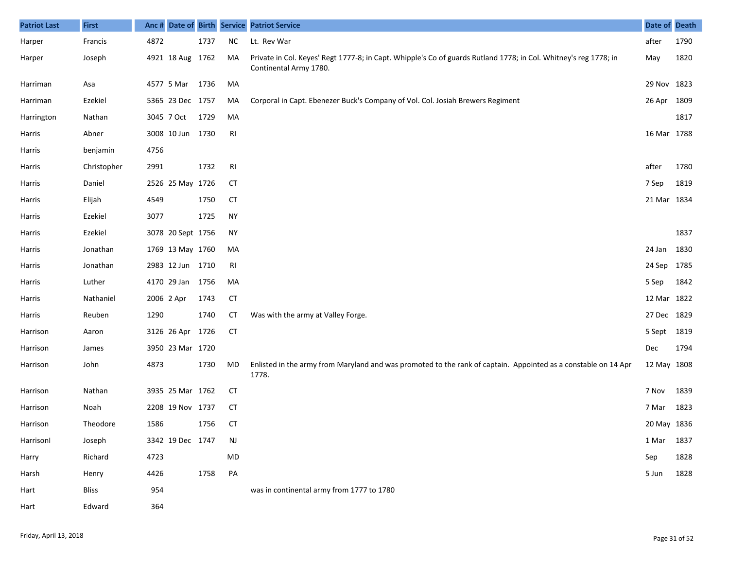| <b>Patriot Last</b> | <b>First</b> | Anc# |                   |      |                | Date of Birth Service Patriot Service                                                                                                      | Date of Death |      |
|---------------------|--------------|------|-------------------|------|----------------|--------------------------------------------------------------------------------------------------------------------------------------------|---------------|------|
| Harper              | Francis      | 4872 |                   | 1737 | <b>NC</b>      | Lt. Rev War                                                                                                                                | after         | 1790 |
| Harper              | Joseph       |      | 4921 18 Aug 1762  |      | MA             | Private in Col. Keyes' Regt 1777-8; in Capt. Whipple's Co of guards Rutland 1778; in Col. Whitney's reg 1778; in<br>Continental Army 1780. | May           | 1820 |
| Harriman            | Asa          |      | 4577 5 Mar        | 1736 | MA             |                                                                                                                                            | 29 Nov 1823   |      |
| Harriman            | Ezekiel      |      | 5365 23 Dec 1757  |      | MA             | Corporal in Capt. Ebenezer Buck's Company of Vol. Col. Josiah Brewers Regiment                                                             | 26 Apr        | 1809 |
| Harrington          | Nathan       |      | 3045 7 Oct        | 1729 | MA             |                                                                                                                                            |               | 1817 |
| Harris              | Abner        |      | 3008 10 Jun       | 1730 | R <sub>l</sub> |                                                                                                                                            | 16 Mar 1788   |      |
| Harris              | benjamin     | 4756 |                   |      |                |                                                                                                                                            |               |      |
| Harris              | Christopher  | 2991 |                   | 1732 | <b>RI</b>      |                                                                                                                                            | after         | 1780 |
| Harris              | Daniel       |      | 2526 25 May 1726  |      | CT             |                                                                                                                                            | 7 Sep         | 1819 |
| Harris              | Elijah       | 4549 |                   | 1750 | <b>CT</b>      |                                                                                                                                            | 21 Mar 1834   |      |
| Harris              | Ezekiel      | 3077 |                   | 1725 | <b>NY</b>      |                                                                                                                                            |               |      |
| Harris              | Ezekiel      |      | 3078 20 Sept 1756 |      | NY             |                                                                                                                                            |               | 1837 |
| Harris              | Jonathan     |      | 1769 13 May 1760  |      | MA             |                                                                                                                                            | 24 Jan        | 1830 |
| Harris              | Jonathan     |      | 2983 12 Jun 1710  |      | RI             |                                                                                                                                            | 24 Sep        | 1785 |
| Harris              | Luther       |      | 4170 29 Jan       | 1756 | MA             |                                                                                                                                            | 5 Sep         | 1842 |
| Harris              | Nathaniel    |      | 2006 2 Apr        | 1743 | <b>CT</b>      |                                                                                                                                            | 12 Mar 1822   |      |
| Harris              | Reuben       | 1290 |                   | 1740 | <b>CT</b>      | Was with the army at Valley Forge.                                                                                                         | 27 Dec 1829   |      |
| Harrison            | Aaron        |      | 3126 26 Apr       | 1726 | <b>CT</b>      |                                                                                                                                            | 5 Sept        | 1819 |
| Harrison            | James        |      | 3950 23 Mar 1720  |      |                |                                                                                                                                            | Dec           | 1794 |
| Harrison            | John         | 4873 |                   | 1730 | MD             | Enlisted in the army from Maryland and was promoted to the rank of captain. Appointed as a constable on 14 Apr<br>1778.                    | 12 May 1808   |      |
| Harrison            | Nathan       |      | 3935 25 Mar 1762  |      | CT             |                                                                                                                                            | 7 Nov         | 1839 |
| Harrison            | Noah         |      | 2208 19 Nov 1737  |      | <b>CT</b>      |                                                                                                                                            | 7 Mar         | 1823 |
| Harrison            | Theodore     | 1586 |                   | 1756 | <b>CT</b>      |                                                                                                                                            | 20 May 1836   |      |
| Harrisonl           | Joseph       |      | 3342 19 Dec 1747  |      | <b>NJ</b>      |                                                                                                                                            | 1 Mar         | 1837 |
| Harry               | Richard      | 4723 |                   |      | MD             |                                                                                                                                            | Sep           | 1828 |
| Harsh               | Henry        | 4426 |                   | 1758 | PA             |                                                                                                                                            | 5 Jun         | 1828 |
| Hart                | Bliss        | 954  |                   |      |                | was in continental army from 1777 to 1780                                                                                                  |               |      |
| Hart                | Edward       | 364  |                   |      |                |                                                                                                                                            |               |      |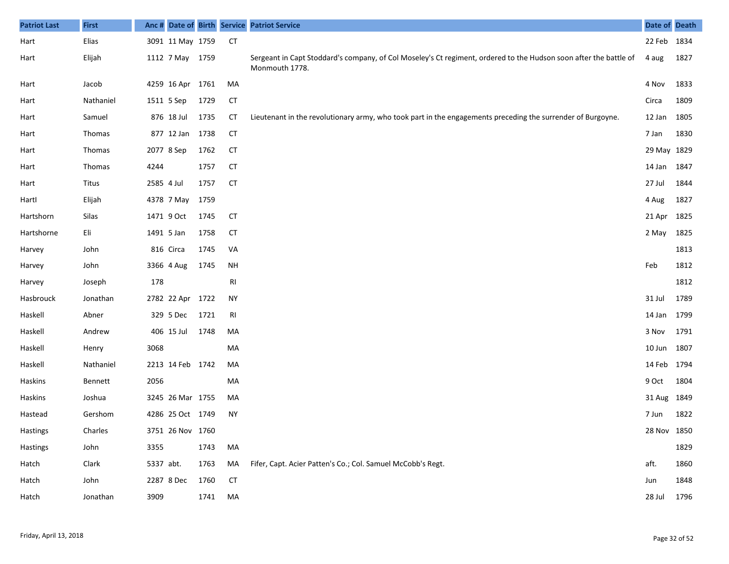| <b>Patriot Last</b> | <b>First</b>  |            |                  |      |           | Anc # Date of Birth Service Patriot Service                                                                                         | Date of Death |      |
|---------------------|---------------|------------|------------------|------|-----------|-------------------------------------------------------------------------------------------------------------------------------------|---------------|------|
| Hart                | Elias         |            | 3091 11 May 1759 |      | CT        |                                                                                                                                     | 22 Feb 1834   |      |
| Hart                | Elijah        |            | 1112 7 May 1759  |      |           | Sergeant in Capt Stoddard's company, of Col Moseley's Ct regiment, ordered to the Hudson soon after the battle of<br>Monmouth 1778. | 4 aug         | 1827 |
| Hart                | Jacob         |            | 4259 16 Apr 1761 |      | MA        |                                                                                                                                     | 4 Nov         | 1833 |
| Hart                | Nathaniel     |            | 1511 5 Sep       | 1729 | <b>CT</b> |                                                                                                                                     | Circa         | 1809 |
| Hart                | Samuel        |            | 876 18 Jul       | 1735 | СT        | Lieutenant in the revolutionary army, who took part in the engagements preceding the surrender of Burgoyne.                         | 12 Jan        | 1805 |
| Hart                | <b>Thomas</b> |            | 877 12 Jan 1738  |      | <b>CT</b> |                                                                                                                                     | 7 Jan         | 1830 |
| Hart                | Thomas        |            | 2077 8 Sep       | 1762 | <b>CT</b> |                                                                                                                                     | 29 May 1829   |      |
| Hart                | Thomas        | 4244       |                  | 1757 | <b>CT</b> |                                                                                                                                     | 14 Jan 1847   |      |
| Hart                | Titus         | 2585 4 Jul |                  | 1757 | <b>CT</b> |                                                                                                                                     | 27 Jul        | 1844 |
| Hartl               | Elijah        |            | 4378 7 May       | 1759 |           |                                                                                                                                     | 4 Aug         | 1827 |
| Hartshorn           | Silas         |            | 1471 9 Oct       | 1745 | <b>CT</b> |                                                                                                                                     | 21 Apr 1825   |      |
| Hartshorne          | Eli           |            | 1491 5 Jan       | 1758 | <b>CT</b> |                                                                                                                                     | 2 May         | 1825 |
| Harvey              | John          |            | 816 Circa        | 1745 | VA        |                                                                                                                                     |               | 1813 |
| Harvey              | John          |            | 3366 4 Aug       | 1745 | <b>NH</b> |                                                                                                                                     | Feb           | 1812 |
| Harvey              | Joseph        | 178        |                  |      | RI        |                                                                                                                                     |               | 1812 |
| Hasbrouck           | Jonathan      |            | 2782 22 Apr 1722 |      | <b>NY</b> |                                                                                                                                     | 31 Jul        | 1789 |
| Haskell             | Abner         |            | 329 5 Dec        | 1721 | RI        |                                                                                                                                     | 14 Jan 1799   |      |
| Haskell             | Andrew        |            | 406 15 Jul       | 1748 | MA        |                                                                                                                                     | 3 Nov         | 1791 |
| Haskell             | Henry         | 3068       |                  |      | MA        |                                                                                                                                     | 10 Jun 1807   |      |
| Haskell             | Nathaniel     |            | 2213 14 Feb 1742 |      | MA        |                                                                                                                                     | 14 Feb 1794   |      |
| Haskins             | Bennett       | 2056       |                  |      | MA        |                                                                                                                                     | 9 Oct         | 1804 |
| <b>Haskins</b>      | Joshua        |            | 3245 26 Mar 1755 |      | MA        |                                                                                                                                     | 31 Aug 1849   |      |
| Hastead             | Gershom       |            | 4286 25 Oct 1749 |      | NY.       |                                                                                                                                     | 7 Jun         | 1822 |
| Hastings            | Charles       |            | 3751 26 Nov 1760 |      |           |                                                                                                                                     | 28 Nov 1850   |      |
| Hastings            | John          | 3355       |                  | 1743 | MA        |                                                                                                                                     |               | 1829 |
| Hatch               | Clark         | 5337 abt.  |                  | 1763 | MA        | Fifer, Capt. Acier Patten's Co.; Col. Samuel McCobb's Regt.                                                                         | aft.          | 1860 |
| Hatch               | John          |            | 2287 8 Dec       | 1760 | <b>CT</b> |                                                                                                                                     | Jun           | 1848 |
| Hatch               | Jonathan      | 3909       |                  | 1741 | MA        |                                                                                                                                     | 28 Jul        | 1796 |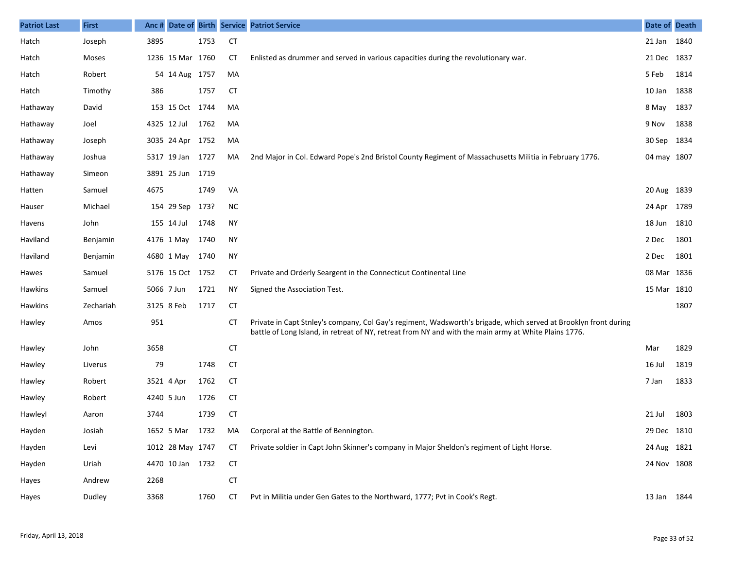| <b>Patriot Last</b> | <b>First</b> | Anc #       |                    |      |           | Date of Birth Service Patriot Service                                                                                                                                                                                     | Date of Death |      |
|---------------------|--------------|-------------|--------------------|------|-----------|---------------------------------------------------------------------------------------------------------------------------------------------------------------------------------------------------------------------------|---------------|------|
| Hatch               | Joseph       | 3895        |                    | 1753 | <b>CT</b> |                                                                                                                                                                                                                           | 21 Jan 1840   |      |
| Hatch               | Moses        |             | 1236 15 Mar 1760   |      | CТ        | Enlisted as drummer and served in various capacities during the revolutionary war.                                                                                                                                        | 21 Dec 1837   |      |
| Hatch               | Robert       |             | 54 14 Aug 1757     |      | MA        |                                                                                                                                                                                                                           | 5 Feb         | 1814 |
| Hatch               | Timothy      | 386         |                    | 1757 | <b>CT</b> |                                                                                                                                                                                                                           | 10 Jan        | 1838 |
| Hathaway            | David        |             | 153 15 Oct 1744    |      | MA        |                                                                                                                                                                                                                           | 8 May 1837    |      |
| Hathaway            | Joel         | 4325 12 Jul |                    | 1762 | MA        |                                                                                                                                                                                                                           | 9 Nov         | 1838 |
| Hathaway            | Joseph       |             | 3035 24 Apr 1752   |      | MA        |                                                                                                                                                                                                                           | 30 Sep 1834   |      |
| Hathaway            | Joshua       |             | 5317 19 Jan 1727   |      | MA        | 2nd Major in Col. Edward Pope's 2nd Bristol County Regiment of Massachusetts Militia in February 1776.                                                                                                                    | 04 may 1807   |      |
| Hathaway            | Simeon       |             | 3891 25 Jun 1719   |      |           |                                                                                                                                                                                                                           |               |      |
| Hatten              | Samuel       | 4675        |                    | 1749 | VA        |                                                                                                                                                                                                                           | 20 Aug 1839   |      |
| Hauser              | Michael      |             | 154 29 Sep         | 173? | <b>NC</b> |                                                                                                                                                                                                                           | 24 Apr 1789   |      |
| Havens              | John         |             | 155 14 Jul         | 1748 | <b>NY</b> |                                                                                                                                                                                                                           | 18 Jun 1810   |      |
| Haviland            | Benjamin     | 4176 1 May  |                    | 1740 | <b>NY</b> |                                                                                                                                                                                                                           | 2 Dec         | 1801 |
| Haviland            | Benjamin     |             | 4680 1 May         | 1740 | <b>NY</b> |                                                                                                                                                                                                                           | 2 Dec         | 1801 |
| Hawes               | Samuel       |             | 5176 15 Oct 1752   |      | СT        | Private and Orderly Seargent in the Connecticut Continental Line                                                                                                                                                          | 08 Mar 1836   |      |
| Hawkins             | Samuel       | 5066 7 Jun  |                    | 1721 | <b>NY</b> | Signed the Association Test.                                                                                                                                                                                              | 15 Mar 1810   |      |
| <b>Hawkins</b>      | Zechariah    | 3125 8 Feb  |                    | 1717 | <b>CT</b> |                                                                                                                                                                                                                           |               | 1807 |
| Hawley              | Amos         | 951         |                    |      | CТ        | Private in Capt Stnley's company, Col Gay's regiment, Wadsworth's brigade, which served at Brooklyn front during<br>battle of Long Island, in retreat of NY, retreat from NY and with the main army at White Plains 1776. |               |      |
| Hawley              | John         | 3658        |                    |      | <b>CT</b> |                                                                                                                                                                                                                           | Mar           | 1829 |
| <b>Hawley</b>       | Liverus      | 79          |                    | 1748 | <b>CT</b> |                                                                                                                                                                                                                           | 16 Jul        | 1819 |
| Hawley              | Robert       | 3521 4 Apr  |                    | 1762 | <b>CT</b> |                                                                                                                                                                                                                           | 7 Jan         | 1833 |
| Hawley              | Robert       | 4240 5 Jun  |                    | 1726 | <b>CT</b> |                                                                                                                                                                                                                           |               |      |
| Hawleyl             | Aaron        | 3744        |                    | 1739 | <b>CT</b> |                                                                                                                                                                                                                           | 21 Jul        | 1803 |
| Hayden              | Josiah       |             | 1652 5 Mar 1732 MA |      |           | Corporal at the Battle of Bennington.                                                                                                                                                                                     | 29 Dec 1810   |      |
| Hayden              | Levi         |             | 1012 28 May 1747   |      | CT        | Private soldier in Capt John Skinner's company in Major Sheldon's regiment of Light Horse.                                                                                                                                | 24 Aug 1821   |      |
| Hayden              | Uriah        |             | 4470 10 Jan 1732   |      | CT        |                                                                                                                                                                                                                           | 24 Nov 1808   |      |
| Hayes               | Andrew       | 2268        |                    |      | <b>CT</b> |                                                                                                                                                                                                                           |               |      |
| Hayes               | Dudley       | 3368        |                    | 1760 | CT        | Pvt in Militia under Gen Gates to the Northward, 1777; Pvt in Cook's Regt.                                                                                                                                                | 13 Jan 1844   |      |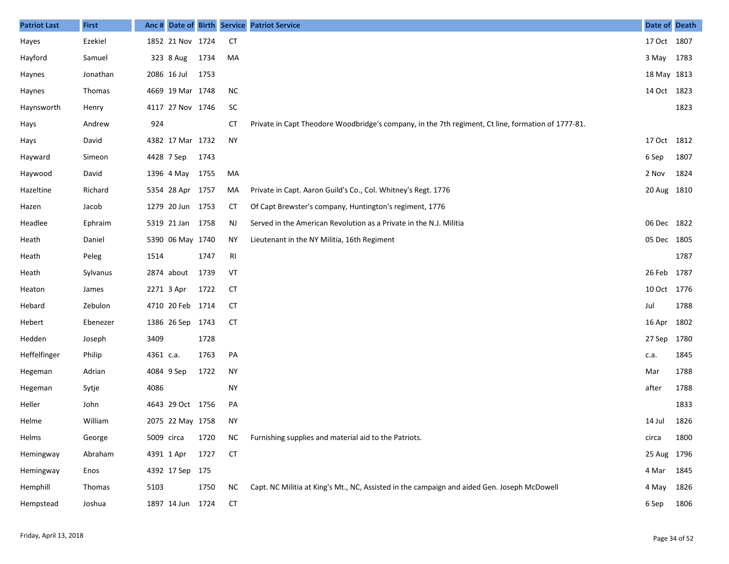| <b>Patriot Last</b> | <b>First</b>  |            |                  |      |           | Anc # Date of Birth Service Patriot Service                                                        | Date of Death |      |
|---------------------|---------------|------------|------------------|------|-----------|----------------------------------------------------------------------------------------------------|---------------|------|
| Hayes               | Ezekiel       |            | 1852 21 Nov 1724 |      | <b>CT</b> |                                                                                                    | 17 Oct 1807   |      |
| Hayford             | Samuel        |            | 323 8 Aug        | 1734 | MA        |                                                                                                    | 3 May 1783    |      |
| Haynes              | Jonathan      |            | 2086 16 Jul      | 1753 |           |                                                                                                    | 18 May 1813   |      |
| Haynes              | <b>Thomas</b> |            | 4669 19 Mar 1748 |      | <b>NC</b> |                                                                                                    | 14 Oct 1823   |      |
| Haynsworth          | Henry         |            | 4117 27 Nov 1746 |      | SC        |                                                                                                    |               | 1823 |
| Hays                | Andrew        | 924        |                  |      | CT        | Private in Capt Theodore Woodbridge's company, in the 7th regiment, Ct line, formation of 1777-81. |               |      |
| Hays                | David         |            | 4382 17 Mar 1732 |      | <b>NY</b> |                                                                                                    | 17 Oct 1812   |      |
| Hayward             | Simeon        | 4428 7 Sep |                  | 1743 |           |                                                                                                    | 6 Sep         | 1807 |
| Haywood             | David         |            | 1396 4 May       | 1755 | MA        |                                                                                                    | 2 Nov         | 1824 |
| Hazeltine           | Richard       |            | 5354 28 Apr 1757 |      | MA        | Private in Capt. Aaron Guild's Co., Col. Whitney's Regt. 1776                                      | 20 Aug 1810   |      |
| Hazen               | Jacob         |            | 1279 20 Jun 1753 |      | СT        | Of Capt Brewster's company, Huntington's regiment, 1776                                            |               |      |
| Headlee             | Ephraim       |            | 5319 21 Jan 1758 |      | NJ        | Served in the American Revolution as a Private in the N.J. Militia                                 | 06 Dec 1822   |      |
| Heath               | Daniel        |            | 5390 06 May 1740 |      | ΝY        | Lieutenant in the NY Militia, 16th Regiment                                                        | 05 Dec 1805   |      |
| Heath               | Peleg         | 1514       |                  | 1747 | RI        |                                                                                                    |               | 1787 |
| Heath               | Sylvanus      |            | 2874 about       | 1739 | VT        |                                                                                                    | 26 Feb 1787   |      |
| Heaton              | James         | 2271 3 Apr |                  | 1722 | СT        |                                                                                                    | 10 Oct 1776   |      |
| Hebard              | Zebulon       |            | 4710 20 Feb 1714 |      | <b>CT</b> |                                                                                                    | Jul           | 1788 |
| Hebert              | Ebenezer      |            | 1386 26 Sep 1743 |      | <b>CT</b> |                                                                                                    | 16 Apr 1802   |      |
| Hedden              | Joseph        | 3409       |                  | 1728 |           |                                                                                                    | 27 Sep 1780   |      |
| Heffelfinger        | Philip        | 4361 c.a.  |                  | 1763 | PA        |                                                                                                    | c.a.          | 1845 |
| Hegeman             | Adrian        | 4084 9 Sep |                  | 1722 | <b>NY</b> |                                                                                                    | Mar           | 1788 |
| Hegeman             | Sytje         | 4086       |                  |      | <b>NY</b> |                                                                                                    | after         | 1788 |
| Heller              | John          |            | 4643 29 Oct 1756 |      | PA        |                                                                                                    |               | 1833 |
| Helme               | William       |            | 2075 22 May 1758 |      | <b>NY</b> |                                                                                                    | 14 Jul        | 1826 |
| Helms               | George        | 5009 circa |                  | 1720 | <b>NC</b> | Furnishing supplies and material aid to the Patriots.                                              | circa         | 1800 |
| Hemingway           | Abraham       | 4391 1 Apr |                  | 1727 | <b>CT</b> |                                                                                                    | 25 Aug 1796   |      |
| Hemingway           | Enos          |            | 4392 17 Sep 175  |      |           |                                                                                                    | 4 Mar         | 1845 |
| Hemphill            | Thomas        | 5103       |                  | 1750 | NC        | Capt. NC Militia at King's Mt., NC, Assisted in the campaign and aided Gen. Joseph McDowell        | 4 May         | 1826 |
| Hempstead           | Joshua        |            | 1897 14 Jun 1724 |      | <b>CT</b> |                                                                                                    | 6 Sep         | 1806 |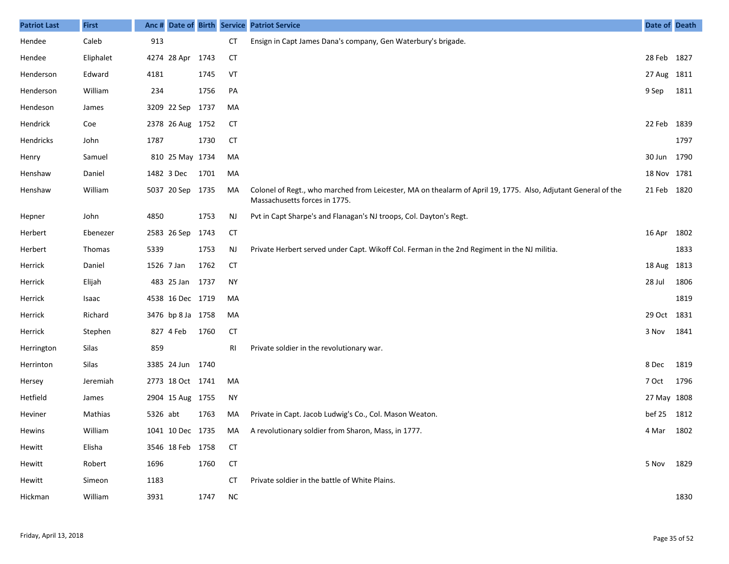| <b>Patriot Last</b> | <b>First</b> | Anc#     |                   |      |           | Date of Birth Service Patriot Service                                                                                                          | Date of Death |      |
|---------------------|--------------|----------|-------------------|------|-----------|------------------------------------------------------------------------------------------------------------------------------------------------|---------------|------|
| Hendee              | Caleb        | 913      |                   |      | <b>CT</b> | Ensign in Capt James Dana's company, Gen Waterbury's brigade.                                                                                  |               |      |
| Hendee              | Eliphalet    |          | 4274 28 Apr       | 1743 | <b>CT</b> |                                                                                                                                                | 28 Feb 1827   |      |
| Henderson           | Edward       | 4181     |                   | 1745 | VT        |                                                                                                                                                | 27 Aug 1811   |      |
| Henderson           | William      | 234      |                   | 1756 | PA        |                                                                                                                                                | 9 Sep         | 1811 |
| Hendeson            | James        |          | 3209 22 Sep       | 1737 | MA        |                                                                                                                                                |               |      |
| Hendrick            | Coe          |          | 2378 26 Aug 1752  |      | СT        |                                                                                                                                                | 22 Feb        | 1839 |
| Hendricks           | John         | 1787     |                   | 1730 | <b>CT</b> |                                                                                                                                                |               | 1797 |
| Henry               | Samuel       |          | 810 25 May 1734   |      | MA        |                                                                                                                                                | 30 Jun        | 1790 |
| Henshaw             | Daniel       |          | 1482 3 Dec        | 1701 | MA        |                                                                                                                                                | 18 Nov 1781   |      |
| Henshaw             | William      |          | 5037 20 Sep 1735  |      | MA        | Colonel of Regt., who marched from Leicester, MA on thealarm of April 19, 1775. Also, Adjutant General of the<br>Massachusetts forces in 1775. | 21 Feb 1820   |      |
| Hepner              | John         | 4850     |                   | 1753 | NJ        | Pvt in Capt Sharpe's and Flanagan's NJ troops, Col. Dayton's Regt.                                                                             |               |      |
| Herbert             | Ebenezer     |          | 2583 26 Sep       | 1743 | <b>CT</b> |                                                                                                                                                | 16 Apr        | 1802 |
| Herbert             | Thomas       | 5339     |                   | 1753 | NJ        | Private Herbert served under Capt. Wikoff Col. Ferman in the 2nd Regiment in the NJ militia.                                                   |               | 1833 |
| Herrick             | Daniel       |          | 1526 7 Jan        | 1762 | <b>CT</b> |                                                                                                                                                | 18 Aug        | 1813 |
| Herrick             | Elijah       |          | 483 25 Jan        | 1737 | <b>NY</b> |                                                                                                                                                | 28 Jul        | 1806 |
| Herrick             | Isaac        |          | 4538 16 Dec 1719  |      | MA        |                                                                                                                                                |               | 1819 |
| Herrick             | Richard      |          | 3476 bp 8 Ja 1758 |      | MA        |                                                                                                                                                | 29 Oct        | 1831 |
| Herrick             | Stephen      |          | 827 4 Feb         | 1760 | <b>CT</b> |                                                                                                                                                | 3 Nov         | 1841 |
| Herrington          | Silas        | 859      |                   |      | RI        | Private soldier in the revolutionary war.                                                                                                      |               |      |
| Herrinton           | Silas        |          | 3385 24 Jun 1740  |      |           |                                                                                                                                                | 8 Dec         | 1819 |
| Hersey              | Jeremiah     |          | 2773 18 Oct 1741  |      | MA        |                                                                                                                                                | 7 Oct         | 1796 |
| Hetfield            | James        |          | 2904 15 Aug 1755  |      | NY        |                                                                                                                                                | 27 May 1808   |      |
| Heviner             | Mathias      | 5326 abt |                   | 1763 | MA        | Private in Capt. Jacob Ludwig's Co., Col. Mason Weaton.                                                                                        | bef 25        | 1812 |
| Hewins              | William      |          |                   |      |           | 1041 10 Dec 1735 MA A revolutionary soldier from Sharon, Mass, in 1777.                                                                        | 4 Mar 1802    |      |
| Hewitt              | Elisha       |          | 3546 18 Feb 1758  |      | СT        |                                                                                                                                                |               |      |
| Hewitt              | Robert       | 1696     |                   | 1760 | <b>CT</b> |                                                                                                                                                | 5 Nov         | 1829 |
| Hewitt              | Simeon       | 1183     |                   |      | CТ        | Private soldier in the battle of White Plains.                                                                                                 |               |      |
| Hickman             | William      | 3931     |                   | 1747 | <b>NC</b> |                                                                                                                                                |               | 1830 |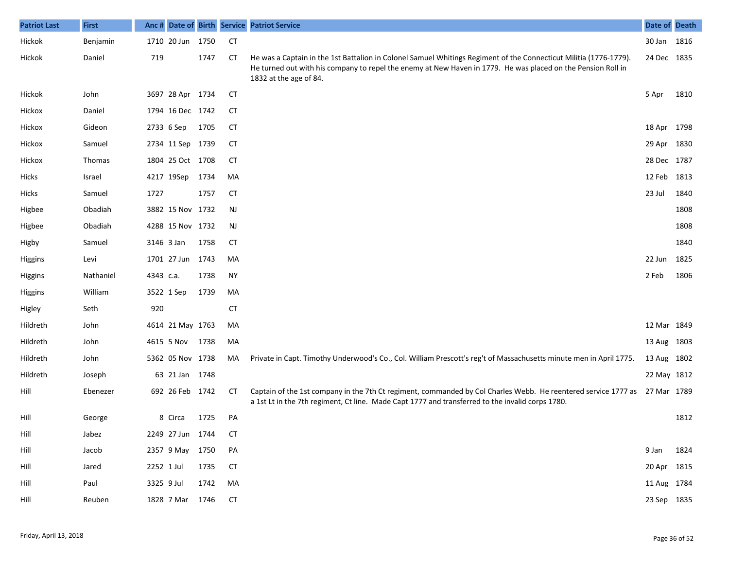| <b>Patriot Last</b> | <b>First</b> |            |                  |      |           | Anc # Date of Birth Service Patriot Service                                                                                                                                                                                                                 | Date of Death |      |
|---------------------|--------------|------------|------------------|------|-----------|-------------------------------------------------------------------------------------------------------------------------------------------------------------------------------------------------------------------------------------------------------------|---------------|------|
| Hickok              | Benjamin     |            | 1710 20 Jun 1750 |      | <b>CT</b> |                                                                                                                                                                                                                                                             | 30 Jan 1816   |      |
| Hickok              | Daniel       | 719        |                  | 1747 | СT        | He was a Captain in the 1st Battalion in Colonel Samuel Whitings Regiment of the Connecticut Militia (1776-1779).<br>He turned out with his company to repel the enemy at New Haven in 1779. He was placed on the Pension Roll in<br>1832 at the age of 84. | 24 Dec 1835   |      |
| Hickok              | John         |            | 3697 28 Apr 1734 |      | <b>CT</b> |                                                                                                                                                                                                                                                             | 5 Apr         | 1810 |
| Hickox              | Daniel       |            | 1794 16 Dec 1742 |      | <b>CT</b> |                                                                                                                                                                                                                                                             |               |      |
| Hickox              | Gideon       |            | 2733 6 Sep       | 1705 | <b>CT</b> |                                                                                                                                                                                                                                                             | 18 Apr 1798   |      |
| Hickox              | Samuel       |            | 2734 11 Sep 1739 |      | <b>CT</b> |                                                                                                                                                                                                                                                             | 29 Apr 1830   |      |
| Hickox              | Thomas       |            | 1804 25 Oct 1708 |      | <b>CT</b> |                                                                                                                                                                                                                                                             | 28 Dec 1787   |      |
| <b>Hicks</b>        | Israel       |            | 4217 19Sep       | 1734 | MA        |                                                                                                                                                                                                                                                             | 12 Feb 1813   |      |
| <b>Hicks</b>        | Samuel       | 1727       |                  | 1757 | <b>CT</b> |                                                                                                                                                                                                                                                             | 23 Jul        | 1840 |
| Higbee              | Obadiah      |            | 3882 15 Nov 1732 |      | <b>NJ</b> |                                                                                                                                                                                                                                                             |               | 1808 |
| Higbee              | Obadiah      |            | 4288 15 Nov 1732 |      | NJ        |                                                                                                                                                                                                                                                             |               | 1808 |
| Higby               | Samuel       | 3146 3 Jan |                  | 1758 | <b>CT</b> |                                                                                                                                                                                                                                                             |               | 1840 |
| Higgins             | Levi         |            | 1701 27 Jun 1743 |      | MA        |                                                                                                                                                                                                                                                             | 22 Jun        | 1825 |
| Higgins             | Nathaniel    | 4343 c.a.  |                  | 1738 | <b>NY</b> |                                                                                                                                                                                                                                                             | 2 Feb         | 1806 |
| Higgins             | William      |            | 3522 1 Sep       | 1739 | MA        |                                                                                                                                                                                                                                                             |               |      |
| Higley              | Seth         | 920        |                  |      | <b>CT</b> |                                                                                                                                                                                                                                                             |               |      |
| Hildreth            | John         |            | 4614 21 May 1763 |      | MA        |                                                                                                                                                                                                                                                             | 12 Mar 1849   |      |
| Hildreth            | John         |            | 4615 5 Nov       | 1738 | MA        |                                                                                                                                                                                                                                                             | 13 Aug 1803   |      |
| Hildreth            | John         |            | 5362 05 Nov 1738 |      | MA        | Private in Capt. Timothy Underwood's Co., Col. William Prescott's reg't of Massachusetts minute men in April 1775.                                                                                                                                          | 13 Aug 1802   |      |
| Hildreth            | Joseph       |            | 63 21 Jan 1748   |      |           |                                                                                                                                                                                                                                                             | 22 May 1812   |      |
| Hill                | Ebenezer     |            | 692 26 Feb 1742  |      | <b>CT</b> | Captain of the 1st company in the 7th Ct regiment, commanded by Col Charles Webb. He reentered service 1777 as 27 Mar 1789<br>a 1st Lt in the 7th regiment, Ct line. Made Capt 1777 and transferred to the invalid corps 1780.                              |               |      |
| Hill                | George       |            | 8 Circa          | 1725 | PA        |                                                                                                                                                                                                                                                             |               | 1812 |
| Hill                | Jabez        |            | 2249 27 Jun 1744 |      | <b>CT</b> |                                                                                                                                                                                                                                                             |               |      |
| Hill                | Jacob        |            | 2357 9 May 1750  |      | PA        |                                                                                                                                                                                                                                                             | 9 Jan 1824    |      |
| Hill                | Jared        | 2252 1 Jul |                  | 1735 | <b>CT</b> |                                                                                                                                                                                                                                                             | 20 Apr 1815   |      |
| Hill                | Paul         | 3325 9 Jul |                  | 1742 | MA        |                                                                                                                                                                                                                                                             | 11 Aug 1784   |      |
| Hill                | Reuben       |            | 1828 7 Mar       | 1746 | <b>CT</b> |                                                                                                                                                                                                                                                             | 23 Sep 1835   |      |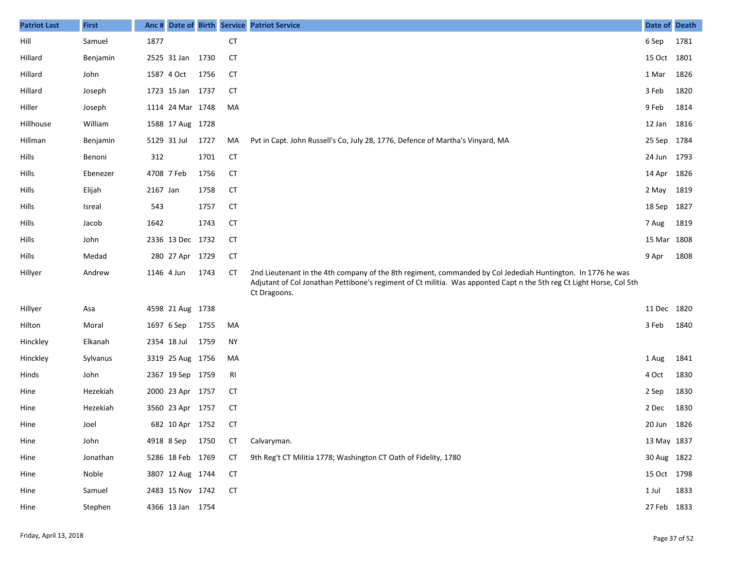| <b>Patriot Last</b> | <b>First</b> | Anc #      |                  |      |           | Date of Birth Service Patriot Service                                                                                                                                                                                                               | Date of Death |      |
|---------------------|--------------|------------|------------------|------|-----------|-----------------------------------------------------------------------------------------------------------------------------------------------------------------------------------------------------------------------------------------------------|---------------|------|
| Hill                | Samuel       | 1877       |                  |      | <b>CT</b> |                                                                                                                                                                                                                                                     | 6 Sep         | 1781 |
| Hillard             | Benjamin     |            | 2525 31 Jan      | 1730 | <b>CT</b> |                                                                                                                                                                                                                                                     | 15 Oct 1801   |      |
| Hillard             | John         |            | 1587 4 Oct       | 1756 | <b>CT</b> |                                                                                                                                                                                                                                                     | 1 Mar         | 1826 |
| Hillard             | Joseph       |            | 1723 15 Jan 1737 |      | CT        |                                                                                                                                                                                                                                                     | 3 Feb         | 1820 |
| Hiller              | Joseph       |            | 1114 24 Mar 1748 |      | MA        |                                                                                                                                                                                                                                                     | 9 Feb         | 1814 |
| Hillhouse           | William      |            | 1588 17 Aug 1728 |      |           |                                                                                                                                                                                                                                                     | 12 Jan 1816   |      |
| Hillman             | Benjamin     |            | 5129 31 Jul      | 1727 | MA        | Pvt in Capt. John Russell's Co, July 28, 1776, Defence of Martha's Vinyard, MA                                                                                                                                                                      | 25 Sep 1784   |      |
| Hills               | Benoni       | 312        |                  | 1701 | <b>CT</b> |                                                                                                                                                                                                                                                     | 24 Jun 1793   |      |
| Hills               | Ebenezer     | 4708 7 Feb |                  | 1756 | <b>CT</b> |                                                                                                                                                                                                                                                     | 14 Apr 1826   |      |
| Hills               | Elijah       | 2167 Jan   |                  | 1758 | <b>CT</b> |                                                                                                                                                                                                                                                     | 2 May 1819    |      |
| Hills               | Isreal       | 543        |                  | 1757 | <b>CT</b> |                                                                                                                                                                                                                                                     | 18 Sep 1827   |      |
| Hills               | Jacob        | 1642       |                  | 1743 | <b>CT</b> |                                                                                                                                                                                                                                                     | 7 Aug         | 1819 |
| Hills               | John         |            | 2336 13 Dec 1732 |      | <b>CT</b> |                                                                                                                                                                                                                                                     | 15 Mar 1808   |      |
| Hills               | Medad        |            | 280 27 Apr 1729  |      | <b>CT</b> |                                                                                                                                                                                                                                                     | 9 Apr         | 1808 |
| Hillyer             | Andrew       | 1146 4 Jun |                  | 1743 | СT        | 2nd Lieutenant in the 4th company of the 8th regiment, commanded by Col Jedediah Huntington. In 1776 he was<br>Adjutant of Col Jonathan Pettibone's regiment of Ct militia. Was apponted Capt n the 5th reg Ct Light Horse, Col 5th<br>Ct Dragoons. |               |      |
| Hillyer             | Asa          |            | 4598 21 Aug 1738 |      |           |                                                                                                                                                                                                                                                     | 11 Dec 1820   |      |
| Hilton              | Moral        | 1697 6 Sep |                  | 1755 | MA        |                                                                                                                                                                                                                                                     | 3 Feb         | 1840 |
| Hinckley            | Elkanah      |            | 2354 18 Jul      | 1759 | <b>NY</b> |                                                                                                                                                                                                                                                     |               |      |
| Hinckley            | Sylvanus     |            | 3319 25 Aug 1756 |      | MA        |                                                                                                                                                                                                                                                     | 1 Aug         | 1841 |
| Hinds               | John         |            | 2367 19 Sep 1759 |      | RI        |                                                                                                                                                                                                                                                     | 4 Oct         | 1830 |
| Hine                | Hezekiah     |            | 2000 23 Apr 1757 |      | <b>CT</b> |                                                                                                                                                                                                                                                     | 2 Sep         | 1830 |
| Hine                | Hezekiah     |            | 3560 23 Apr 1757 |      | <b>CT</b> |                                                                                                                                                                                                                                                     | 2 Dec         | 1830 |
| Hine                | Joel         |            | 682 10 Apr 1752  |      | <b>CT</b> |                                                                                                                                                                                                                                                     | 20 Jun 1826   |      |
| Hine                | John         |            | 4918 8 Sep       | 1750 | СT        | Calvaryman.                                                                                                                                                                                                                                         | 13 May 1837   |      |
| Hine                | Jonathan     |            | 5286 18 Feb 1769 |      | <b>CT</b> | 9th Reg't CT Militia 1778; Washington CT Oath of Fidelity, 1780                                                                                                                                                                                     | 30 Aug 1822   |      |
| Hine                | Noble        |            | 3807 12 Aug 1744 |      | <b>CT</b> |                                                                                                                                                                                                                                                     | 15 Oct 1798   |      |
| Hine                | Samuel       |            | 2483 15 Nov 1742 |      | <b>CT</b> |                                                                                                                                                                                                                                                     | 1 Jul         | 1833 |
| Hine                | Stephen      |            | 4366 13 Jan 1754 |      |           |                                                                                                                                                                                                                                                     | 27 Feb 1833   |      |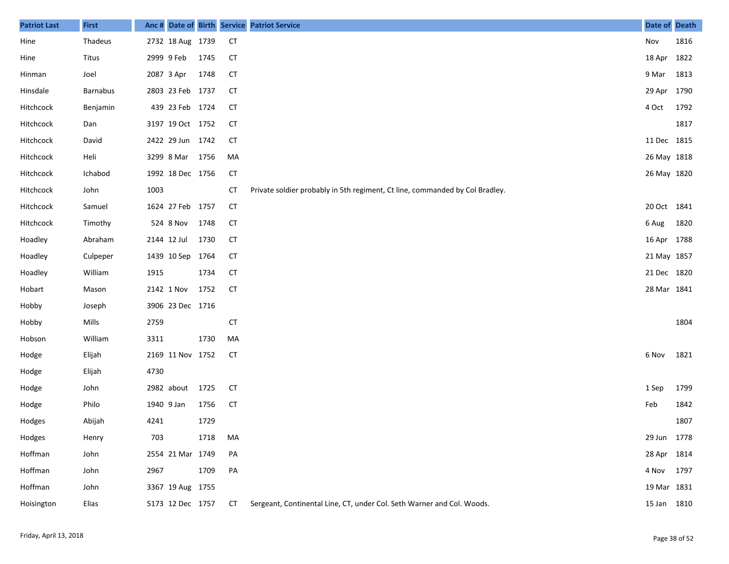| <b>Patriot Last</b> | <b>First</b>    |            |                  |      |           | Anc # Date of Birth Service Patriot Service                                  | Date of Death |      |
|---------------------|-----------------|------------|------------------|------|-----------|------------------------------------------------------------------------------|---------------|------|
| Hine                | Thadeus         |            | 2732 18 Aug 1739 |      | <b>CT</b> |                                                                              | Nov           | 1816 |
| Hine                | Titus           |            | 2999 9 Feb       | 1745 | <b>CT</b> |                                                                              | 18 Apr 1822   |      |
| Hinman              | Joel            |            | 2087 3 Apr       | 1748 | <b>CT</b> |                                                                              | 9 Mar         | 1813 |
| Hinsdale            | <b>Barnabus</b> |            | 2803 23 Feb 1737 |      | <b>CT</b> |                                                                              | 29 Apr 1790   |      |
| Hitchcock           | Benjamin        |            | 439 23 Feb 1724  |      | <b>CT</b> |                                                                              | 4 Oct         | 1792 |
| Hitchcock           | Dan             |            | 3197 19 Oct 1752 |      | <b>CT</b> |                                                                              |               | 1817 |
| Hitchcock           | David           |            | 2422 29 Jun 1742 |      | <b>CT</b> |                                                                              | 11 Dec 1815   |      |
| Hitchcock           | Heli            |            | 3299 8 Mar 1756  |      | MA        |                                                                              | 26 May 1818   |      |
| Hitchcock           | Ichabod         |            | 1992 18 Dec 1756 |      | <b>CT</b> |                                                                              | 26 May 1820   |      |
| Hitchcock           | John            | 1003       |                  |      | <b>CT</b> | Private soldier probably in 5th regiment, Ct line, commanded by Col Bradley. |               |      |
| Hitchcock           | Samuel          |            | 1624 27 Feb 1757 |      | <b>CT</b> |                                                                              | 20 Oct 1841   |      |
| Hitchcock           | Timothy         |            | 524 8 Nov        | 1748 | <b>CT</b> |                                                                              | 6 Aug         | 1820 |
| Hoadley             | Abraham         |            | 2144 12 Jul      | 1730 | <b>CT</b> |                                                                              | 16 Apr 1788   |      |
| Hoadley             | Culpeper        |            | 1439 10 Sep      | 1764 | <b>CT</b> |                                                                              | 21 May 1857   |      |
| Hoadley             | William         | 1915       |                  | 1734 | <b>CT</b> |                                                                              | 21 Dec 1820   |      |
| Hobart              | Mason           |            | 2142 1 Nov       | 1752 | <b>CT</b> |                                                                              | 28 Mar 1841   |      |
| Hobby               | Joseph          |            | 3906 23 Dec 1716 |      |           |                                                                              |               |      |
| Hobby               | Mills           | 2759       |                  |      | <b>CT</b> |                                                                              |               | 1804 |
| Hobson              | William         | 3311       |                  | 1730 | MA        |                                                                              |               |      |
| Hodge               | Elijah          |            | 2169 11 Nov 1752 |      | <b>CT</b> |                                                                              | 6 Nov         | 1821 |
| Hodge               | Elijah          | 4730       |                  |      |           |                                                                              |               |      |
| Hodge               | John            |            | 2982 about       | 1725 | <b>CT</b> |                                                                              | 1 Sep         | 1799 |
| Hodge               | Philo           | 1940 9 Jan |                  | 1756 | <b>CT</b> |                                                                              | Feb           | 1842 |
| Hodges              | Abijah          | 4241       |                  | 1729 |           |                                                                              |               | 1807 |
| Hodges              | Henry           | 703        |                  | 1718 | MA        |                                                                              | 29 Jun 1778   |      |
| Hoffman             | John            |            | 2554 21 Mar 1749 |      | PA        |                                                                              | 28 Apr 1814   |      |
| Hoffman             | John            | 2967       |                  | 1709 | PA        |                                                                              | 4 Nov 1797    |      |
| Hoffman             | John            |            | 3367 19 Aug 1755 |      |           |                                                                              | 19 Mar 1831   |      |
| Hoisington          | Elias           |            | 5173 12 Dec 1757 |      | <b>CT</b> | Sergeant, Continental Line, CT, under Col. Seth Warner and Col. Woods.       | 15 Jan 1810   |      |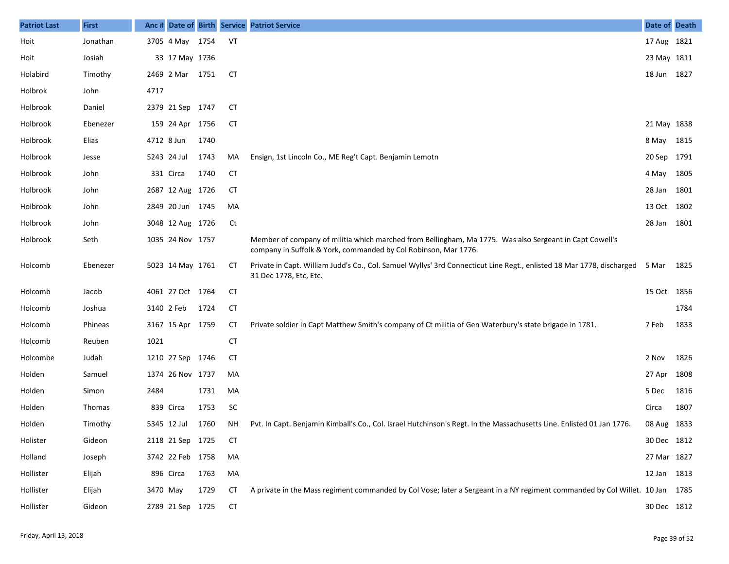| <b>Patriot Last</b> | <b>First</b>  |             |                  |      |           | Anc # Date of Birth Service Patriot Service                                                                                                                                | Date of Death |      |
|---------------------|---------------|-------------|------------------|------|-----------|----------------------------------------------------------------------------------------------------------------------------------------------------------------------------|---------------|------|
| Hoit                | Jonathan      |             | 3705 4 May       | 1754 | VT        |                                                                                                                                                                            | 17 Aug 1821   |      |
| Hoit                | Josiah        |             | 33 17 May 1736   |      |           |                                                                                                                                                                            | 23 May 1811   |      |
| Holabird            | Timothy       |             | 2469 2 Mar 1751  |      | <b>CT</b> |                                                                                                                                                                            | 18 Jun 1827   |      |
| Holbrok             | John          | 4717        |                  |      |           |                                                                                                                                                                            |               |      |
| Holbrook            | Daniel        |             | 2379 21 Sep 1747 |      | <b>CT</b> |                                                                                                                                                                            |               |      |
| Holbrook            | Ebenezer      |             | 159 24 Apr 1756  |      | <b>CT</b> |                                                                                                                                                                            | 21 May 1838   |      |
| Holbrook            | Elias         | 4712 8 Jun  |                  | 1740 |           |                                                                                                                                                                            | 8 May 1815    |      |
| Holbrook            | Jesse         |             | 5243 24 Jul      | 1743 | MA        | Ensign, 1st Lincoln Co., ME Reg't Capt. Benjamin Lemotn                                                                                                                    | 20 Sep 1791   |      |
| Holbrook            | John          |             | 331 Circa        | 1740 | <b>CT</b> |                                                                                                                                                                            | 4 May 1805    |      |
| Holbrook            | John          |             | 2687 12 Aug 1726 |      | СT        |                                                                                                                                                                            | 28 Jan 1801   |      |
| Holbrook            | John          |             | 2849 20 Jun 1745 |      | MA        |                                                                                                                                                                            | 13 Oct 1802   |      |
| Holbrook            | John          |             | 3048 12 Aug 1726 |      | Ct        |                                                                                                                                                                            | 28 Jan 1801   |      |
| Holbrook            | Seth          |             | 1035 24 Nov 1757 |      |           | Member of company of militia which marched from Bellingham, Ma 1775. Was also Sergeant in Capt Cowell's<br>company in Suffolk & York, commanded by Col Robinson, Mar 1776. |               |      |
| Holcomb             | Ebenezer      |             | 5023 14 May 1761 |      | CТ        | Private in Capt. William Judd's Co., Col. Samuel Wyllys' 3rd Connecticut Line Regt., enlisted 18 Mar 1778, discharged 5 Mar<br>31 Dec 1778, Etc, Etc.                      |               | 1825 |
| Holcomb             | Jacob         |             | 4061 27 Oct 1764 |      | <b>CT</b> |                                                                                                                                                                            | 15 Oct 1856   |      |
| Holcomb             | Joshua        | 3140 2 Feb  |                  | 1724 | <b>CT</b> |                                                                                                                                                                            |               | 1784 |
| Holcomb             | Phineas       |             | 3167 15 Apr 1759 |      | СT        | Private soldier in Capt Matthew Smith's company of Ct militia of Gen Waterbury's state brigade in 1781.                                                                    | 7 Feb         | 1833 |
| Holcomb             | Reuben        | 1021        |                  |      | <b>CT</b> |                                                                                                                                                                            |               |      |
| Holcombe            | Judah         |             | 1210 27 Sep 1746 |      | СT        |                                                                                                                                                                            | 2 Nov         | 1826 |
| Holden              | Samuel        |             | 1374 26 Nov 1737 |      | MA        |                                                                                                                                                                            | 27 Apr        | 1808 |
| Holden              | Simon         | 2484        |                  | 1731 | MA        |                                                                                                                                                                            | 5 Dec         | 1816 |
| Holden              | <b>Thomas</b> |             | 839 Circa        | 1753 | <b>SC</b> |                                                                                                                                                                            | Circa         | 1807 |
| Holden              | Timothy       | 5345 12 Jul |                  | 1760 | ΝH        | Pvt. In Capt. Benjamin Kimball's Co., Col. Israel Hutchinson's Regt. In the Massachusetts Line. Enlisted 01 Jan 1776.                                                      | 08 Aug 1833   |      |
| Holister            | Gideon        |             | 2118 21 Sep 1725 |      | <b>CT</b> |                                                                                                                                                                            | 30 Dec 1812   |      |
| Holland             | Joseph        |             | 3742 22 Feb 1758 |      | MA        |                                                                                                                                                                            | 27 Mar 1827   |      |
| Hollister           | Elijah        |             | 896 Circa        | 1763 | MA        |                                                                                                                                                                            | 12 Jan 1813   |      |
| Hollister           | Elijah        | 3470 May    |                  | 1729 | <b>CT</b> | A private in the Mass regiment commanded by Col Vose; later a Sergeant in a NY regiment commanded by Col Willet. 10 Jan 1785                                               |               |      |
| Hollister           | Gideon        |             | 2789 21 Sep 1725 |      | <b>CT</b> |                                                                                                                                                                            | 30 Dec 1812   |      |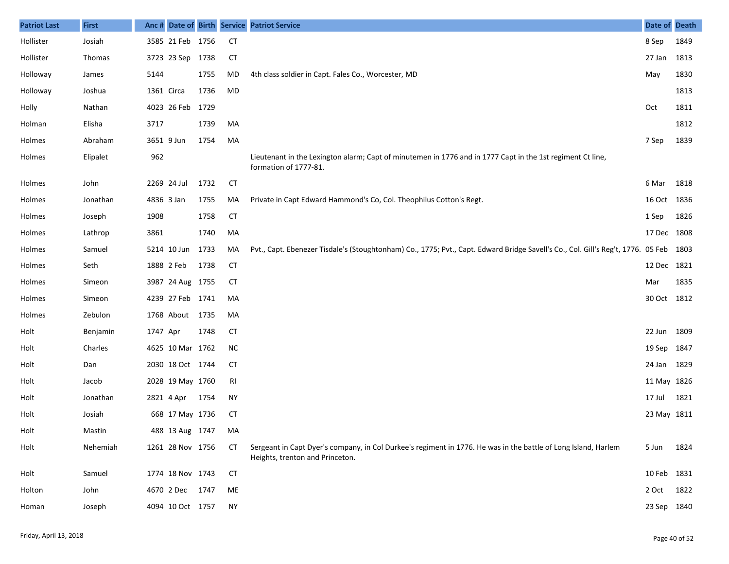| <b>Patriot Last</b> | <b>First</b> |            |                    |      |           | Anc # Date of Birth Service Patriot Service                                                                                                       | <b>Date of Death</b> |      |
|---------------------|--------------|------------|--------------------|------|-----------|---------------------------------------------------------------------------------------------------------------------------------------------------|----------------------|------|
| Hollister           | Josiah       |            | 3585 21 Feb 1756   |      | <b>CT</b> |                                                                                                                                                   | 8 Sep                | 1849 |
| Hollister           | Thomas       |            | 3723 23 Sep 1738   |      | <b>CT</b> |                                                                                                                                                   | 27 Jan               | 1813 |
| Holloway            | James        | 5144       |                    | 1755 | MD        | 4th class soldier in Capt. Fales Co., Worcester, MD                                                                                               | May                  | 1830 |
| Holloway            | Joshua       | 1361 Circa |                    | 1736 | MD        |                                                                                                                                                   |                      | 1813 |
| Holly               | Nathan       |            | 4023 26 Feb 1729   |      |           |                                                                                                                                                   | Oct                  | 1811 |
| Holman              | Elisha       | 3717       |                    | 1739 | MA        |                                                                                                                                                   |                      | 1812 |
| Holmes              | Abraham      |            | 3651 9 Jun         | 1754 | MA        |                                                                                                                                                   | 7 Sep                | 1839 |
| Holmes              | Elipalet     | 962        |                    |      |           | Lieutenant in the Lexington alarm; Capt of minutemen in 1776 and in 1777 Capt in the 1st regiment Ct line,<br>formation of 1777-81.               |                      |      |
| Holmes              | John         |            | 2269 24 Jul        | 1732 | <b>CT</b> |                                                                                                                                                   | 6 Mar                | 1818 |
| Holmes              | Jonathan     | 4836 3 Jan |                    | 1755 | MA        | Private in Capt Edward Hammond's Co, Col. Theophilus Cotton's Regt.                                                                               | 16 Oct 1836          |      |
| Holmes              | Joseph       | 1908       |                    | 1758 | <b>CT</b> |                                                                                                                                                   | 1 Sep                | 1826 |
| Holmes              | Lathrop      | 3861       |                    | 1740 | MA        |                                                                                                                                                   | 17 Dec 1808          |      |
| Holmes              | Samuel       |            | 5214 10 Jun        | 1733 | MA        | Pvt., Capt. Ebenezer Tisdale's (Stoughtonham) Co., 1775; Pvt., Capt. Edward Bridge Savell's Co., Col. Gill's Reg't, 1776. 05 Feb                  |                      | 1803 |
| Holmes              | Seth         |            | 1888 2 Feb         | 1738 | <b>CT</b> |                                                                                                                                                   | 12 Dec 1821          |      |
| Holmes              | Simeon       |            | 3987 24 Aug 1755   |      | <b>CT</b> |                                                                                                                                                   | Mar                  | 1835 |
| Holmes              | Simeon       |            | 4239 27 Feb 1741   |      | MA        |                                                                                                                                                   | 30 Oct 1812          |      |
| Holmes              | Zebulon      |            | 1768 About 1735    |      | MA        |                                                                                                                                                   |                      |      |
| Holt                | Benjamin     | 1747 Apr   |                    | 1748 | <b>CT</b> |                                                                                                                                                   | 22 Jun               | 1809 |
| Holt                | Charles      |            | 4625 10 Mar 1762   |      | <b>NC</b> |                                                                                                                                                   | 19 Sep               | 1847 |
| Holt                | Dan          |            | 2030 18 Oct 1744   |      | <b>CT</b> |                                                                                                                                                   | 24 Jan 1829          |      |
| Holt                | Jacob        |            | 2028 19 May 1760   |      | RI        |                                                                                                                                                   | 11 May 1826          |      |
| Holt                | Jonathan     |            | 2821 4 Apr         | 1754 | <b>NY</b> |                                                                                                                                                   | 17 Jul               | 1821 |
| Holt                | Josiah       |            | 668 17 May 1736    |      | <b>CT</b> |                                                                                                                                                   | 23 May 1811          |      |
| Holt                | Mastin       |            | 488 13 Aug 1747 MA |      |           |                                                                                                                                                   |                      |      |
| Holt                | Nehemiah     |            | 1261 28 Nov 1756   |      | СT        | Sergeant in Capt Dyer's company, in Col Durkee's regiment in 1776. He was in the battle of Long Island, Harlem<br>Heights, trenton and Princeton. | 5 Jun                | 1824 |
| Holt                | Samuel       |            | 1774 18 Nov 1743   |      | <b>CT</b> |                                                                                                                                                   | 10 Feb 1831          |      |
| Holton              | John         |            | 4670 2 Dec         | 1747 | ME        |                                                                                                                                                   | 2 Oct                | 1822 |
| Homan               | Joseph       |            | 4094 10 Oct 1757   |      | <b>NY</b> |                                                                                                                                                   | 23 Sep 1840          |      |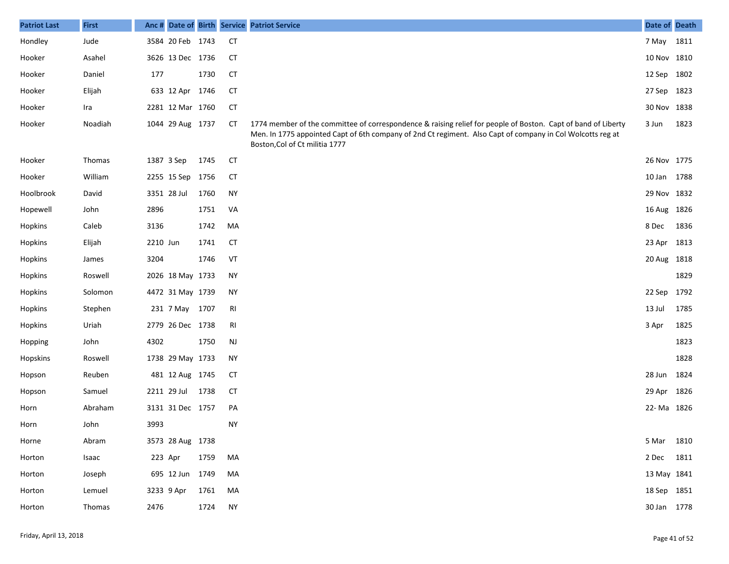| <b>Patriot Last</b> | <b>First</b> |            |                  |      |           | Anc # Date of Birth Service Patriot Service                                                                                                                                                                                                                   | Date of Death |      |
|---------------------|--------------|------------|------------------|------|-----------|---------------------------------------------------------------------------------------------------------------------------------------------------------------------------------------------------------------------------------------------------------------|---------------|------|
| Hondley             | Jude         |            | 3584 20 Feb 1743 |      | <b>CT</b> |                                                                                                                                                                                                                                                               | 7 May 1811    |      |
| Hooker              | Asahel       |            | 3626 13 Dec 1736 |      | <b>CT</b> |                                                                                                                                                                                                                                                               | 10 Nov 1810   |      |
| Hooker              | Daniel       | 177        |                  | 1730 | <b>CT</b> |                                                                                                                                                                                                                                                               | 12 Sep 1802   |      |
| Hooker              | Elijah       |            | 633 12 Apr 1746  |      | <b>CT</b> |                                                                                                                                                                                                                                                               | 27 Sep 1823   |      |
| Hooker              | Ira          |            | 2281 12 Mar 1760 |      | <b>CT</b> |                                                                                                                                                                                                                                                               | 30 Nov 1838   |      |
| Hooker              | Noadiah      |            | 1044 29 Aug 1737 |      | CТ        | 1774 member of the committee of correspondence & raising relief for people of Boston. Capt of band of Liberty<br>Men. In 1775 appointed Capt of 6th company of 2nd Ct regiment. Also Capt of company in Col Wolcotts reg at<br>Boston, Col of Ct militia 1777 | 3 Jun         | 1823 |
| Hooker              | Thomas       | 1387 3 Sep |                  | 1745 | <b>CT</b> |                                                                                                                                                                                                                                                               | 26 Nov 1775   |      |
| Hooker              | William      |            | 2255 15 Sep 1756 |      | <b>CT</b> |                                                                                                                                                                                                                                                               | 10 Jan 1788   |      |
| Hoolbrook           | David        |            | 3351 28 Jul      | 1760 | <b>NY</b> |                                                                                                                                                                                                                                                               | 29 Nov 1832   |      |
| Hopewell            | John         | 2896       |                  | 1751 | VA        |                                                                                                                                                                                                                                                               | 16 Aug 1826   |      |
| Hopkins             | Caleb        | 3136       |                  | 1742 | MA        |                                                                                                                                                                                                                                                               | 8 Dec         | 1836 |
| Hopkins             | Elijah       | 2210 Jun   |                  | 1741 | <b>CT</b> |                                                                                                                                                                                                                                                               | 23 Apr 1813   |      |
| Hopkins             | James        | 3204       |                  | 1746 | VT        |                                                                                                                                                                                                                                                               | 20 Aug 1818   |      |
| Hopkins             | Roswell      |            | 2026 18 May 1733 |      | <b>NY</b> |                                                                                                                                                                                                                                                               |               | 1829 |
| Hopkins             | Solomon      |            | 4472 31 May 1739 |      | NY        |                                                                                                                                                                                                                                                               | 22 Sep 1792   |      |
| Hopkins             | Stephen      |            | 231 7 May 1707   |      | RI        |                                                                                                                                                                                                                                                               | 13 Jul        | 1785 |
| Hopkins             | Uriah        |            | 2779 26 Dec 1738 |      | RI        |                                                                                                                                                                                                                                                               | 3 Apr         | 1825 |
| Hopping             | John         | 4302       |                  | 1750 | <b>NJ</b> |                                                                                                                                                                                                                                                               |               | 1823 |
| Hopskins            | Roswell      |            | 1738 29 May 1733 |      | NY        |                                                                                                                                                                                                                                                               |               | 1828 |
| Hopson              | Reuben       |            | 481 12 Aug 1745  |      | <b>CT</b> |                                                                                                                                                                                                                                                               | 28 Jun 1824   |      |
| Hopson              | Samuel       |            | 2211 29 Jul      | 1738 | CT        |                                                                                                                                                                                                                                                               | 29 Apr 1826   |      |
| Horn                | Abraham      |            | 3131 31 Dec 1757 |      | PA        |                                                                                                                                                                                                                                                               | 22-Ma 1826    |      |
| Horn                | John         | 3993       |                  |      | <b>NY</b> |                                                                                                                                                                                                                                                               |               |      |
| Horne               | Abram        |            | 3573 28 Aug 1738 |      |           |                                                                                                                                                                                                                                                               | 5 Mar 1810    |      |
| Horton              | Isaac        | 223 Apr    |                  | 1759 | MA        |                                                                                                                                                                                                                                                               | 2 Dec 1811    |      |
| Horton              | Joseph       |            | 695 12 Jun 1749  |      | MA        |                                                                                                                                                                                                                                                               | 13 May 1841   |      |
| Horton              | Lemuel       |            | 3233 9 Apr       | 1761 | MA        |                                                                                                                                                                                                                                                               | 18 Sep 1851   |      |
| Horton              | Thomas       | 2476       |                  | 1724 | <b>NY</b> |                                                                                                                                                                                                                                                               | 30 Jan 1778   |      |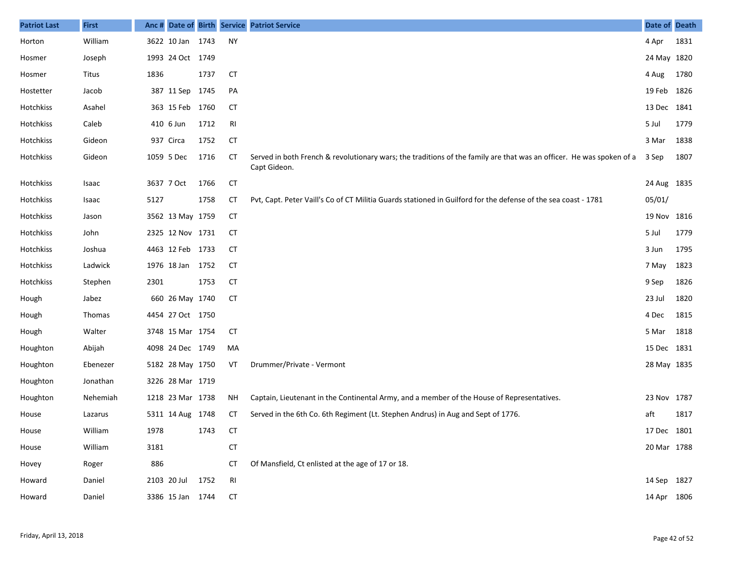| <b>Patriot Last</b> | <b>First</b> |            |                  |      |           | Anc # Date of Birth Service Patriot Service                                                                                          | Date of Death |      |
|---------------------|--------------|------------|------------------|------|-----------|--------------------------------------------------------------------------------------------------------------------------------------|---------------|------|
| Horton              | William      |            | 3622 10 Jan 1743 |      | NY        |                                                                                                                                      | 4 Apr         | 1831 |
| Hosmer              | Joseph       |            | 1993 24 Oct 1749 |      |           |                                                                                                                                      | 24 May 1820   |      |
| Hosmer              | Titus        | 1836       |                  | 1737 | <b>CT</b> |                                                                                                                                      | 4 Aug         | 1780 |
| Hostetter           | Jacob        |            | 387 11 Sep       | 1745 | PA        |                                                                                                                                      | 19 Feb 1826   |      |
| Hotchkiss           | Asahel       |            | 363 15 Feb 1760  |      | <b>CT</b> |                                                                                                                                      | 13 Dec 1841   |      |
| Hotchkiss           | Caleb        |            | 410 6 Jun        | 1712 | RI        |                                                                                                                                      | 5 Jul         | 1779 |
| Hotchkiss           | Gideon       |            | 937 Circa        | 1752 | <b>CT</b> |                                                                                                                                      | 3 Mar         | 1838 |
| Hotchkiss           | Gideon       |            | 1059 5 Dec       | 1716 | <b>CT</b> | Served in both French & revolutionary wars; the traditions of the family are that was an officer. He was spoken of a<br>Capt Gideon. | 3 Sep         | 1807 |
| Hotchkiss           | Isaac        | 3637 7 Oct |                  | 1766 | <b>CT</b> |                                                                                                                                      | 24 Aug 1835   |      |
| Hotchkiss           | Isaac        | 5127       |                  | 1758 | СT        | Pvt, Capt. Peter Vaill's Co of CT Militia Guards stationed in Guilford for the defense of the sea coast - 1781                       | 05/01/        |      |
| Hotchkiss           | Jason        |            | 3562 13 May 1759 |      | <b>CT</b> |                                                                                                                                      | 19 Nov 1816   |      |
| Hotchkiss           | John         |            | 2325 12 Nov 1731 |      | <b>CT</b> |                                                                                                                                      | 5 Jul         | 1779 |
| Hotchkiss           | Joshua       |            | 4463 12 Feb 1733 |      | <b>CT</b> |                                                                                                                                      | 3 Jun         | 1795 |
| Hotchkiss           | Ladwick      |            | 1976 18 Jan 1752 |      | <b>CT</b> |                                                                                                                                      | 7 May         | 1823 |
| Hotchkiss           | Stephen      | 2301       |                  | 1753 | <b>CT</b> |                                                                                                                                      | 9 Sep         | 1826 |
| Hough               | Jabez        |            | 660 26 May 1740  |      | <b>CT</b> |                                                                                                                                      | 23 Jul        | 1820 |
| Hough               | Thomas       |            | 4454 27 Oct 1750 |      |           |                                                                                                                                      | 4 Dec         | 1815 |
| Hough               | Walter       |            | 3748 15 Mar 1754 |      | <b>CT</b> |                                                                                                                                      | 5 Mar         | 1818 |
| Houghton            | Abijah       |            | 4098 24 Dec 1749 |      | MA        |                                                                                                                                      | 15 Dec 1831   |      |
| Houghton            | Ebenezer     |            | 5182 28 May 1750 |      | VT        | Drummer/Private - Vermont                                                                                                            | 28 May 1835   |      |
| Houghton            | Jonathan     |            | 3226 28 Mar 1719 |      |           |                                                                                                                                      |               |      |
| Houghton            | Nehemiah     |            | 1218 23 Mar 1738 |      | NH.       | Captain, Lieutenant in the Continental Army, and a member of the House of Representatives.                                           | 23 Nov 1787   |      |
| House               | Lazarus      |            | 5311 14 Aug 1748 |      | СT        | Served in the 6th Co. 6th Regiment (Lt. Stephen Andrus) in Aug and Sept of 1776.                                                     | aft           | 1817 |
| House               | William      | 1978       |                  | 1743 | CT        |                                                                                                                                      | 17 Dec 1801   |      |
| House               | William      | 3181       |                  |      | <b>CT</b> |                                                                                                                                      | 20 Mar 1788   |      |
| Hovey               | Roger        | 886        |                  |      | СT        | Of Mansfield, Ct enlisted at the age of 17 or 18.                                                                                    |               |      |
| Howard              | Daniel       |            | 2103 20 Jul 1752 |      | RI        |                                                                                                                                      | 14 Sep 1827   |      |
| Howard              | Daniel       |            | 3386 15 Jan 1744 |      | CT        |                                                                                                                                      | 14 Apr 1806   |      |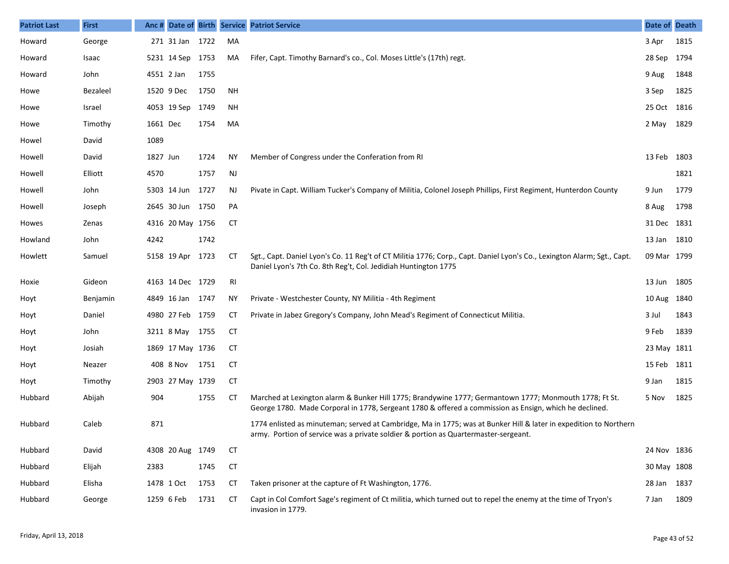| <b>Patriot Last</b> | <b>First</b>    | Anc #      |                  |      |           | Date of Birth Service Patriot Service                                                                                                                                                                            | Date of Death |      |
|---------------------|-----------------|------------|------------------|------|-----------|------------------------------------------------------------------------------------------------------------------------------------------------------------------------------------------------------------------|---------------|------|
| Howard              | George          |            | 271 31 Jan 1722  |      | MA        |                                                                                                                                                                                                                  | 3 Apr         | 1815 |
| Howard              | Isaac           |            | 5231 14 Sep 1753 |      | MA        | Fifer, Capt. Timothy Barnard's co., Col. Moses Little's (17th) regt.                                                                                                                                             | 28 Sep        | 1794 |
| Howard              | John            | 4551 2 Jan |                  | 1755 |           |                                                                                                                                                                                                                  | 9 Aug         | 1848 |
| Howe                | <b>Bezaleel</b> |            | 1520 9 Dec       | 1750 | <b>NH</b> |                                                                                                                                                                                                                  | 3 Sep         | 1825 |
| Howe                | Israel          |            | 4053 19 Sep      | 1749 | ΝH        |                                                                                                                                                                                                                  | 25 Oct 1816   |      |
| Howe                | Timothy         | 1661 Dec   |                  | 1754 | MA        |                                                                                                                                                                                                                  | 2 May         | 1829 |
| Howel               | David           | 1089       |                  |      |           |                                                                                                                                                                                                                  |               |      |
| Howell              | David           | 1827 Jun   |                  | 1724 | ΝY        | Member of Congress under the Conferation from RI                                                                                                                                                                 | 13 Feb 1803   |      |
| Howell              | Elliott         | 4570       |                  | 1757 | NJ        |                                                                                                                                                                                                                  |               | 1821 |
| Howell              | John            |            | 5303 14 Jun      | 1727 | NJ        | Pivate in Capt. William Tucker's Company of Militia, Colonel Joseph Phillips, First Regiment, Hunterdon County                                                                                                   | 9 Jun         | 1779 |
| Howell              | Joseph          |            | 2645 30 Jun 1750 |      | PA        |                                                                                                                                                                                                                  | 8 Aug         | 1798 |
| Howes               | Zenas           |            | 4316 20 May 1756 |      | CT        |                                                                                                                                                                                                                  | 31 Dec 1831   |      |
| Howland             | John            | 4242       |                  | 1742 |           |                                                                                                                                                                                                                  | 13 Jan        | 1810 |
| Howlett             | Samuel          |            | 5158 19 Apr 1723 |      | CT        | Sgt., Capt. Daniel Lyon's Co. 11 Reg't of CT Militia 1776; Corp., Capt. Daniel Lyon's Co., Lexington Alarm; Sgt., Capt.<br>Daniel Lyon's 7th Co. 8th Reg't, Col. Jedidiah Huntington 1775                        | 09 Mar 1799   |      |
| Hoxie               | Gideon          |            | 4163 14 Dec 1729 |      | RI        |                                                                                                                                                                                                                  | 13 Jun        | 1805 |
| Hoyt                | Benjamin        |            | 4849 16 Jan 1747 |      | ΝY        | Private - Westchester County, NY Militia - 4th Regiment                                                                                                                                                          | 10 Aug        | 1840 |
| Hoyt                | Daniel          |            | 4980 27 Feb 1759 |      | СT        | Private in Jabez Gregory's Company, John Mead's Regiment of Connecticut Militia.                                                                                                                                 | 3 Jul         | 1843 |
| Hoyt                | John            |            | 3211 8 May 1755  |      | CТ        |                                                                                                                                                                                                                  | 9 Feb         | 1839 |
| Hoyt                | Josiah          |            | 1869 17 May 1736 |      | СT        |                                                                                                                                                                                                                  | 23 May 1811   |      |
| Hoyt                | Neazer          |            | 408 8 Nov        | 1751 | <b>CT</b> |                                                                                                                                                                                                                  | 15 Feb        | 1811 |
| Hoyt                | Timothy         |            | 2903 27 May 1739 |      | CТ        |                                                                                                                                                                                                                  | 9 Jan         | 1815 |
| Hubbard             | Abijah          | 904        |                  | 1755 | CТ        | Marched at Lexington alarm & Bunker Hill 1775; Brandywine 1777; Germantown 1777; Monmouth 1778; Ft St.<br>George 1780. Made Corporal in 1778, Sergeant 1780 & offered a commission as Ensign, which he declined. | 5 Nov         | 1825 |
| Hubbard             | Caleb           | 871        |                  |      |           | 1774 enlisted as minuteman; served at Cambridge, Ma in 1775; was at Bunker Hill & later in expedition to Northern<br>army. Portion of service was a private soldier & portion as Quartermaster-sergeant.         |               |      |
| Hubbard             | David           |            | 4308 20 Aug 1749 |      | CT        |                                                                                                                                                                                                                  | 24 Nov 1836   |      |
| Hubbard             | Elijah          | 2383       |                  | 1745 | <b>CT</b> |                                                                                                                                                                                                                  | 30 May 1808   |      |
| Hubbard             | Elisha          |            | 1478 1 Oct       | 1753 | СT        | Taken prisoner at the capture of Ft Washington, 1776.                                                                                                                                                            | 28 Jan 1837   |      |
| Hubbard             | George          |            | 1259 6 Feb       | 1731 | СT        | Capt in Col Comfort Sage's regiment of Ct militia, which turned out to repel the enemy at the time of Tryon's<br>invasion in 1779.                                                                               | 7 Jan         | 1809 |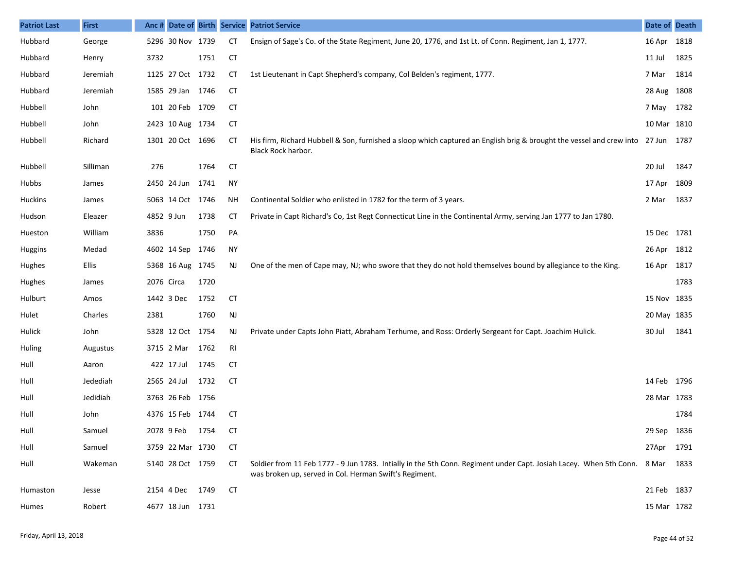| <b>Patriot Last</b> | <b>First</b> |            |                  |      |           | Anc # Date of Birth Service Patriot Service                                                                                                                                             | Date of Death |      |
|---------------------|--------------|------------|------------------|------|-----------|-----------------------------------------------------------------------------------------------------------------------------------------------------------------------------------------|---------------|------|
| Hubbard             | George       |            | 5296 30 Nov 1739 |      | <b>CT</b> | Ensign of Sage's Co. of the State Regiment, June 20, 1776, and 1st Lt. of Conn. Regiment, Jan 1, 1777.                                                                                  | 16 Apr 1818   |      |
| Hubbard             | Henry        | 3732       |                  | 1751 | <b>CT</b> |                                                                                                                                                                                         | 11 Jul        | 1825 |
| Hubbard             | Jeremiah     |            | 1125 27 Oct 1732 |      | СT        | 1st Lieutenant in Capt Shepherd's company, Col Belden's regiment, 1777.                                                                                                                 | 7 Mar         | 1814 |
| Hubbard             | Jeremiah     |            | 1585 29 Jan 1746 |      | <b>CT</b> |                                                                                                                                                                                         | 28 Aug 1808   |      |
| Hubbell             | John         |            | 101 20 Feb 1709  |      | <b>CT</b> |                                                                                                                                                                                         | 7 May 1782    |      |
| Hubbell             | John         |            | 2423 10 Aug 1734 |      | <b>CT</b> |                                                                                                                                                                                         | 10 Mar 1810   |      |
| Hubbell             | Richard      |            | 1301 20 Oct 1696 |      | <b>CT</b> | His firm, Richard Hubbell & Son, furnished a sloop which captured an English brig & brought the vessel and crew into 27 Jun 1787<br>Black Rock harbor.                                  |               |      |
| Hubbell             | Silliman     | 276        |                  | 1764 | <b>CT</b> |                                                                                                                                                                                         | 20 Jul        | 1847 |
| Hubbs               | James        |            | 2450 24 Jun      | 1741 | <b>NY</b> |                                                                                                                                                                                         | 17 Apr 1809   |      |
| <b>Huckins</b>      | James        |            | 5063 14 Oct 1746 |      | ΝH        | Continental Soldier who enlisted in 1782 for the term of 3 years.                                                                                                                       | 2 Mar         | 1837 |
| Hudson              | Eleazer      |            | 4852 9 Jun       | 1738 | СT        | Private in Capt Richard's Co, 1st Regt Connecticut Line in the Continental Army, serving Jan 1777 to Jan 1780.                                                                          |               |      |
| Hueston             | William      | 3836       |                  | 1750 | PA        |                                                                                                                                                                                         | 15 Dec 1781   |      |
| <b>Huggins</b>      | Medad        |            | 4602 14 Sep      | 1746 | <b>NY</b> |                                                                                                                                                                                         | 26 Apr 1812   |      |
| Hughes              | Ellis        |            | 5368 16 Aug 1745 |      | NJ.       | One of the men of Cape may, NJ; who swore that they do not hold themselves bound by allegiance to the King.                                                                             | 16 Apr 1817   |      |
| Hughes              | James        | 2076 Circa |                  | 1720 |           |                                                                                                                                                                                         |               | 1783 |
| Hulburt             | Amos         |            | 1442 3 Dec       | 1752 | <b>CT</b> |                                                                                                                                                                                         | 15 Nov 1835   |      |
| Hulet               | Charles      | 2381       |                  | 1760 | NJ        |                                                                                                                                                                                         | 20 May 1835   |      |
| Hulick              | John         |            | 5328 12 Oct 1754 |      | NJ        | Private under Capts John Piatt, Abraham Terhume, and Ross: Orderly Sergeant for Capt. Joachim Hulick.                                                                                   | 30 Jul        | 1841 |
| Huling              | Augustus     |            | 3715 2 Mar       | 1762 | RI        |                                                                                                                                                                                         |               |      |
| Hull                | Aaron        |            | 422 17 Jul       | 1745 | <b>CT</b> |                                                                                                                                                                                         |               |      |
| Hull                | Jedediah     |            | 2565 24 Jul      | 1732 | <b>CT</b> |                                                                                                                                                                                         | 14 Feb 1796   |      |
| Hull                | Jedidiah     |            | 3763 26 Feb 1756 |      |           |                                                                                                                                                                                         | 28 Mar 1783   |      |
| Hull                | John         |            | 4376 15 Feb 1744 |      | СT        |                                                                                                                                                                                         |               | 1784 |
| Hull                | Samuel       |            | 2078 9 Feb 1754  |      | CT        |                                                                                                                                                                                         | 29 Sep 1836   |      |
| Hull                | Samuel       |            | 3759 22 Mar 1730 |      | CТ        |                                                                                                                                                                                         | 27Apr 1791    |      |
| Hull                | Wakeman      |            | 5140 28 Oct 1759 |      | CТ        | Soldier from 11 Feb 1777 - 9 Jun 1783. Intially in the 5th Conn. Regiment under Capt. Josiah Lacey. When 5th Conn. 8 Mar 1833<br>was broken up, served in Col. Herman Swift's Regiment. |               |      |
| Humaston            | Jesse        |            | 2154 4 Dec       | 1749 | <b>CT</b> |                                                                                                                                                                                         | 21 Feb 1837   |      |
| Humes               | Robert       |            | 4677 18 Jun 1731 |      |           |                                                                                                                                                                                         | 15 Mar 1782   |      |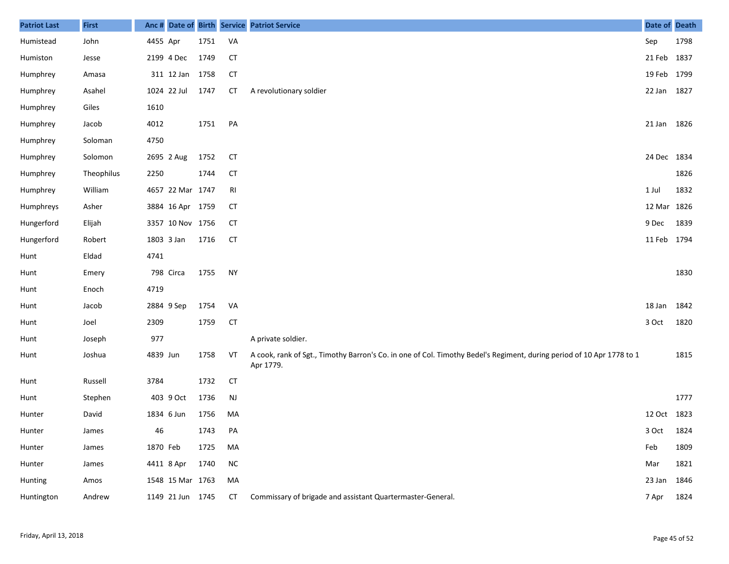| <b>Patriot Last</b> | <b>First</b> |          |                  |      |           | Anc # Date of Birth Service Patriot Service                                                                                        | Date of Death |      |
|---------------------|--------------|----------|------------------|------|-----------|------------------------------------------------------------------------------------------------------------------------------------|---------------|------|
| Humistead           | John         | 4455 Apr |                  | 1751 | VA        |                                                                                                                                    | Sep           | 1798 |
| Humiston            | Jesse        |          | 2199 4 Dec       | 1749 | <b>CT</b> |                                                                                                                                    | 21 Feb 1837   |      |
| Humphrey            | Amasa        |          | 311 12 Jan 1758  |      | <b>CT</b> |                                                                                                                                    | 19 Feb 1799   |      |
| Humphrey            | Asahel       |          | 1024 22 Jul      | 1747 | CT        | A revolutionary soldier                                                                                                            | 22 Jan 1827   |      |
| Humphrey            | Giles        | 1610     |                  |      |           |                                                                                                                                    |               |      |
| Humphrey            | Jacob        | 4012     |                  | 1751 | PA        |                                                                                                                                    | 21 Jan 1826   |      |
| Humphrey            | Soloman      | 4750     |                  |      |           |                                                                                                                                    |               |      |
| Humphrey            | Solomon      |          | 2695 2 Aug       | 1752 | <b>CT</b> |                                                                                                                                    | 24 Dec 1834   |      |
| Humphrey            | Theophilus   | 2250     |                  | 1744 | <b>CT</b> |                                                                                                                                    |               | 1826 |
| Humphrey            | William      |          | 4657 22 Mar 1747 |      | RI        |                                                                                                                                    | 1 Jul         | 1832 |
| Humphreys           | Asher        |          | 3884 16 Apr 1759 |      | CT        |                                                                                                                                    | 12 Mar 1826   |      |
| Hungerford          | Elijah       |          | 3357 10 Nov 1756 |      | <b>CT</b> |                                                                                                                                    | 9 Dec         | 1839 |
| Hungerford          | Robert       |          | 1803 3 Jan       | 1716 | <b>CT</b> |                                                                                                                                    | 11 Feb 1794   |      |
| Hunt                | Eldad        | 4741     |                  |      |           |                                                                                                                                    |               |      |
| Hunt                | Emery        |          | 798 Circa        | 1755 | <b>NY</b> |                                                                                                                                    |               | 1830 |
| Hunt                | Enoch        | 4719     |                  |      |           |                                                                                                                                    |               |      |
| Hunt                | Jacob        |          | 2884 9 Sep       | 1754 | VA        |                                                                                                                                    | 18 Jan        | 1842 |
| Hunt                | Joel         | 2309     |                  | 1759 | <b>CT</b> |                                                                                                                                    | 3 Oct         | 1820 |
| Hunt                | Joseph       | 977      |                  |      |           | A private soldier.                                                                                                                 |               |      |
| Hunt                | Joshua       | 4839 Jun |                  | 1758 | VT        | A cook, rank of Sgt., Timothy Barron's Co. in one of Col. Timothy Bedel's Regiment, during period of 10 Apr 1778 to 1<br>Apr 1779. |               | 1815 |
| Hunt                | Russell      | 3784     |                  | 1732 | <b>CT</b> |                                                                                                                                    |               |      |
| Hunt                | Stephen      |          | 403 9 Oct        | 1736 | <b>NJ</b> |                                                                                                                                    |               | 1777 |
| Hunter              | David        |          | 1834 6 Jun       | 1756 | MA        |                                                                                                                                    | 12 Oct 1823   |      |
| Hunter              | James        | 46       |                  | 1743 | PA        |                                                                                                                                    | 3 Oct 1824    |      |
| Hunter              | James        | 1870 Feb |                  | 1725 | MA        |                                                                                                                                    | Feb           | 1809 |
| Hunter              | James        |          | 4411 8 Apr       | 1740 | $\sf NC$  |                                                                                                                                    | Mar           | 1821 |
| Hunting             | Amos         |          | 1548 15 Mar 1763 |      | MA        |                                                                                                                                    | 23 Jan        | 1846 |
| Huntington          | Andrew       |          | 1149 21 Jun 1745 |      | CT        | Commissary of brigade and assistant Quartermaster-General.                                                                         | 7 Apr         | 1824 |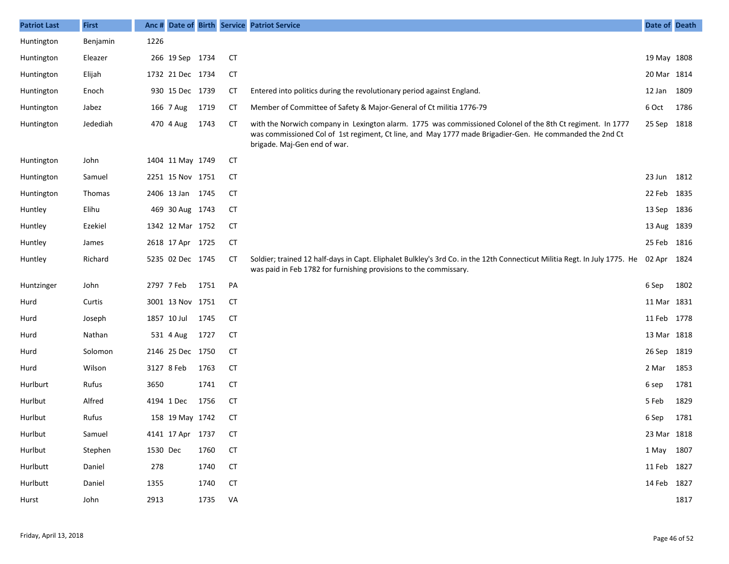| <b>Patriot Last</b> | <b>First</b> | Anc#       |                  |      |           | Date of Birth Service Patriot Service                                                                                                                                                                                                                 | Date of Death |      |
|---------------------|--------------|------------|------------------|------|-----------|-------------------------------------------------------------------------------------------------------------------------------------------------------------------------------------------------------------------------------------------------------|---------------|------|
| Huntington          | Benjamin     | 1226       |                  |      |           |                                                                                                                                                                                                                                                       |               |      |
| Huntington          | Eleazer      |            | 266 19 Sep 1734  |      | <b>CT</b> |                                                                                                                                                                                                                                                       | 19 May 1808   |      |
| Huntington          | Elijah       |            | 1732 21 Dec 1734 |      | <b>CT</b> |                                                                                                                                                                                                                                                       | 20 Mar 1814   |      |
| Huntington          | Enoch        |            | 930 15 Dec 1739  |      | СT        | Entered into politics during the revolutionary period against England.                                                                                                                                                                                | 12 Jan 1809   |      |
| Huntington          | Jabez        |            | 166 7 Aug        | 1719 | <b>CT</b> | Member of Committee of Safety & Major-General of Ct militia 1776-79                                                                                                                                                                                   | 6 Oct         | 1786 |
| Huntington          | Jedediah     |            | 470 4 Aug        | 1743 | <b>CT</b> | with the Norwich company in Lexington alarm. 1775 was commissioned Colonel of the 8th Ct regiment. In 1777<br>was commissioned Col of 1st regiment, Ct line, and May 1777 made Brigadier-Gen. He commanded the 2nd Ct<br>brigade. Maj-Gen end of war. | 25 Sep 1818   |      |
| Huntington          | John         |            | 1404 11 May 1749 |      | <b>CT</b> |                                                                                                                                                                                                                                                       |               |      |
| Huntington          | Samuel       |            | 2251 15 Nov 1751 |      | СT        |                                                                                                                                                                                                                                                       | 23 Jun 1812   |      |
| Huntington          | Thomas       |            | 2406 13 Jan 1745 |      | <b>CT</b> |                                                                                                                                                                                                                                                       | 22 Feb 1835   |      |
| Huntley             | Elihu        |            | 469 30 Aug 1743  |      | <b>CT</b> |                                                                                                                                                                                                                                                       | 13 Sep 1836   |      |
| Huntley             | Ezekiel      |            | 1342 12 Mar 1752 |      | <b>CT</b> |                                                                                                                                                                                                                                                       | 13 Aug 1839   |      |
| Huntley             | James        |            | 2618 17 Apr 1725 |      | <b>CT</b> |                                                                                                                                                                                                                                                       | 25 Feb 1816   |      |
| Huntley             | Richard      |            | 5235 02 Dec 1745 |      | <b>CT</b> | Soldier; trained 12 half-days in Capt. Eliphalet Bulkley's 3rd Co. in the 12th Connecticut Militia Regt. In July 1775. He<br>was paid in Feb 1782 for furnishing provisions to the commissary.                                                        | 02 Apr 1824   |      |
| Huntzinger          | John         | 2797 7 Feb |                  | 1751 | PA        |                                                                                                                                                                                                                                                       | 6 Sep         | 1802 |
| Hurd                | Curtis       |            | 3001 13 Nov 1751 |      | <b>CT</b> |                                                                                                                                                                                                                                                       | 11 Mar 1831   |      |
| Hurd                | Joseph       |            | 1857 10 Jul      | 1745 | <b>CT</b> |                                                                                                                                                                                                                                                       | 11 Feb 1778   |      |
| Hurd                | Nathan       |            | 531 4 Aug        | 1727 | <b>CT</b> |                                                                                                                                                                                                                                                       | 13 Mar 1818   |      |
| Hurd                | Solomon      |            | 2146 25 Dec 1750 |      | <b>CT</b> |                                                                                                                                                                                                                                                       | 26 Sep 1819   |      |
| Hurd                | Wilson       |            | 3127 8 Feb       | 1763 | <b>CT</b> |                                                                                                                                                                                                                                                       | 2 Mar         | 1853 |
| Hurlburt            | Rufus        | 3650       |                  | 1741 | <b>CT</b> |                                                                                                                                                                                                                                                       | 6 sep         | 1781 |
| Hurlbut             | Alfred       |            | 4194 1 Dec       | 1756 | <b>CT</b> |                                                                                                                                                                                                                                                       | 5 Feb         | 1829 |
| Hurlbut             | Rufus        |            | 158 19 May 1742  |      | СT        |                                                                                                                                                                                                                                                       | 6 Sep         | 1781 |
| Hurlbut             | Samuel       |            | 4141 17 Apr 1737 |      | CТ        |                                                                                                                                                                                                                                                       | 23 Mar 1818   |      |
| Hurlbut             | Stephen      | 1530 Dec   |                  | 1760 | <b>CT</b> |                                                                                                                                                                                                                                                       | 1 May 1807    |      |
| Hurlbutt            | Daniel       | 278        |                  | 1740 | CT        |                                                                                                                                                                                                                                                       | 11 Feb 1827   |      |
| Hurlbutt            | Daniel       | 1355       |                  | 1740 | <b>CT</b> |                                                                                                                                                                                                                                                       | 14 Feb 1827   |      |
| Hurst               | John         | 2913       |                  | 1735 | VA        |                                                                                                                                                                                                                                                       |               | 1817 |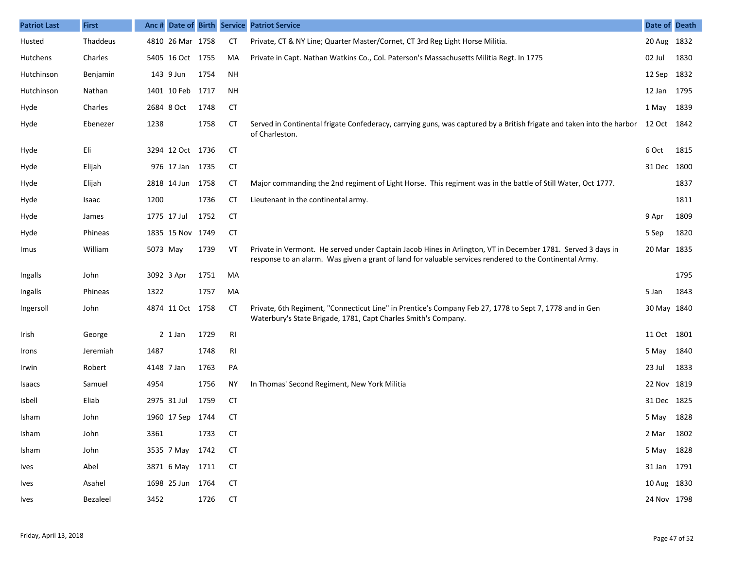| <b>Patriot Last</b> | <b>First</b> | Anc #    |                  |      |           | Date of Birth Service Patriot Service                                                                                                                                                                                  | Date of Death |      |
|---------------------|--------------|----------|------------------|------|-----------|------------------------------------------------------------------------------------------------------------------------------------------------------------------------------------------------------------------------|---------------|------|
| Husted              | Thaddeus     |          | 4810 26 Mar 1758 |      | <b>CT</b> | Private, CT & NY Line; Quarter Master/Cornet, CT 3rd Reg Light Horse Militia.                                                                                                                                          | 20 Aug 1832   |      |
| Hutchens            | Charles      |          | 5405 16 Oct 1755 |      | MA        | Private in Capt. Nathan Watkins Co., Col. Paterson's Massachusetts Militia Regt. In 1775                                                                                                                               | 02 Jul        | 1830 |
| Hutchinson          | Benjamin     |          | 143 9 Jun        | 1754 | NH        |                                                                                                                                                                                                                        | 12 Sep        | 1832 |
| Hutchinson          | Nathan       |          | 1401 10 Feb 1717 |      | <b>NH</b> |                                                                                                                                                                                                                        | 12 Jan 1795   |      |
| Hyde                | Charles      |          | 2684 8 Oct       | 1748 | <b>CT</b> |                                                                                                                                                                                                                        | 1 May         | 1839 |
| Hyde                | Ebenezer     | 1238     |                  | 1758 | СT        | Served in Continental frigate Confederacy, carrying guns, was captured by a British frigate and taken into the harbor 12 Oct 1842<br>of Charleston.                                                                    |               |      |
| Hyde                | Eli          |          | 3294 12 Oct 1736 |      | СT        |                                                                                                                                                                                                                        | 6 Oct         | 1815 |
| Hyde                | Elijah       |          | 976 17 Jan 1735  |      | СT        |                                                                                                                                                                                                                        | 31 Dec 1800   |      |
| Hyde                | Elijah       |          | 2818 14 Jun 1758 |      | СT        | Major commanding the 2nd regiment of Light Horse. This regiment was in the battle of Still Water, Oct 1777.                                                                                                            |               | 1837 |
| Hyde                | Isaac        | 1200     |                  | 1736 | СT        | Lieutenant in the continental army.                                                                                                                                                                                    |               | 1811 |
| Hyde                | James        |          | 1775 17 Jul      | 1752 | СT        |                                                                                                                                                                                                                        | 9 Apr         | 1809 |
| Hyde                | Phineas      |          | 1835 15 Nov 1749 |      | СT        |                                                                                                                                                                                                                        | 5 Sep         | 1820 |
| Imus                | William      | 5073 May |                  | 1739 | VT        | Private in Vermont. He served under Captain Jacob Hines in Arlington, VT in December 1781. Served 3 days in<br>response to an alarm. Was given a grant of land for valuable services rendered to the Continental Army. | 20 Mar 1835   |      |
| Ingalls             | John         |          | 3092 3 Apr       | 1751 | MA        |                                                                                                                                                                                                                        |               | 1795 |
| Ingalls             | Phineas      | 1322     |                  | 1757 | MA        |                                                                                                                                                                                                                        | 5 Jan         | 1843 |
| Ingersoll           | John         |          | 4874 11 Oct 1758 |      | CT        | Private, 6th Regiment, "Connecticut Line" in Prentice's Company Feb 27, 1778 to Sept 7, 1778 and in Gen<br>Waterbury's State Brigade, 1781, Capt Charles Smith's Company.                                              | 30 May 1840   |      |
| Irish               | George       |          | $2$ 1 Jan        | 1729 | RI        |                                                                                                                                                                                                                        | 11 Oct 1801   |      |
| Irons               | Jeremiah     | 1487     |                  | 1748 | RI        |                                                                                                                                                                                                                        | 5 May         | 1840 |
| Irwin               | Robert       |          | 4148 7 Jan       | 1763 | PA        |                                                                                                                                                                                                                        | 23 Jul        | 1833 |
| Isaacs              | Samuel       | 4954     |                  | 1756 | ΝY        | In Thomas' Second Regiment, New York Militia                                                                                                                                                                           | 22 Nov 1819   |      |
| Isbell              | Eliab        |          | 2975 31 Jul      | 1759 | <b>CT</b> |                                                                                                                                                                                                                        | 31 Dec 1825   |      |
| Isham               | John         |          | 1960 17 Sep 1744 |      | CT        |                                                                                                                                                                                                                        | 5 May         | 1828 |
| Isham               | John         | 3361     |                  | 1733 | <b>CT</b> |                                                                                                                                                                                                                        | 2 Mar 1802    |      |
| Isham               | John         |          | 3535 7 May 1742  |      | CT        |                                                                                                                                                                                                                        | 5 May 1828    |      |
| Ives                | Abel         |          | 3871 6 May 1711  |      | CT        |                                                                                                                                                                                                                        | 31 Jan 1791   |      |
| Ives                | Asahel       |          | 1698 25 Jun 1764 |      | СT        |                                                                                                                                                                                                                        | 10 Aug 1830   |      |
| Ives                | Bezaleel     | 3452     |                  | 1726 | <b>CT</b> |                                                                                                                                                                                                                        | 24 Nov 1798   |      |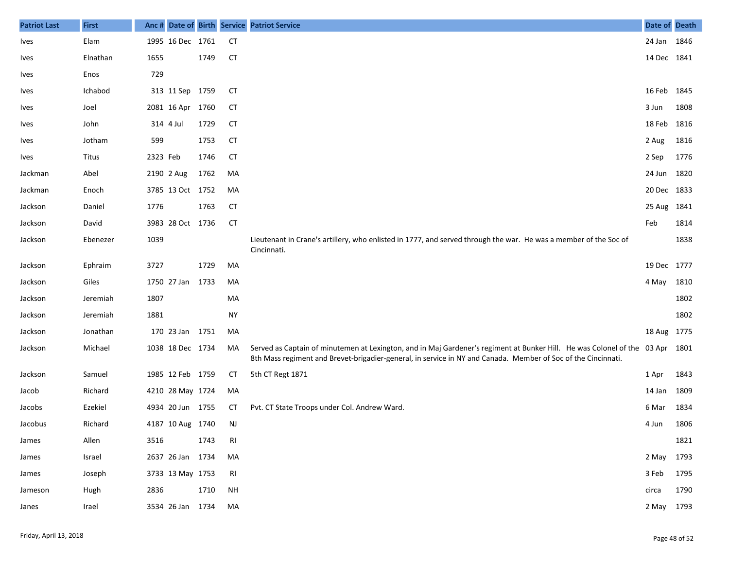| <b>Patriot Last</b> | <b>First</b> | Anc #      |                  |      |           | Date of Birth Service Patriot Service                                                                                                                                                                                                          | Date of Death |      |
|---------------------|--------------|------------|------------------|------|-----------|------------------------------------------------------------------------------------------------------------------------------------------------------------------------------------------------------------------------------------------------|---------------|------|
| <b>Ives</b>         | Elam         |            | 1995 16 Dec 1761 |      | <b>CT</b> |                                                                                                                                                                                                                                                | 24 Jan 1846   |      |
| Ives                | Elnathan     | 1655       |                  | 1749 | <b>CT</b> |                                                                                                                                                                                                                                                | 14 Dec 1841   |      |
| Ives                | Enos         | 729        |                  |      |           |                                                                                                                                                                                                                                                |               |      |
| Ives                | Ichabod      |            | 313 11 Sep 1759  |      | <b>CT</b> |                                                                                                                                                                                                                                                | 16 Feb 1845   |      |
| <b>Ives</b>         | Joel         |            | 2081 16 Apr      | 1760 | <b>CT</b> |                                                                                                                                                                                                                                                | 3 Jun         | 1808 |
| <b>Ives</b>         | John         | 314 4 Jul  |                  | 1729 | <b>CT</b> |                                                                                                                                                                                                                                                | 18 Feb 1816   |      |
| <b>Ives</b>         | Jotham       | 599        |                  | 1753 | <b>CT</b> |                                                                                                                                                                                                                                                | 2 Aug         | 1816 |
| Ives                | Titus        | 2323 Feb   |                  | 1746 | <b>CT</b> |                                                                                                                                                                                                                                                | 2 Sep         | 1776 |
| Jackman             | Abel         | 2190 2 Aug |                  | 1762 | MA        |                                                                                                                                                                                                                                                | 24 Jun 1820   |      |
| Jackman             | Enoch        |            | 3785 13 Oct 1752 |      | MA        |                                                                                                                                                                                                                                                | 20 Dec 1833   |      |
| Jackson             | Daniel       | 1776       |                  | 1763 | CT        |                                                                                                                                                                                                                                                | 25 Aug 1841   |      |
| Jackson             | David        |            | 3983 28 Oct 1736 |      | <b>CT</b> |                                                                                                                                                                                                                                                | Feb           | 1814 |
| Jackson             | Ebenezer     | 1039       |                  |      |           | Lieutenant in Crane's artillery, who enlisted in 1777, and served through the war. He was a member of the Soc of<br>Cincinnati.                                                                                                                |               | 1838 |
| Jackson             | Ephraim      | 3727       |                  | 1729 | MA        |                                                                                                                                                                                                                                                | 19 Dec 1777   |      |
| Jackson             | Giles        |            | 1750 27 Jan      | 1733 | MA        |                                                                                                                                                                                                                                                | 4 May         | 1810 |
| Jackson             | Jeremiah     | 1807       |                  |      | MA        |                                                                                                                                                                                                                                                |               | 1802 |
| Jackson             | Jeremiah     | 1881       |                  |      | <b>NY</b> |                                                                                                                                                                                                                                                |               | 1802 |
| Jackson             | Jonathan     |            | 170 23 Jan 1751  |      | MA        |                                                                                                                                                                                                                                                | 18 Aug 1775   |      |
| Jackson             | Michael      |            | 1038 18 Dec 1734 |      | MA        | Served as Captain of minutemen at Lexington, and in Maj Gardener's regiment at Bunker Hill. He was Colonel of the 03 Apr 1801<br>8th Mass regiment and Brevet-brigadier-general, in service in NY and Canada. Member of Soc of the Cincinnati. |               |      |
| Jackson             | Samuel       |            | 1985 12 Feb 1759 |      | <b>CT</b> | 5th CT Regt 1871                                                                                                                                                                                                                               | 1 Apr         | 1843 |
| Jacob               | Richard      |            | 4210 28 May 1724 |      | MA        |                                                                                                                                                                                                                                                | 14 Jan        | 1809 |
| Jacobs              | Ezekiel      |            | 4934 20 Jun 1755 |      | СT        | Pvt. CT State Troops under Col. Andrew Ward.                                                                                                                                                                                                   | 6 Mar         | 1834 |
| Jacobus             | Richard      |            | 4187 10 Aug 1740 |      | <b>NJ</b> |                                                                                                                                                                                                                                                | 4 Jun         | 1806 |
| James               | Allen        | 3516       |                  | 1743 | RI        |                                                                                                                                                                                                                                                |               | 1821 |
| James               | Israel       |            | 2637 26 Jan 1734 |      | MA        |                                                                                                                                                                                                                                                | 2 May 1793    |      |
| James               | Joseph       |            | 3733 13 May 1753 |      | RI        |                                                                                                                                                                                                                                                | 3 Feb 1795    |      |
| Jameson             | Hugh         | 2836       |                  | 1710 | <b>NH</b> |                                                                                                                                                                                                                                                | circa         | 1790 |
| Janes               | Irael        |            | 3534 26 Jan 1734 |      | MA        |                                                                                                                                                                                                                                                | 2 May 1793    |      |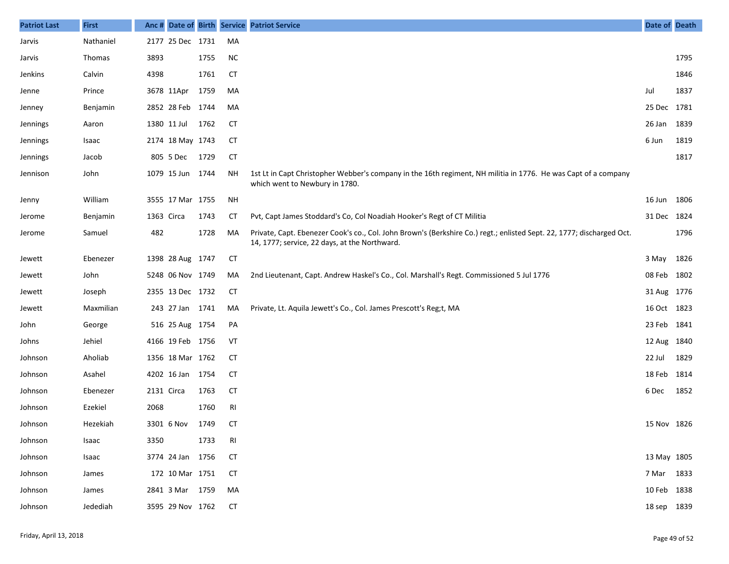| <b>Patriot Last</b> | <b>First</b> |            |                  |      |           | Anc # Date of Birth Service Patriot Service                                                                                                                            | Date of Death |      |
|---------------------|--------------|------------|------------------|------|-----------|------------------------------------------------------------------------------------------------------------------------------------------------------------------------|---------------|------|
| Jarvis              | Nathaniel    |            | 2177 25 Dec 1731 |      | MA        |                                                                                                                                                                        |               |      |
| Jarvis              | Thomas       | 3893       |                  | 1755 | <b>NC</b> |                                                                                                                                                                        |               | 1795 |
| Jenkins             | Calvin       | 4398       |                  | 1761 | <b>CT</b> |                                                                                                                                                                        |               | 1846 |
| Jenne               | Prince       |            | 3678 11Apr       | 1759 | MA        |                                                                                                                                                                        | Jul           | 1837 |
| Jenney              | Benjamin     |            | 2852 28 Feb 1744 |      | MA        |                                                                                                                                                                        | 25 Dec 1781   |      |
| Jennings            | Aaron        |            | 1380 11 Jul      | 1762 | СT        |                                                                                                                                                                        | 26 Jan        | 1839 |
| Jennings            | Isaac        |            | 2174 18 May 1743 |      | <b>CT</b> |                                                                                                                                                                        | 6 Jun         | 1819 |
| Jennings            | Jacob        |            | 805 5 Dec        | 1729 | <b>CT</b> |                                                                                                                                                                        |               | 1817 |
| Jennison            | John         |            | 1079 15 Jun 1744 |      | NΗ        | 1st Lt in Capt Christopher Webber's company in the 16th regiment, NH militia in 1776. He was Capt of a company<br>which went to Newbury in 1780.                       |               |      |
| Jenny               | William      |            | 3555 17 Mar 1755 |      | NH        |                                                                                                                                                                        | 16 Jun        | 1806 |
| Jerome              | Benjamin     | 1363 Circa |                  | 1743 | СT        | Pvt, Capt James Stoddard's Co, Col Noadiah Hooker's Regt of CT Militia                                                                                                 | 31 Dec 1824   |      |
| Jerome              | Samuel       | 482        |                  | 1728 | MA        | Private, Capt. Ebenezer Cook's co., Col. John Brown's (Berkshire Co.) regt.; enlisted Sept. 22, 1777; discharged Oct.<br>14, 1777; service, 22 days, at the Northward. |               | 1796 |
| Jewett              | Ebenezer     |            | 1398 28 Aug 1747 |      | <b>CT</b> |                                                                                                                                                                        | 3 May         | 1826 |
| Jewett              | John         |            | 5248 06 Nov 1749 |      | MA        | 2nd Lieutenant, Capt. Andrew Haskel's Co., Col. Marshall's Regt. Commissioned 5 Jul 1776                                                                               | 08 Feb 1802   |      |
| Jewett              | Joseph       |            | 2355 13 Dec 1732 |      | <b>CT</b> |                                                                                                                                                                        | 31 Aug 1776   |      |
| Jewett              | Maxmilian    |            | 243 27 Jan 1741  |      | MA        | Private, Lt. Aquila Jewett's Co., Col. James Prescott's Reg;t, MA                                                                                                      | 16 Oct 1823   |      |
| John                | George       |            | 516 25 Aug 1754  |      | PA        |                                                                                                                                                                        | 23 Feb 1841   |      |
| Johns               | Jehiel       |            | 4166 19 Feb 1756 |      | VT        |                                                                                                                                                                        | 12 Aug 1840   |      |
| Johnson             | Aholiab      |            | 1356 18 Mar 1762 |      | <b>CT</b> |                                                                                                                                                                        | 22 Jul        | 1829 |
| Johnson             | Asahel       |            | 4202 16 Jan 1754 |      | <b>CT</b> |                                                                                                                                                                        | 18 Feb        | 1814 |
| Johnson             | Ebenezer     | 2131 Circa |                  | 1763 | <b>CT</b> |                                                                                                                                                                        | 6 Dec         | 1852 |
| Johnson             | Ezekiel      | 2068       |                  | 1760 | RI        |                                                                                                                                                                        |               |      |
| Johnson             | Hezekiah     |            | 3301 6 Nov       | 1749 | <b>CT</b> |                                                                                                                                                                        | 15 Nov 1826   |      |
| Johnson             | Isaac        | 3350       |                  | 1733 | RI        |                                                                                                                                                                        |               |      |
| Johnson             | Isaac        |            | 3774 24 Jan 1756 |      | <b>CT</b> |                                                                                                                                                                        | 13 May 1805   |      |
| Johnson             | James        |            | 172 10 Mar 1751  |      | <b>CT</b> |                                                                                                                                                                        | 7 Mar 1833    |      |
| Johnson             | James        |            | 2841 3 Mar 1759  |      | MA        |                                                                                                                                                                        | 10 Feb 1838   |      |
| Johnson             | Jedediah     |            | 3595 29 Nov 1762 |      | <b>CT</b> |                                                                                                                                                                        | 18 sep 1839   |      |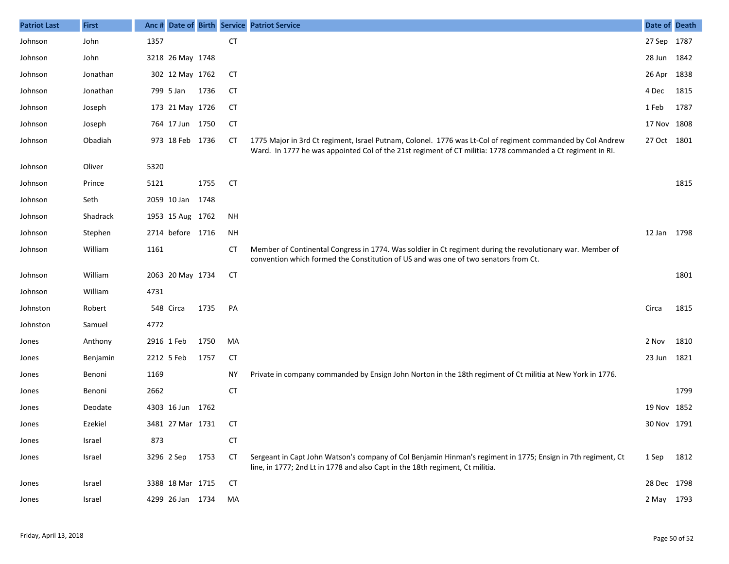| <b>Patriot Last</b> | <b>First</b> | Anc # |                  |      |           | Date of Birth Service Patriot Service                                                                                                                                                                                    | Date of Death |      |
|---------------------|--------------|-------|------------------|------|-----------|--------------------------------------------------------------------------------------------------------------------------------------------------------------------------------------------------------------------------|---------------|------|
| Johnson             | John         | 1357  |                  |      | <b>CT</b> |                                                                                                                                                                                                                          | 27 Sep 1787   |      |
| Johnson             | John         |       | 3218 26 May 1748 |      |           |                                                                                                                                                                                                                          | 28 Jun 1842   |      |
| Johnson             | Jonathan     |       | 302 12 May 1762  |      | СT        |                                                                                                                                                                                                                          | 26 Apr 1838   |      |
| Johnson             | Jonathan     |       | 799 5 Jan        | 1736 | СT        |                                                                                                                                                                                                                          | 4 Dec         | 1815 |
| Johnson             | Joseph       |       | 173 21 May 1726  |      | <b>CT</b> |                                                                                                                                                                                                                          | 1 Feb         | 1787 |
| Johnson             | Joseph       |       | 764 17 Jun 1750  |      | <b>CT</b> |                                                                                                                                                                                                                          | 17 Nov 1808   |      |
| Johnson             | Obadiah      |       | 973 18 Feb 1736  |      | СT        | 1775 Major in 3rd Ct regiment, Israel Putnam, Colonel. 1776 was Lt-Col of regiment commanded by Col Andrew<br>Ward. In 1777 he was appointed Col of the 21st regiment of CT militia: 1778 commanded a Ct regiment in RI. | 27 Oct 1801   |      |
| Johnson             | Oliver       | 5320  |                  |      |           |                                                                                                                                                                                                                          |               |      |
| Johnson             | Prince       | 5121  |                  | 1755 | <b>CT</b> |                                                                                                                                                                                                                          |               | 1815 |
| Johnson             | Seth         |       | 2059 10 Jan      | 1748 |           |                                                                                                                                                                                                                          |               |      |
| Johnson             | Shadrack     |       | 1953 15 Aug 1762 |      | ΝH        |                                                                                                                                                                                                                          |               |      |
| Johnson             | Stephen      |       | 2714 before 1716 |      | <b>NH</b> |                                                                                                                                                                                                                          | 12 Jan 1798   |      |
| Johnson             | William      | 1161  |                  |      | СT        | Member of Continental Congress in 1774. Was soldier in Ct regiment during the revolutionary war. Member of<br>convention which formed the Constitution of US and was one of two senators from Ct.                        |               |      |
| Johnson             | William      |       | 2063 20 May 1734 |      | <b>CT</b> |                                                                                                                                                                                                                          |               | 1801 |
| Johnson             | William      | 4731  |                  |      |           |                                                                                                                                                                                                                          |               |      |
| Johnston            | Robert       |       | 548 Circa        | 1735 | PA        |                                                                                                                                                                                                                          | Circa         | 1815 |
| Johnston            | Samuel       | 4772  |                  |      |           |                                                                                                                                                                                                                          |               |      |
| Jones               | Anthony      |       | 2916 1 Feb       | 1750 | MA        |                                                                                                                                                                                                                          | 2 Nov         | 1810 |
| Jones               | Benjamin     |       | 2212 5 Feb       | 1757 | <b>CT</b> |                                                                                                                                                                                                                          | 23 Jun        | 1821 |
| Jones               | Benoni       | 1169  |                  |      | <b>NY</b> | Private in company commanded by Ensign John Norton in the 18th regiment of Ct militia at New York in 1776.                                                                                                               |               |      |
| Jones               | Benoni       | 2662  |                  |      | <b>CT</b> |                                                                                                                                                                                                                          |               | 1799 |
| Jones               | Deodate      |       | 4303 16 Jun 1762 |      |           |                                                                                                                                                                                                                          | 19 Nov 1852   |      |
| Jones               | Ezekiel      |       | 3481 27 Mar 1731 |      | СT        |                                                                                                                                                                                                                          | 30 Nov 1791   |      |
| Jones               | Israel       | 873   |                  |      | <b>CT</b> |                                                                                                                                                                                                                          |               |      |
| Jones               | Israel       |       | 3296 2 Sep       | 1753 | <b>CT</b> | Sergeant in Capt John Watson's company of Col Benjamin Hinman's regiment in 1775; Ensign in 7th regiment, Ct<br>line, in 1777; 2nd Lt in 1778 and also Capt in the 18th regiment, Ct militia.                            | 1 Sep         | 1812 |
| Jones               | Israel       |       | 3388 18 Mar 1715 |      | CT        |                                                                                                                                                                                                                          | 28 Dec 1798   |      |
| Jones               | Israel       |       | 4299 26 Jan 1734 |      | MA        |                                                                                                                                                                                                                          | 2 May 1793    |      |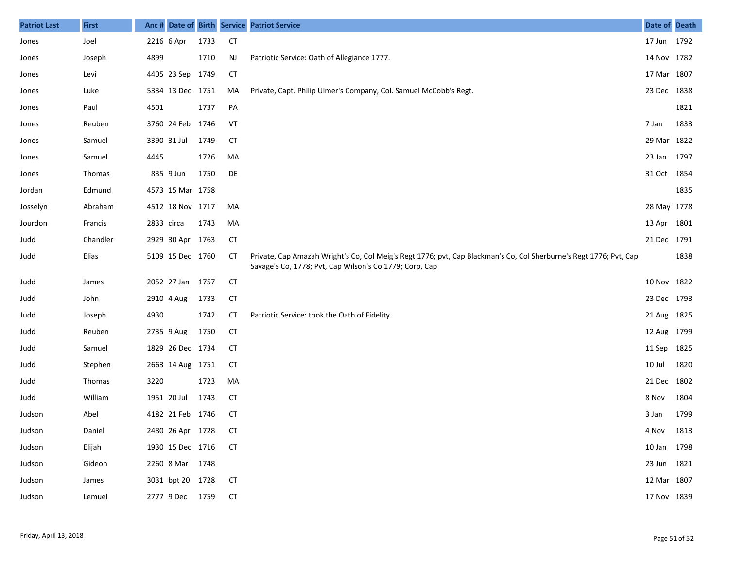| <b>Patriot Last</b> | <b>First</b> |            |                     |      |           | Anc # Date of Birth Service Patriot Service                                                                                                                                   | Date of Death |      |
|---------------------|--------------|------------|---------------------|------|-----------|-------------------------------------------------------------------------------------------------------------------------------------------------------------------------------|---------------|------|
| Jones               | Joel         | 2216 6 Apr |                     | 1733 | <b>CT</b> |                                                                                                                                                                               | 17 Jun 1792   |      |
| Jones               | Joseph       | 4899       |                     | 1710 | NJ        | Patriotic Service: Oath of Allegiance 1777.                                                                                                                                   | 14 Nov 1782   |      |
| Jones               | Levi         |            | 4405 23 Sep 1749    |      | <b>CT</b> |                                                                                                                                                                               | 17 Mar 1807   |      |
| Jones               | Luke         |            | 5334 13 Dec 1751    |      | MA        | Private, Capt. Philip Ulmer's Company, Col. Samuel McCobb's Regt.                                                                                                             | 23 Dec 1838   |      |
| Jones               | Paul         | 4501       |                     | 1737 | PA        |                                                                                                                                                                               |               | 1821 |
| Jones               | Reuben       |            | 3760 24 Feb 1746    |      | VT        |                                                                                                                                                                               | 7 Jan         | 1833 |
| Jones               | Samuel       |            | 3390 31 Jul         | 1749 | <b>CT</b> |                                                                                                                                                                               | 29 Mar 1822   |      |
| Jones               | Samuel       | 4445       |                     | 1726 | MA        |                                                                                                                                                                               | 23 Jan 1797   |      |
| Jones               | Thomas       |            | 835 9 Jun           | 1750 | DE        |                                                                                                                                                                               | 31 Oct 1854   |      |
| Jordan              | Edmund       |            | 4573 15 Mar 1758    |      |           |                                                                                                                                                                               |               | 1835 |
| Josselyn            | Abraham      |            | 4512 18 Nov 1717    |      | MA        |                                                                                                                                                                               | 28 May 1778   |      |
| Jourdon             | Francis      | 2833 circa |                     | 1743 | MA        |                                                                                                                                                                               | 13 Apr 1801   |      |
| Judd                | Chandler     |            | 2929 30 Apr 1763    |      | <b>CT</b> |                                                                                                                                                                               | 21 Dec 1791   |      |
| Judd                | Elias        |            | 5109 15 Dec 1760    |      | СT        | Private, Cap Amazah Wright's Co, Col Meig's Regt 1776; pvt, Cap Blackman's Co, Col Sherburne's Regt 1776; Pvt, Cap<br>Savage's Co, 1778; Pvt, Cap Wilson's Co 1779; Corp, Cap |               | 1838 |
| Judd                | James        |            | 2052 27 Jan 1757    |      | <b>CT</b> |                                                                                                                                                                               | 10 Nov 1822   |      |
| Judd                | John         |            | 2910 4 Aug          | 1733 | <b>CT</b> |                                                                                                                                                                               | 23 Dec 1793   |      |
| Judd                | Joseph       | 4930       |                     | 1742 | СT        | Patriotic Service: took the Oath of Fidelity.                                                                                                                                 | 21 Aug 1825   |      |
| Judd                | Reuben       |            | 2735 9 Aug          | 1750 | <b>CT</b> |                                                                                                                                                                               | 12 Aug 1799   |      |
| Judd                | Samuel       |            | 1829 26 Dec 1734    |      | <b>CT</b> |                                                                                                                                                                               | 11 Sep 1825   |      |
| Judd                | Stephen      |            | 2663 14 Aug 1751    |      | СT        |                                                                                                                                                                               | 10 Jul        | 1820 |
| Judd                | Thomas       | 3220       |                     | 1723 | MA        |                                                                                                                                                                               | 21 Dec 1802   |      |
| Judd                | William      |            | 1951 20 Jul         | 1743 | СT        |                                                                                                                                                                               | 8 Nov         | 1804 |
| Judson              | Abel         |            | 4182 21 Feb 1746    |      | СT        |                                                                                                                                                                               | 3 Jan         | 1799 |
| Judson              | Daniel       |            | 2480 26 Apr 1728 CT |      |           |                                                                                                                                                                               | 4 Nov 1813    |      |
| Judson              | Elijah       |            | 1930 15 Dec 1716    |      | СT        |                                                                                                                                                                               | 10 Jan 1798   |      |
| Judson              | Gideon       |            | 2260 8 Mar 1748     |      |           |                                                                                                                                                                               | 23 Jun 1821   |      |
| Judson              | James        |            | 3031 bpt 20 1728    |      | <b>CT</b> |                                                                                                                                                                               | 12 Mar 1807   |      |
| Judson              | Lemuel       |            | 2777 9 Dec 1759     |      | <b>CT</b> |                                                                                                                                                                               | 17 Nov 1839   |      |